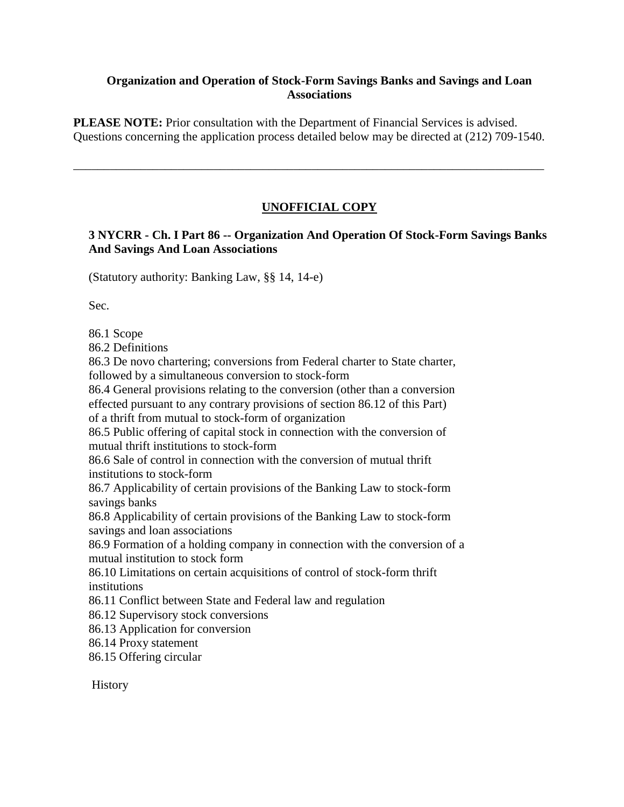#### **Organization and Operation of Stock-Form Savings Banks and Savings and Loan Associations**

**PLEASE NOTE:** Prior consultation with the Department of Financial Services is advised. Questions concerning the application process detailed below may be directed at (212) 709-1540.

\_\_\_\_\_\_\_\_\_\_\_\_\_\_\_\_\_\_\_\_\_\_\_\_\_\_\_\_\_\_\_\_\_\_\_\_\_\_\_\_\_\_\_\_\_\_\_\_\_\_\_\_\_\_\_\_\_\_\_\_\_\_\_\_\_\_\_\_\_\_\_\_\_\_\_\_\_

## **UNOFFICIAL COPY**

### **3 NYCRR - Ch. I Part 86 -- Organization And Operation Of Stock-Form Savings Banks And Savings And Loan Associations**

(Statutory authority: Banking Law, §§ 14, 14-e)

Sec.

86.1 Scope

86.2 Definitions

86.3 De novo chartering; conversions from Federal charter to State charter, followed by a simultaneous conversion to stock-form

86.4 General provisions relating to the conversion (other than a conversion effected pursuant to any contrary provisions of section 86.12 of this Part) of a thrift from mutual to stock-form of organization

86.5 Public offering of capital stock in connection with the conversion of mutual thrift institutions to stock-form

86.6 Sale of control in connection with the conversion of mutual thrift institutions to stock-form

86.7 Applicability of certain provisions of the Banking Law to stock-form savings banks

86.8 Applicability of certain provisions of the Banking Law to stock-form savings and loan associations

86.9 Formation of a holding company in connection with the conversion of a mutual institution to stock form

86.10 Limitations on certain acquisitions of control of stock-form thrift institutions

86.11 Conflict between State and Federal law and regulation

86.12 Supervisory stock conversions

86.13 Application for conversion

86.14 Proxy statement

86.15 Offering circular

History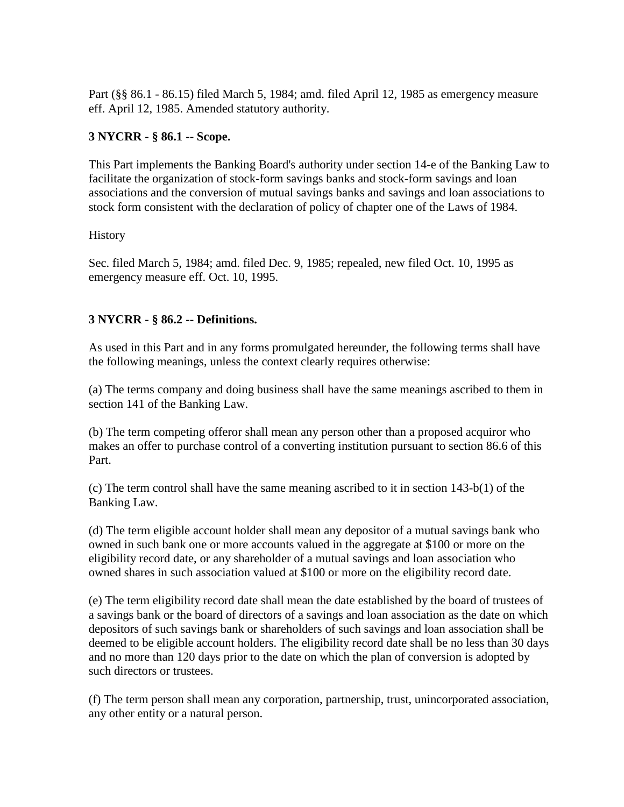Part (§§ 86.1 - 86.15) filed March 5, 1984; amd. filed April 12, 1985 as emergency measure eff. April 12, 1985. Amended statutory authority.

### **3 NYCRR - § 86.1 -- Scope.**

This Part implements the Banking Board's authority under section 14-e of the Banking Law to facilitate the organization of stock-form savings banks and stock-form savings and loan associations and the conversion of mutual savings banks and savings and loan associations to stock form consistent with the declaration of policy of chapter one of the Laws of 1984.

### **History**

Sec. filed March 5, 1984; amd. filed Dec. 9, 1985; repealed, new filed Oct. 10, 1995 as emergency measure eff. Oct. 10, 1995.

### **3 NYCRR - § 86.2 -- Definitions.**

As used in this Part and in any forms promulgated hereunder, the following terms shall have the following meanings, unless the context clearly requires otherwise:

(a) The terms company and doing business shall have the same meanings ascribed to them in section 141 of the Banking Law.

(b) The term competing offeror shall mean any person other than a proposed acquiror who makes an offer to purchase control of a converting institution pursuant to section 86.6 of this Part.

(c) The term control shall have the same meaning ascribed to it in section 143-b(1) of the Banking Law.

(d) The term eligible account holder shall mean any depositor of a mutual savings bank who owned in such bank one or more accounts valued in the aggregate at \$100 or more on the eligibility record date, or any shareholder of a mutual savings and loan association who owned shares in such association valued at \$100 or more on the eligibility record date.

(e) The term eligibility record date shall mean the date established by the board of trustees of a savings bank or the board of directors of a savings and loan association as the date on which depositors of such savings bank or shareholders of such savings and loan association shall be deemed to be eligible account holders. The eligibility record date shall be no less than 30 days and no more than 120 days prior to the date on which the plan of conversion is adopted by such directors or trustees.

(f) The term person shall mean any corporation, partnership, trust, unincorporated association, any other entity or a natural person.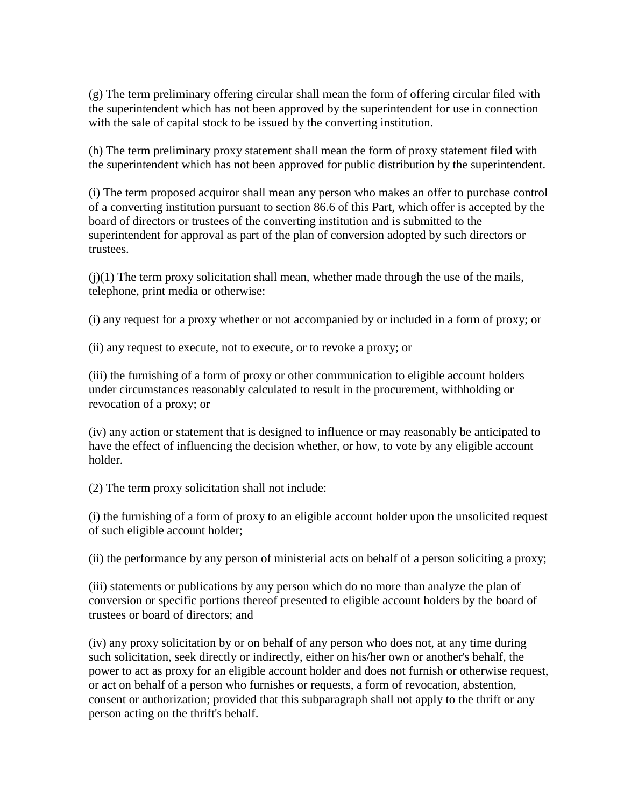(g) The term preliminary offering circular shall mean the form of offering circular filed with the superintendent which has not been approved by the superintendent for use in connection with the sale of capital stock to be issued by the converting institution.

(h) The term preliminary proxy statement shall mean the form of proxy statement filed with the superintendent which has not been approved for public distribution by the superintendent.

(i) The term proposed acquiror shall mean any person who makes an offer to purchase control of a converting institution pursuant to section 86.6 of this Part, which offer is accepted by the board of directors or trustees of the converting institution and is submitted to the superintendent for approval as part of the plan of conversion adopted by such directors or trustees.

 $(j)(1)$  The term proxy solicitation shall mean, whether made through the use of the mails, telephone, print media or otherwise:

(i) any request for a proxy whether or not accompanied by or included in a form of proxy; or

(ii) any request to execute, not to execute, or to revoke a proxy; or

(iii) the furnishing of a form of proxy or other communication to eligible account holders under circumstances reasonably calculated to result in the procurement, withholding or revocation of a proxy; or

(iv) any action or statement that is designed to influence or may reasonably be anticipated to have the effect of influencing the decision whether, or how, to vote by any eligible account holder.

(2) The term proxy solicitation shall not include:

(i) the furnishing of a form of proxy to an eligible account holder upon the unsolicited request of such eligible account holder;

(ii) the performance by any person of ministerial acts on behalf of a person soliciting a proxy;

(iii) statements or publications by any person which do no more than analyze the plan of conversion or specific portions thereof presented to eligible account holders by the board of trustees or board of directors; and

(iv) any proxy solicitation by or on behalf of any person who does not, at any time during such solicitation, seek directly or indirectly, either on his/her own or another's behalf, the power to act as proxy for an eligible account holder and does not furnish or otherwise request, or act on behalf of a person who furnishes or requests, a form of revocation, abstention, consent or authorization; provided that this subparagraph shall not apply to the thrift or any person acting on the thrift's behalf.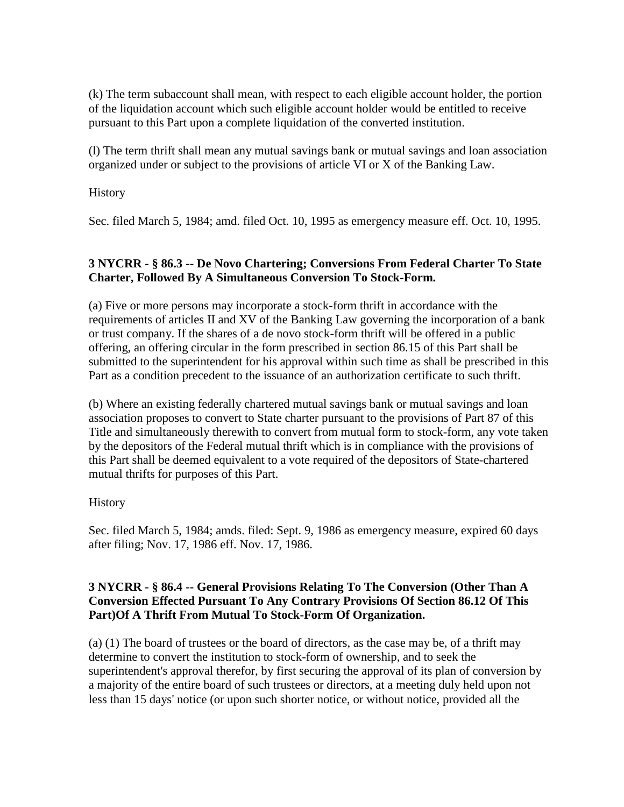(k) The term subaccount shall mean, with respect to each eligible account holder, the portion of the liquidation account which such eligible account holder would be entitled to receive pursuant to this Part upon a complete liquidation of the converted institution.

(l) The term thrift shall mean any mutual savings bank or mutual savings and loan association organized under or subject to the provisions of article VI or X of the Banking Law.

**History** 

Sec. filed March 5, 1984; amd. filed Oct. 10, 1995 as emergency measure eff. Oct. 10, 1995.

#### **3 NYCRR - § 86.3 -- De Novo Chartering; Conversions From Federal Charter To State Charter, Followed By A Simultaneous Conversion To Stock-Form.**

(a) Five or more persons may incorporate a stock-form thrift in accordance with the requirements of articles II and XV of the Banking Law governing the incorporation of a bank or trust company. If the shares of a de novo stock-form thrift will be offered in a public offering, an offering circular in the form prescribed in section 86.15 of this Part shall be submitted to the superintendent for his approval within such time as shall be prescribed in this Part as a condition precedent to the issuance of an authorization certificate to such thrift.

(b) Where an existing federally chartered mutual savings bank or mutual savings and loan association proposes to convert to State charter pursuant to the provisions of Part 87 of this Title and simultaneously therewith to convert from mutual form to stock-form, any vote taken by the depositors of the Federal mutual thrift which is in compliance with the provisions of this Part shall be deemed equivalent to a vote required of the depositors of State-chartered mutual thrifts for purposes of this Part.

### History

Sec. filed March 5, 1984; amds. filed: Sept. 9, 1986 as emergency measure, expired 60 days after filing; Nov. 17, 1986 eff. Nov. 17, 1986.

#### **3 NYCRR - § 86.4 -- General Provisions Relating To The Conversion (Other Than A Conversion Effected Pursuant To Any Contrary Provisions Of Section 86.12 Of This Part)Of A Thrift From Mutual To Stock-Form Of Organization.**

(a) (1) The board of trustees or the board of directors, as the case may be, of a thrift may determine to convert the institution to stock-form of ownership, and to seek the superintendent's approval therefor, by first securing the approval of its plan of conversion by a majority of the entire board of such trustees or directors, at a meeting duly held upon not less than 15 days' notice (or upon such shorter notice, or without notice, provided all the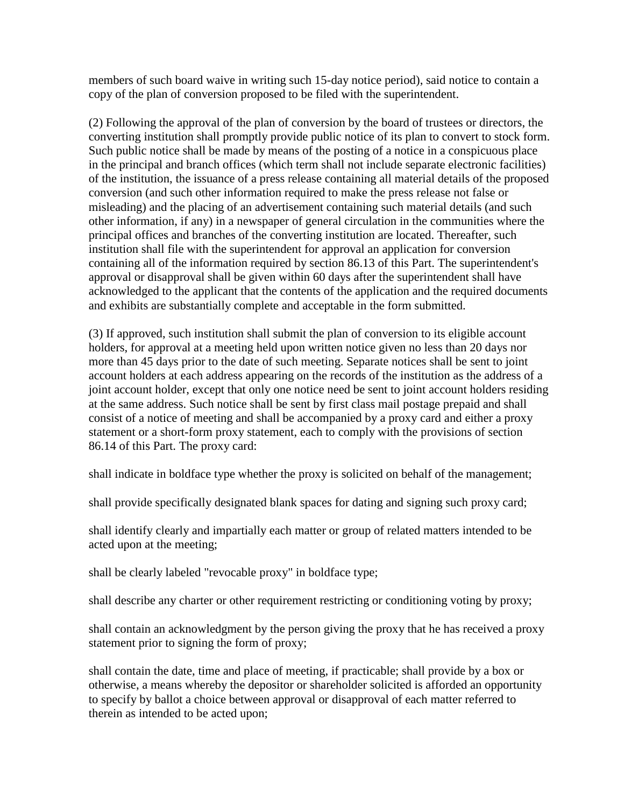members of such board waive in writing such 15-day notice period), said notice to contain a copy of the plan of conversion proposed to be filed with the superintendent.

(2) Following the approval of the plan of conversion by the board of trustees or directors, the converting institution shall promptly provide public notice of its plan to convert to stock form. Such public notice shall be made by means of the posting of a notice in a conspicuous place in the principal and branch offices (which term shall not include separate electronic facilities) of the institution, the issuance of a press release containing all material details of the proposed conversion (and such other information required to make the press release not false or misleading) and the placing of an advertisement containing such material details (and such other information, if any) in a newspaper of general circulation in the communities where the principal offices and branches of the converting institution are located. Thereafter, such institution shall file with the superintendent for approval an application for conversion containing all of the information required by section 86.13 of this Part. The superintendent's approval or disapproval shall be given within 60 days after the superintendent shall have acknowledged to the applicant that the contents of the application and the required documents and exhibits are substantially complete and acceptable in the form submitted.

(3) If approved, such institution shall submit the plan of conversion to its eligible account holders, for approval at a meeting held upon written notice given no less than 20 days nor more than 45 days prior to the date of such meeting. Separate notices shall be sent to joint account holders at each address appearing on the records of the institution as the address of a joint account holder, except that only one notice need be sent to joint account holders residing at the same address. Such notice shall be sent by first class mail postage prepaid and shall consist of a notice of meeting and shall be accompanied by a proxy card and either a proxy statement or a short-form proxy statement, each to comply with the provisions of section 86.14 of this Part. The proxy card:

shall indicate in boldface type whether the proxy is solicited on behalf of the management;

shall provide specifically designated blank spaces for dating and signing such proxy card;

shall identify clearly and impartially each matter or group of related matters intended to be acted upon at the meeting;

shall be clearly labeled "revocable proxy" in boldface type;

shall describe any charter or other requirement restricting or conditioning voting by proxy;

shall contain an acknowledgment by the person giving the proxy that he has received a proxy statement prior to signing the form of proxy;

shall contain the date, time and place of meeting, if practicable; shall provide by a box or otherwise, a means whereby the depositor or shareholder solicited is afforded an opportunity to specify by ballot a choice between approval or disapproval of each matter referred to therein as intended to be acted upon;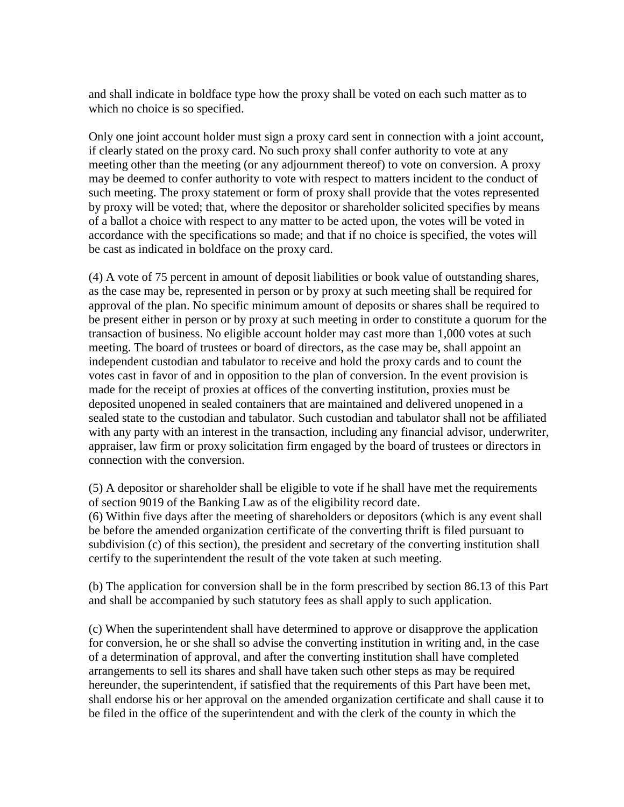and shall indicate in boldface type how the proxy shall be voted on each such matter as to which no choice is so specified.

Only one joint account holder must sign a proxy card sent in connection with a joint account, if clearly stated on the proxy card. No such proxy shall confer authority to vote at any meeting other than the meeting (or any adjournment thereof) to vote on conversion. A proxy may be deemed to confer authority to vote with respect to matters incident to the conduct of such meeting. The proxy statement or form of proxy shall provide that the votes represented by proxy will be voted; that, where the depositor or shareholder solicited specifies by means of a ballot a choice with respect to any matter to be acted upon, the votes will be voted in accordance with the specifications so made; and that if no choice is specified, the votes will be cast as indicated in boldface on the proxy card.

(4) A vote of 75 percent in amount of deposit liabilities or book value of outstanding shares, as the case may be, represented in person or by proxy at such meeting shall be required for approval of the plan. No specific minimum amount of deposits or shares shall be required to be present either in person or by proxy at such meeting in order to constitute a quorum for the transaction of business. No eligible account holder may cast more than 1,000 votes at such meeting. The board of trustees or board of directors, as the case may be, shall appoint an independent custodian and tabulator to receive and hold the proxy cards and to count the votes cast in favor of and in opposition to the plan of conversion. In the event provision is made for the receipt of proxies at offices of the converting institution, proxies must be deposited unopened in sealed containers that are maintained and delivered unopened in a sealed state to the custodian and tabulator. Such custodian and tabulator shall not be affiliated with any party with an interest in the transaction, including any financial advisor, underwriter, appraiser, law firm or proxy solicitation firm engaged by the board of trustees or directors in connection with the conversion.

(5) A depositor or shareholder shall be eligible to vote if he shall have met the requirements of section 9019 of the Banking Law as of the eligibility record date. (6) Within five days after the meeting of shareholders or depositors (which is any event shall be before the amended organization certificate of the converting thrift is filed pursuant to subdivision (c) of this section), the president and secretary of the converting institution shall certify to the superintendent the result of the vote taken at such meeting.

(b) The application for conversion shall be in the form prescribed by section 86.13 of this Part and shall be accompanied by such statutory fees as shall apply to such application.

(c) When the superintendent shall have determined to approve or disapprove the application for conversion, he or she shall so advise the converting institution in writing and, in the case of a determination of approval, and after the converting institution shall have completed arrangements to sell its shares and shall have taken such other steps as may be required hereunder, the superintendent, if satisfied that the requirements of this Part have been met, shall endorse his or her approval on the amended organization certificate and shall cause it to be filed in the office of the superintendent and with the clerk of the county in which the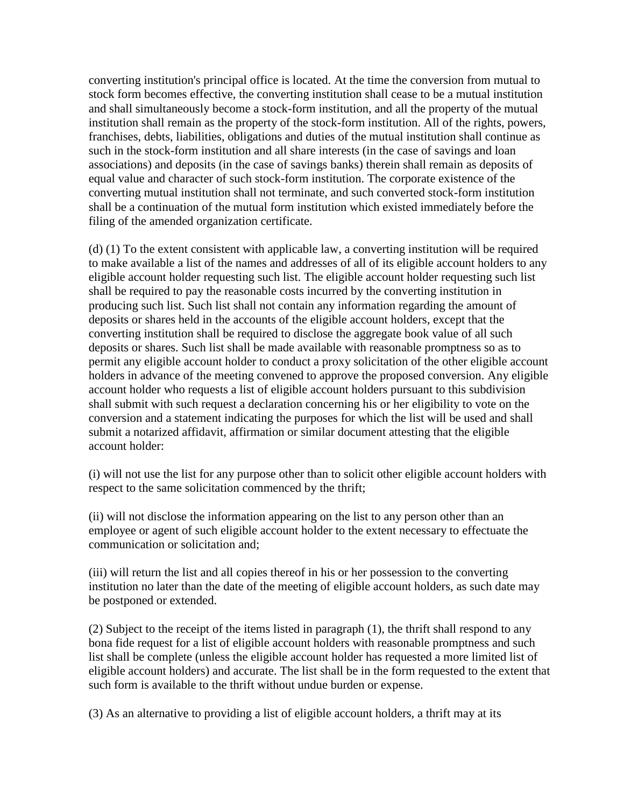converting institution's principal office is located. At the time the conversion from mutual to stock form becomes effective, the converting institution shall cease to be a mutual institution and shall simultaneously become a stock-form institution, and all the property of the mutual institution shall remain as the property of the stock-form institution. All of the rights, powers, franchises, debts, liabilities, obligations and duties of the mutual institution shall continue as such in the stock-form institution and all share interests (in the case of savings and loan associations) and deposits (in the case of savings banks) therein shall remain as deposits of equal value and character of such stock-form institution. The corporate existence of the converting mutual institution shall not terminate, and such converted stock-form institution shall be a continuation of the mutual form institution which existed immediately before the filing of the amended organization certificate.

(d) (1) To the extent consistent with applicable law, a converting institution will be required to make available a list of the names and addresses of all of its eligible account holders to any eligible account holder requesting such list. The eligible account holder requesting such list shall be required to pay the reasonable costs incurred by the converting institution in producing such list. Such list shall not contain any information regarding the amount of deposits or shares held in the accounts of the eligible account holders, except that the converting institution shall be required to disclose the aggregate book value of all such deposits or shares. Such list shall be made available with reasonable promptness so as to permit any eligible account holder to conduct a proxy solicitation of the other eligible account holders in advance of the meeting convened to approve the proposed conversion. Any eligible account holder who requests a list of eligible account holders pursuant to this subdivision shall submit with such request a declaration concerning his or her eligibility to vote on the conversion and a statement indicating the purposes for which the list will be used and shall submit a notarized affidavit, affirmation or similar document attesting that the eligible account holder:

(i) will not use the list for any purpose other than to solicit other eligible account holders with respect to the same solicitation commenced by the thrift;

(ii) will not disclose the information appearing on the list to any person other than an employee or agent of such eligible account holder to the extent necessary to effectuate the communication or solicitation and;

(iii) will return the list and all copies thereof in his or her possession to the converting institution no later than the date of the meeting of eligible account holders, as such date may be postponed or extended.

(2) Subject to the receipt of the items listed in paragraph (1), the thrift shall respond to any bona fide request for a list of eligible account holders with reasonable promptness and such list shall be complete (unless the eligible account holder has requested a more limited list of eligible account holders) and accurate. The list shall be in the form requested to the extent that such form is available to the thrift without undue burden or expense.

(3) As an alternative to providing a list of eligible account holders, a thrift may at its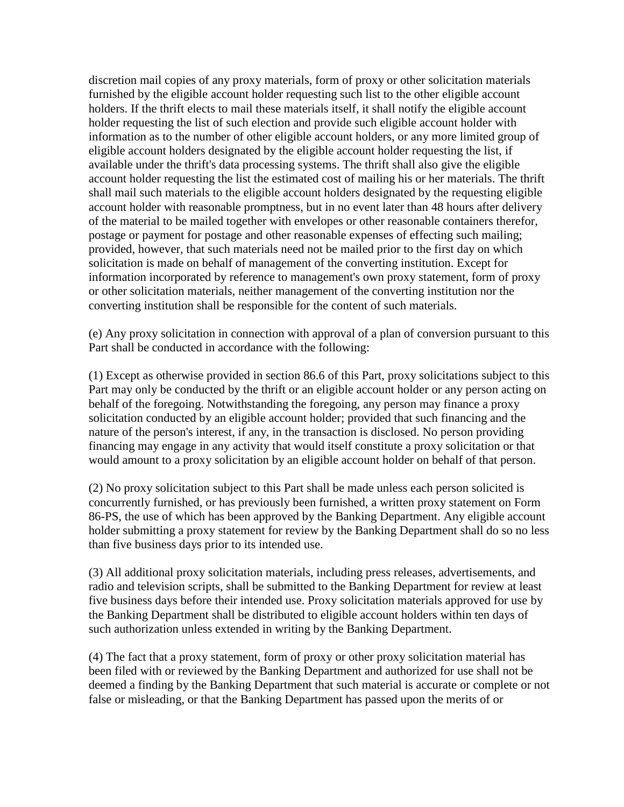discretion mail copies of any proxy materials, form of proxy or other solicitation materials furnished by the eligible account holder requesting such list to the other eligible account holders. If the thrift elects to mail these materials itself, it shall notify the eligible account holder requesting the list of such election and provide such eligible account holder with information as to the number of other eligible account holders, or any more limited group of eligible account holders designated by the eligible account holder requesting the list, if available under the thrift's data processing systems. The thrift shall also give the eligible account holder requesting the list the estimated cost of mailing his or her materials. The thrift shall mail such materials to the eligible account holders designated by the requesting eligible account holder with reasonable promptness, but in no event later than 48 hours after delivery of the material to be mailed together with envelopes or other reasonable containers therefor, postage or payment for postage and other reasonable expenses of effecting such mailing; provided, however, that such materials need not be mailed prior to the first day on which solicitation is made on behalf of management of the converting institution. Except for information incorporated by reference to management's own proxy statement, form of proxy or other solicitation materials, neither management of the converting institution nor the converting institution shall be responsible for the content of such materials.

(e) Any proxy solicitation in connection with approval of a plan of conversion pursuant to this Part shall be conducted in accordance with the following:

(1) Except as otherwise provided in section 86.6 of this Part, proxy solicitations subject to this Part may only be conducted by the thrift or an eligible account holder or any person acting on behalf of the foregoing. Notwithstanding the foregoing, any person may finance a proxy solicitation conducted by an eligible account holder; provided that such financing and the nature of the person's interest, if any, in the transaction is disclosed. No person providing financing may engage in any activity that would itself constitute a proxy solicitation or that would amount to a proxy solicitation by an eligible account holder on behalf of that person.

(2) No proxy solicitation subject to this Part shall be made unless each person solicited is concurrently furnished, or has previously been furnished, a written proxy statement on Form 86-PS, the use of which has been approved by the Banking Department. Any eligible account holder submitting a proxy statement for review by the Banking Department shall do so no less than five business days prior to its intended use.

(3) All additional proxy solicitation materials, including press releases, advertisements, and radio and television scripts, shall be submitted to the Banking Department for review at least five business days before their intended use. Proxy solicitation materials approved for use by the Banking Department shall be distributed to eligible account holders within ten days of such authorization unless extended in writing by the Banking Department.

(4) The fact that a proxy statement, form of proxy or other proxy solicitation material has been filed with or reviewed by the Banking Department and authorized for use shall not be deemed a finding by the Banking Department that such material is accurate or complete or not false or misleading, or that the Banking Department has passed upon the merits of or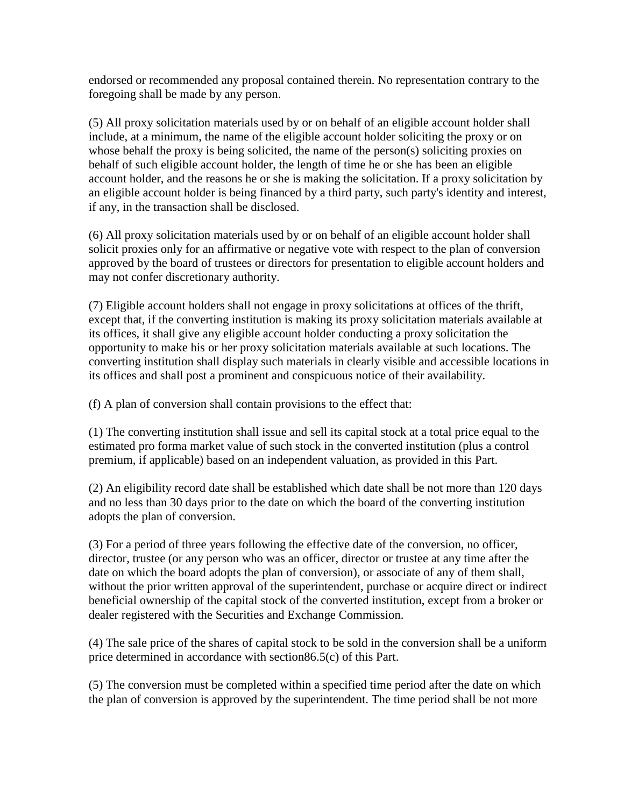endorsed or recommended any proposal contained therein. No representation contrary to the foregoing shall be made by any person.

(5) All proxy solicitation materials used by or on behalf of an eligible account holder shall include, at a minimum, the name of the eligible account holder soliciting the proxy or on whose behalf the proxy is being solicited, the name of the person(s) soliciting proxies on behalf of such eligible account holder, the length of time he or she has been an eligible account holder, and the reasons he or she is making the solicitation. If a proxy solicitation by an eligible account holder is being financed by a third party, such party's identity and interest, if any, in the transaction shall be disclosed.

(6) All proxy solicitation materials used by or on behalf of an eligible account holder shall solicit proxies only for an affirmative or negative vote with respect to the plan of conversion approved by the board of trustees or directors for presentation to eligible account holders and may not confer discretionary authority.

(7) Eligible account holders shall not engage in proxy solicitations at offices of the thrift, except that, if the converting institution is making its proxy solicitation materials available at its offices, it shall give any eligible account holder conducting a proxy solicitation the opportunity to make his or her proxy solicitation materials available at such locations. The converting institution shall display such materials in clearly visible and accessible locations in its offices and shall post a prominent and conspicuous notice of their availability.

(f) A plan of conversion shall contain provisions to the effect that:

(1) The converting institution shall issue and sell its capital stock at a total price equal to the estimated pro forma market value of such stock in the converted institution (plus a control premium, if applicable) based on an independent valuation, as provided in this Part.

(2) An eligibility record date shall be established which date shall be not more than 120 days and no less than 30 days prior to the date on which the board of the converting institution adopts the plan of conversion.

(3) For a period of three years following the effective date of the conversion, no officer, director, trustee (or any person who was an officer, director or trustee at any time after the date on which the board adopts the plan of conversion), or associate of any of them shall, without the prior written approval of the superintendent, purchase or acquire direct or indirect beneficial ownership of the capital stock of the converted institution, except from a broker or dealer registered with the Securities and Exchange Commission.

(4) The sale price of the shares of capital stock to be sold in the conversion shall be a uniform price determined in accordance with section86.5(c) of this Part.

(5) The conversion must be completed within a specified time period after the date on which the plan of conversion is approved by the superintendent. The time period shall be not more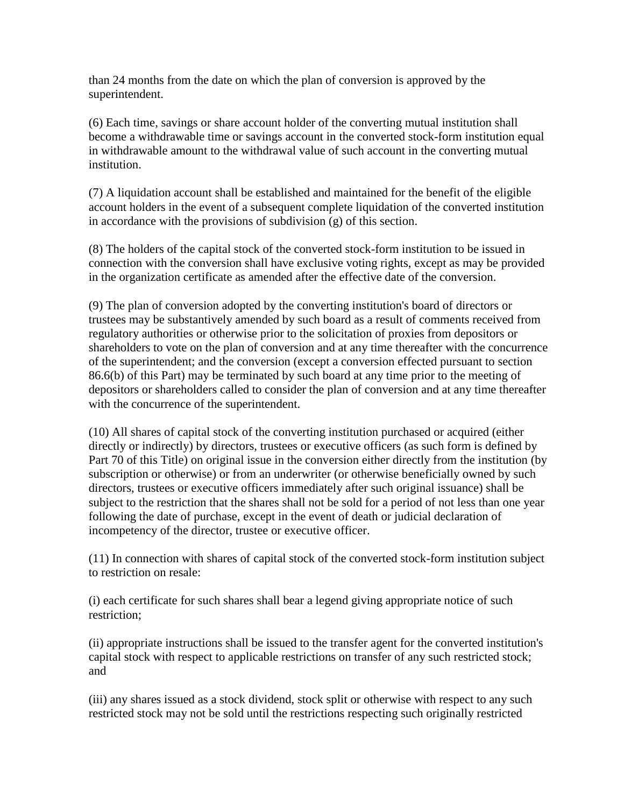than 24 months from the date on which the plan of conversion is approved by the superintendent.

(6) Each time, savings or share account holder of the converting mutual institution shall become a withdrawable time or savings account in the converted stock-form institution equal in withdrawable amount to the withdrawal value of such account in the converting mutual institution.

(7) A liquidation account shall be established and maintained for the benefit of the eligible account holders in the event of a subsequent complete liquidation of the converted institution in accordance with the provisions of subdivision (g) of this section.

(8) The holders of the capital stock of the converted stock-form institution to be issued in connection with the conversion shall have exclusive voting rights, except as may be provided in the organization certificate as amended after the effective date of the conversion.

(9) The plan of conversion adopted by the converting institution's board of directors or trustees may be substantively amended by such board as a result of comments received from regulatory authorities or otherwise prior to the solicitation of proxies from depositors or shareholders to vote on the plan of conversion and at any time thereafter with the concurrence of the superintendent; and the conversion (except a conversion effected pursuant to section 86.6(b) of this Part) may be terminated by such board at any time prior to the meeting of depositors or shareholders called to consider the plan of conversion and at any time thereafter with the concurrence of the superintendent.

(10) All shares of capital stock of the converting institution purchased or acquired (either directly or indirectly) by directors, trustees or executive officers (as such form is defined by Part 70 of this Title) on original issue in the conversion either directly from the institution (by subscription or otherwise) or from an underwriter (or otherwise beneficially owned by such directors, trustees or executive officers immediately after such original issuance) shall be subject to the restriction that the shares shall not be sold for a period of not less than one year following the date of purchase, except in the event of death or judicial declaration of incompetency of the director, trustee or executive officer.

(11) In connection with shares of capital stock of the converted stock-form institution subject to restriction on resale:

(i) each certificate for such shares shall bear a legend giving appropriate notice of such restriction;

(ii) appropriate instructions shall be issued to the transfer agent for the converted institution's capital stock with respect to applicable restrictions on transfer of any such restricted stock; and

(iii) any shares issued as a stock dividend, stock split or otherwise with respect to any such restricted stock may not be sold until the restrictions respecting such originally restricted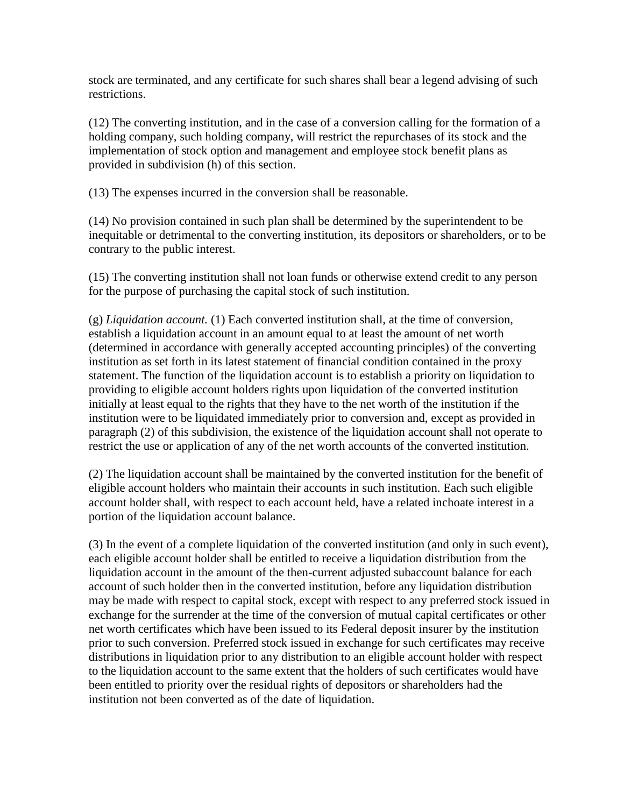stock are terminated, and any certificate for such shares shall bear a legend advising of such restrictions.

(12) The converting institution, and in the case of a conversion calling for the formation of a holding company, such holding company, will restrict the repurchases of its stock and the implementation of stock option and management and employee stock benefit plans as provided in subdivision (h) of this section.

(13) The expenses incurred in the conversion shall be reasonable.

(14) No provision contained in such plan shall be determined by the superintendent to be inequitable or detrimental to the converting institution, its depositors or shareholders, or to be contrary to the public interest.

(15) The converting institution shall not loan funds or otherwise extend credit to any person for the purpose of purchasing the capital stock of such institution.

(g) *Liquidation account.* (1) Each converted institution shall, at the time of conversion, establish a liquidation account in an amount equal to at least the amount of net worth (determined in accordance with generally accepted accounting principles) of the converting institution as set forth in its latest statement of financial condition contained in the proxy statement. The function of the liquidation account is to establish a priority on liquidation to providing to eligible account holders rights upon liquidation of the converted institution initially at least equal to the rights that they have to the net worth of the institution if the institution were to be liquidated immediately prior to conversion and, except as provided in paragraph (2) of this subdivision, the existence of the liquidation account shall not operate to restrict the use or application of any of the net worth accounts of the converted institution.

(2) The liquidation account shall be maintained by the converted institution for the benefit of eligible account holders who maintain their accounts in such institution. Each such eligible account holder shall, with respect to each account held, have a related inchoate interest in a portion of the liquidation account balance.

(3) In the event of a complete liquidation of the converted institution (and only in such event), each eligible account holder shall be entitled to receive a liquidation distribution from the liquidation account in the amount of the then-current adjusted subaccount balance for each account of such holder then in the converted institution, before any liquidation distribution may be made with respect to capital stock, except with respect to any preferred stock issued in exchange for the surrender at the time of the conversion of mutual capital certificates or other net worth certificates which have been issued to its Federal deposit insurer by the institution prior to such conversion. Preferred stock issued in exchange for such certificates may receive distributions in liquidation prior to any distribution to an eligible account holder with respect to the liquidation account to the same extent that the holders of such certificates would have been entitled to priority over the residual rights of depositors or shareholders had the institution not been converted as of the date of liquidation.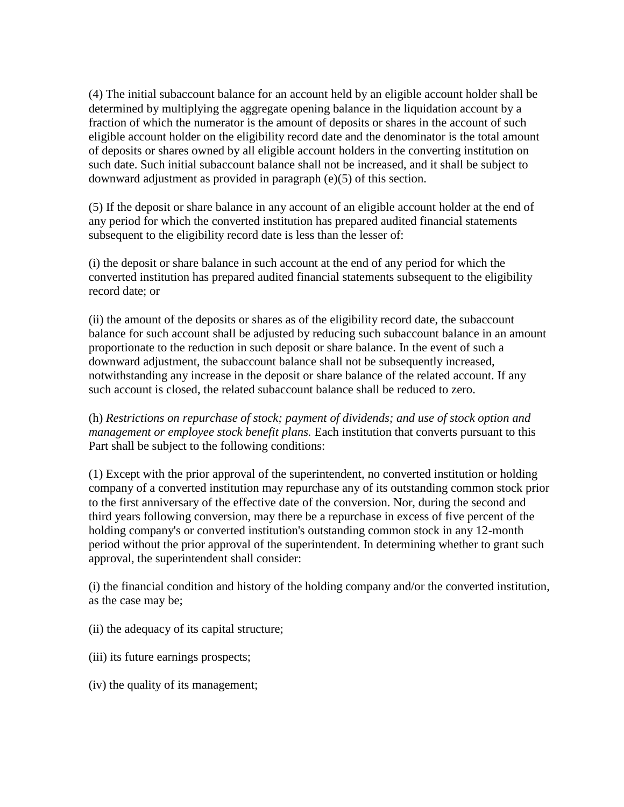(4) The initial subaccount balance for an account held by an eligible account holder shall be determined by multiplying the aggregate opening balance in the liquidation account by a fraction of which the numerator is the amount of deposits or shares in the account of such eligible account holder on the eligibility record date and the denominator is the total amount of deposits or shares owned by all eligible account holders in the converting institution on such date. Such initial subaccount balance shall not be increased, and it shall be subject to downward adjustment as provided in paragraph (e)(5) of this section.

(5) If the deposit or share balance in any account of an eligible account holder at the end of any period for which the converted institution has prepared audited financial statements subsequent to the eligibility record date is less than the lesser of:

(i) the deposit or share balance in such account at the end of any period for which the converted institution has prepared audited financial statements subsequent to the eligibility record date; or

(ii) the amount of the deposits or shares as of the eligibility record date, the subaccount balance for such account shall be adjusted by reducing such subaccount balance in an amount proportionate to the reduction in such deposit or share balance. In the event of such a downward adjustment, the subaccount balance shall not be subsequently increased, notwithstanding any increase in the deposit or share balance of the related account. If any such account is closed, the related subaccount balance shall be reduced to zero.

(h) *Restrictions on repurchase of stock; payment of dividends; and use of stock option and management or employee stock benefit plans.* Each institution that converts pursuant to this Part shall be subject to the following conditions:

(1) Except with the prior approval of the superintendent, no converted institution or holding company of a converted institution may repurchase any of its outstanding common stock prior to the first anniversary of the effective date of the conversion. Nor, during the second and third years following conversion, may there be a repurchase in excess of five percent of the holding company's or converted institution's outstanding common stock in any 12-month period without the prior approval of the superintendent. In determining whether to grant such approval, the superintendent shall consider:

(i) the financial condition and history of the holding company and/or the converted institution, as the case may be;

- (ii) the adequacy of its capital structure;
- (iii) its future earnings prospects;
- (iv) the quality of its management;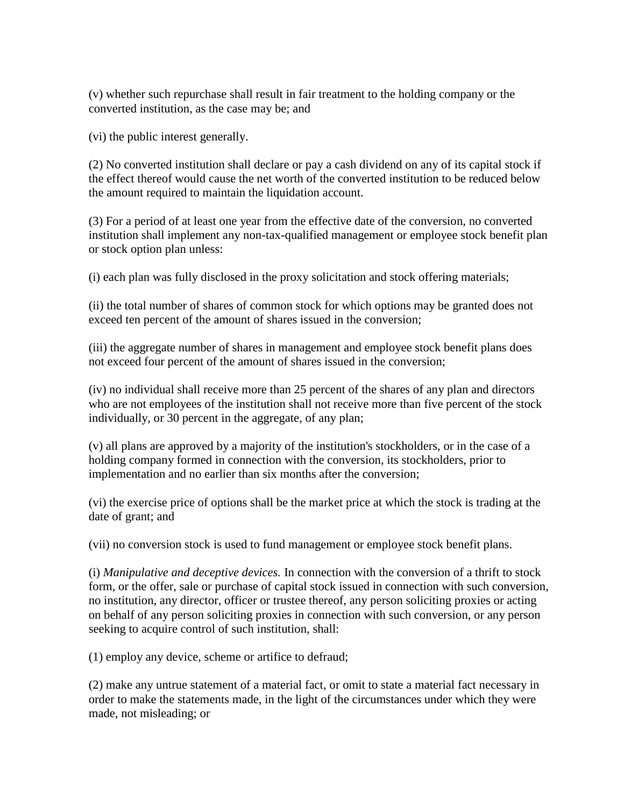(v) whether such repurchase shall result in fair treatment to the holding company or the converted institution, as the case may be; and

(vi) the public interest generally.

(2) No converted institution shall declare or pay a cash dividend on any of its capital stock if the effect thereof would cause the net worth of the converted institution to be reduced below the amount required to maintain the liquidation account.

(3) For a period of at least one year from the effective date of the conversion, no converted institution shall implement any non-tax-qualified management or employee stock benefit plan or stock option plan unless:

(i) each plan was fully disclosed in the proxy solicitation and stock offering materials;

(ii) the total number of shares of common stock for which options may be granted does not exceed ten percent of the amount of shares issued in the conversion;

(iii) the aggregate number of shares in management and employee stock benefit plans does not exceed four percent of the amount of shares issued in the conversion;

(iv) no individual shall receive more than 25 percent of the shares of any plan and directors who are not employees of the institution shall not receive more than five percent of the stock individually, or 30 percent in the aggregate, of any plan;

(v) all plans are approved by a majority of the institution's stockholders, or in the case of a holding company formed in connection with the conversion, its stockholders, prior to implementation and no earlier than six months after the conversion;

(vi) the exercise price of options shall be the market price at which the stock is trading at the date of grant; and

(vii) no conversion stock is used to fund management or employee stock benefit plans.

(i) *Manipulative and deceptive devices.* In connection with the conversion of a thrift to stock form, or the offer, sale or purchase of capital stock issued in connection with such conversion, no institution, any director, officer or trustee thereof, any person soliciting proxies or acting on behalf of any person soliciting proxies in connection with such conversion, or any person seeking to acquire control of such institution, shall:

(1) employ any device, scheme or artifice to defraud;

(2) make any untrue statement of a material fact, or omit to state a material fact necessary in order to make the statements made, in the light of the circumstances under which they were made, not misleading; or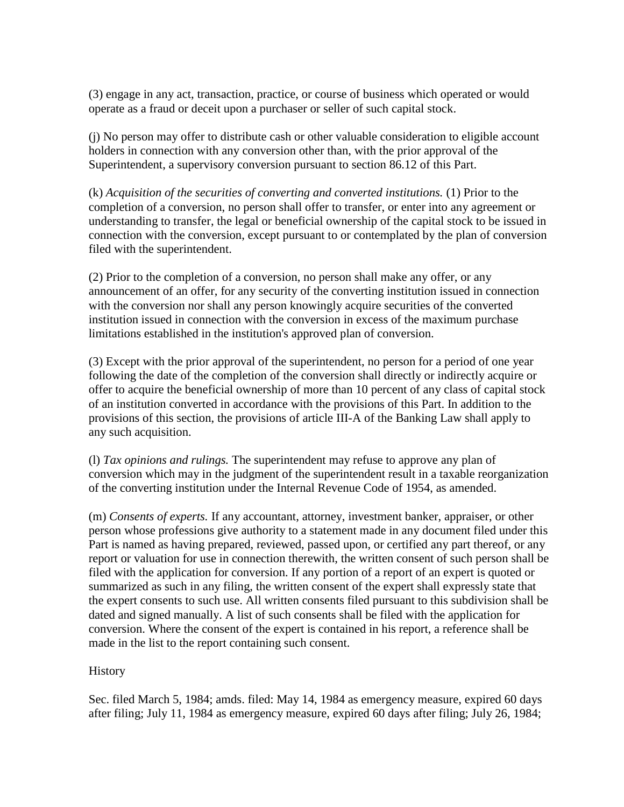(3) engage in any act, transaction, practice, or course of business which operated or would operate as a fraud or deceit upon a purchaser or seller of such capital stock.

(j) No person may offer to distribute cash or other valuable consideration to eligible account holders in connection with any conversion other than, with the prior approval of the Superintendent, a supervisory conversion pursuant to section 86.12 of this Part.

(k) *Acquisition of the securities of converting and converted institutions.* (1) Prior to the completion of a conversion, no person shall offer to transfer, or enter into any agreement or understanding to transfer, the legal or beneficial ownership of the capital stock to be issued in connection with the conversion, except pursuant to or contemplated by the plan of conversion filed with the superintendent.

(2) Prior to the completion of a conversion, no person shall make any offer, or any announcement of an offer, for any security of the converting institution issued in connection with the conversion nor shall any person knowingly acquire securities of the converted institution issued in connection with the conversion in excess of the maximum purchase limitations established in the institution's approved plan of conversion.

(3) Except with the prior approval of the superintendent, no person for a period of one year following the date of the completion of the conversion shall directly or indirectly acquire or offer to acquire the beneficial ownership of more than 10 percent of any class of capital stock of an institution converted in accordance with the provisions of this Part. In addition to the provisions of this section, the provisions of article III-A of the Banking Law shall apply to any such acquisition.

(l) *Tax opinions and rulings.* The superintendent may refuse to approve any plan of conversion which may in the judgment of the superintendent result in a taxable reorganization of the converting institution under the Internal Revenue Code of 1954, as amended.

(m) *Consents of experts.* If any accountant, attorney, investment banker, appraiser, or other person whose professions give authority to a statement made in any document filed under this Part is named as having prepared, reviewed, passed upon, or certified any part thereof, or any report or valuation for use in connection therewith, the written consent of such person shall be filed with the application for conversion. If any portion of a report of an expert is quoted or summarized as such in any filing, the written consent of the expert shall expressly state that the expert consents to such use. All written consents filed pursuant to this subdivision shall be dated and signed manually. A list of such consents shall be filed with the application for conversion. Where the consent of the expert is contained in his report, a reference shall be made in the list to the report containing such consent.

### **History**

Sec. filed March 5, 1984; amds. filed: May 14, 1984 as emergency measure, expired 60 days after filing; July 11, 1984 as emergency measure, expired 60 days after filing; July 26, 1984;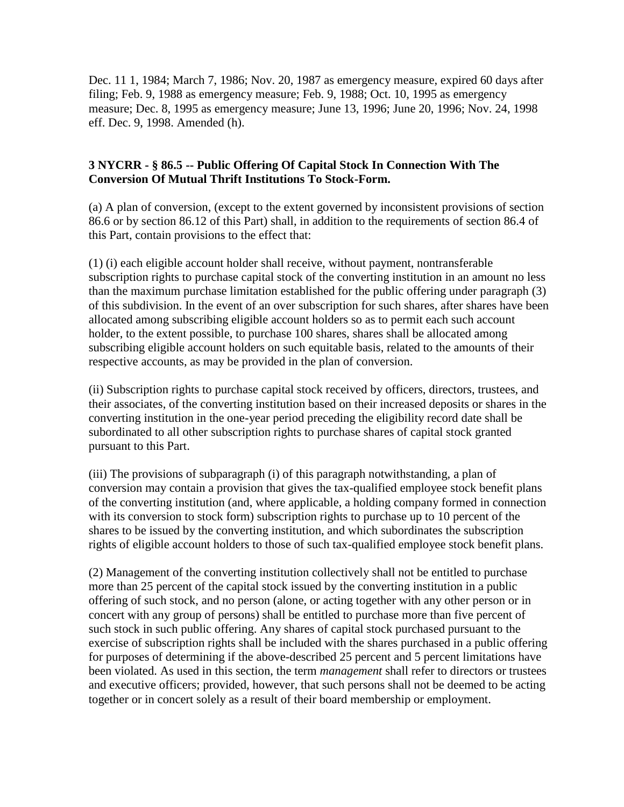Dec. 11 1, 1984; March 7, 1986; Nov. 20, 1987 as emergency measure, expired 60 days after filing; Feb. 9, 1988 as emergency measure; Feb. 9, 1988; Oct. 10, 1995 as emergency measure; Dec. 8, 1995 as emergency measure; June 13, 1996; June 20, 1996; Nov. 24, 1998 eff. Dec. 9, 1998. Amended (h).

### **3 NYCRR - § 86.5 -- Public Offering Of Capital Stock In Connection With The Conversion Of Mutual Thrift Institutions To Stock-Form.**

(a) A plan of conversion, (except to the extent governed by inconsistent provisions of section 86.6 or by section 86.12 of this Part) shall, in addition to the requirements of section 86.4 of this Part, contain provisions to the effect that:

(1) (i) each eligible account holder shall receive, without payment, nontransferable subscription rights to purchase capital stock of the converting institution in an amount no less than the maximum purchase limitation established for the public offering under paragraph (3) of this subdivision. In the event of an over subscription for such shares, after shares have been allocated among subscribing eligible account holders so as to permit each such account holder, to the extent possible, to purchase 100 shares, shares shall be allocated among subscribing eligible account holders on such equitable basis, related to the amounts of their respective accounts, as may be provided in the plan of conversion.

(ii) Subscription rights to purchase capital stock received by officers, directors, trustees, and their associates, of the converting institution based on their increased deposits or shares in the converting institution in the one-year period preceding the eligibility record date shall be subordinated to all other subscription rights to purchase shares of capital stock granted pursuant to this Part.

(iii) The provisions of subparagraph (i) of this paragraph notwithstanding, a plan of conversion may contain a provision that gives the tax-qualified employee stock benefit plans of the converting institution (and, where applicable, a holding company formed in connection with its conversion to stock form) subscription rights to purchase up to 10 percent of the shares to be issued by the converting institution, and which subordinates the subscription rights of eligible account holders to those of such tax-qualified employee stock benefit plans.

(2) Management of the converting institution collectively shall not be entitled to purchase more than 25 percent of the capital stock issued by the converting institution in a public offering of such stock, and no person (alone, or acting together with any other person or in concert with any group of persons) shall be entitled to purchase more than five percent of such stock in such public offering. Any shares of capital stock purchased pursuant to the exercise of subscription rights shall be included with the shares purchased in a public offering for purposes of determining if the above-described 25 percent and 5 percent limitations have been violated. As used in this section, the term *management* shall refer to directors or trustees and executive officers; provided, however, that such persons shall not be deemed to be acting together or in concert solely as a result of their board membership or employment.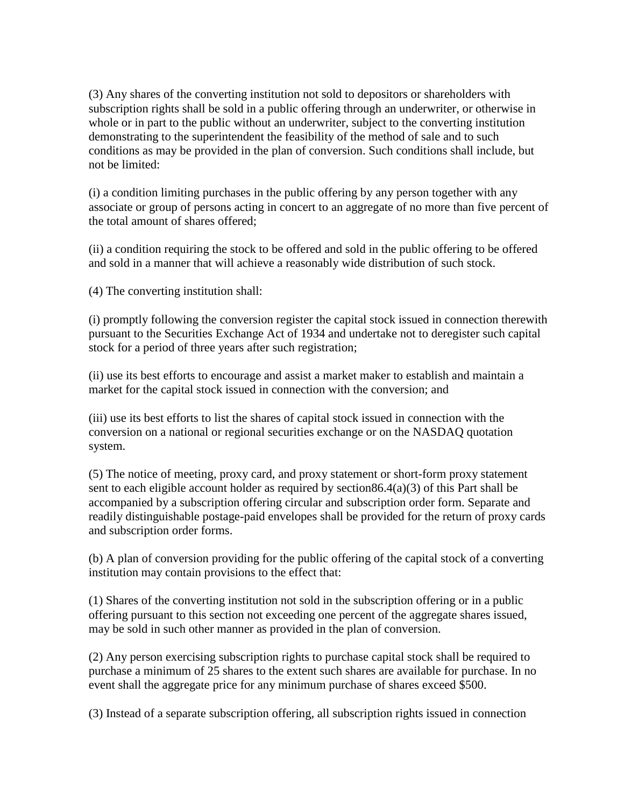(3) Any shares of the converting institution not sold to depositors or shareholders with subscription rights shall be sold in a public offering through an underwriter, or otherwise in whole or in part to the public without an underwriter, subject to the converting institution demonstrating to the superintendent the feasibility of the method of sale and to such conditions as may be provided in the plan of conversion. Such conditions shall include, but not be limited:

(i) a condition limiting purchases in the public offering by any person together with any associate or group of persons acting in concert to an aggregate of no more than five percent of the total amount of shares offered;

(ii) a condition requiring the stock to be offered and sold in the public offering to be offered and sold in a manner that will achieve a reasonably wide distribution of such stock.

(4) The converting institution shall:

(i) promptly following the conversion register the capital stock issued in connection therewith pursuant to the Securities Exchange Act of 1934 and undertake not to deregister such capital stock for a period of three years after such registration;

(ii) use its best efforts to encourage and assist a market maker to establish and maintain a market for the capital stock issued in connection with the conversion; and

(iii) use its best efforts to list the shares of capital stock issued in connection with the conversion on a national or regional securities exchange or on the NASDAQ quotation system.

(5) The notice of meeting, proxy card, and proxy statement or short-form proxy statement sent to each eligible account holder as required by section86.4(a)(3) of this Part shall be accompanied by a subscription offering circular and subscription order form. Separate and readily distinguishable postage-paid envelopes shall be provided for the return of proxy cards and subscription order forms.

(b) A plan of conversion providing for the public offering of the capital stock of a converting institution may contain provisions to the effect that:

(1) Shares of the converting institution not sold in the subscription offering or in a public offering pursuant to this section not exceeding one percent of the aggregate shares issued, may be sold in such other manner as provided in the plan of conversion.

(2) Any person exercising subscription rights to purchase capital stock shall be required to purchase a minimum of 25 shares to the extent such shares are available for purchase. In no event shall the aggregate price for any minimum purchase of shares exceed \$500.

(3) Instead of a separate subscription offering, all subscription rights issued in connection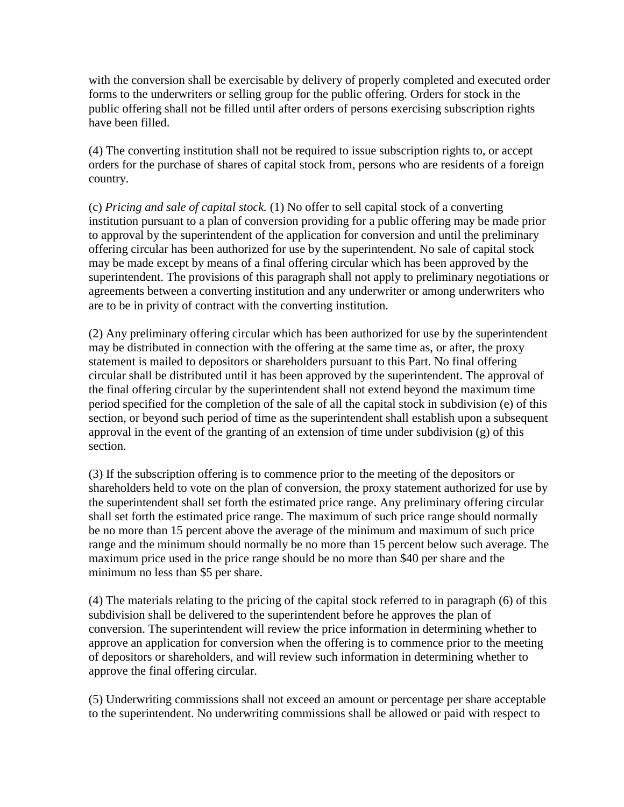with the conversion shall be exercisable by delivery of properly completed and executed order forms to the underwriters or selling group for the public offering. Orders for stock in the public offering shall not be filled until after orders of persons exercising subscription rights have been filled.

(4) The converting institution shall not be required to issue subscription rights to, or accept orders for the purchase of shares of capital stock from, persons who are residents of a foreign country.

(c) *Pricing and sale of capital stock.* (1) No offer to sell capital stock of a converting institution pursuant to a plan of conversion providing for a public offering may be made prior to approval by the superintendent of the application for conversion and until the preliminary offering circular has been authorized for use by the superintendent. No sale of capital stock may be made except by means of a final offering circular which has been approved by the superintendent. The provisions of this paragraph shall not apply to preliminary negotiations or agreements between a converting institution and any underwriter or among underwriters who are to be in privity of contract with the converting institution.

(2) Any preliminary offering circular which has been authorized for use by the superintendent may be distributed in connection with the offering at the same time as, or after, the proxy statement is mailed to depositors or shareholders pursuant to this Part. No final offering circular shall be distributed until it has been approved by the superintendent. The approval of the final offering circular by the superintendent shall not extend beyond the maximum time period specified for the completion of the sale of all the capital stock in subdivision (e) of this section, or beyond such period of time as the superintendent shall establish upon a subsequent approval in the event of the granting of an extension of time under subdivision (g) of this section.

(3) If the subscription offering is to commence prior to the meeting of the depositors or shareholders held to vote on the plan of conversion, the proxy statement authorized for use by the superintendent shall set forth the estimated price range. Any preliminary offering circular shall set forth the estimated price range. The maximum of such price range should normally be no more than 15 percent above the average of the minimum and maximum of such price range and the minimum should normally be no more than 15 percent below such average. The maximum price used in the price range should be no more than \$40 per share and the minimum no less than \$5 per share.

(4) The materials relating to the pricing of the capital stock referred to in paragraph (6) of this subdivision shall be delivered to the superintendent before he approves the plan of conversion. The superintendent will review the price information in determining whether to approve an application for conversion when the offering is to commence prior to the meeting of depositors or shareholders, and will review such information in determining whether to approve the final offering circular.

(5) Underwriting commissions shall not exceed an amount or percentage per share acceptable to the superintendent. No underwriting commissions shall be allowed or paid with respect to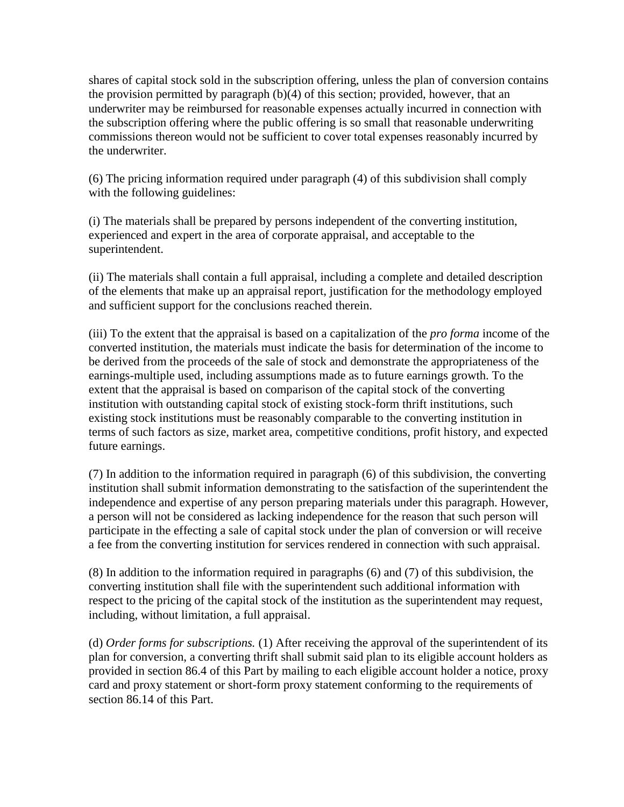shares of capital stock sold in the subscription offering, unless the plan of conversion contains the provision permitted by paragraph (b)(4) of this section; provided, however, that an underwriter may be reimbursed for reasonable expenses actually incurred in connection with the subscription offering where the public offering is so small that reasonable underwriting commissions thereon would not be sufficient to cover total expenses reasonably incurred by the underwriter.

(6) The pricing information required under paragraph (4) of this subdivision shall comply with the following guidelines:

(i) The materials shall be prepared by persons independent of the converting institution, experienced and expert in the area of corporate appraisal, and acceptable to the superintendent.

(ii) The materials shall contain a full appraisal, including a complete and detailed description of the elements that make up an appraisal report, justification for the methodology employed and sufficient support for the conclusions reached therein.

(iii) To the extent that the appraisal is based on a capitalization of the *pro forma* income of the converted institution, the materials must indicate the basis for determination of the income to be derived from the proceeds of the sale of stock and demonstrate the appropriateness of the earnings-multiple used, including assumptions made as to future earnings growth. To the extent that the appraisal is based on comparison of the capital stock of the converting institution with outstanding capital stock of existing stock-form thrift institutions, such existing stock institutions must be reasonably comparable to the converting institution in terms of such factors as size, market area, competitive conditions, profit history, and expected future earnings.

(7) In addition to the information required in paragraph (6) of this subdivision, the converting institution shall submit information demonstrating to the satisfaction of the superintendent the independence and expertise of any person preparing materials under this paragraph. However, a person will not be considered as lacking independence for the reason that such person will participate in the effecting a sale of capital stock under the plan of conversion or will receive a fee from the converting institution for services rendered in connection with such appraisal.

(8) In addition to the information required in paragraphs (6) and (7) of this subdivision, the converting institution shall file with the superintendent such additional information with respect to the pricing of the capital stock of the institution as the superintendent may request, including, without limitation, a full appraisal.

(d) *Order forms for subscriptions.* (1) After receiving the approval of the superintendent of its plan for conversion, a converting thrift shall submit said plan to its eligible account holders as provided in section 86.4 of this Part by mailing to each eligible account holder a notice, proxy card and proxy statement or short-form proxy statement conforming to the requirements of section 86.14 of this Part.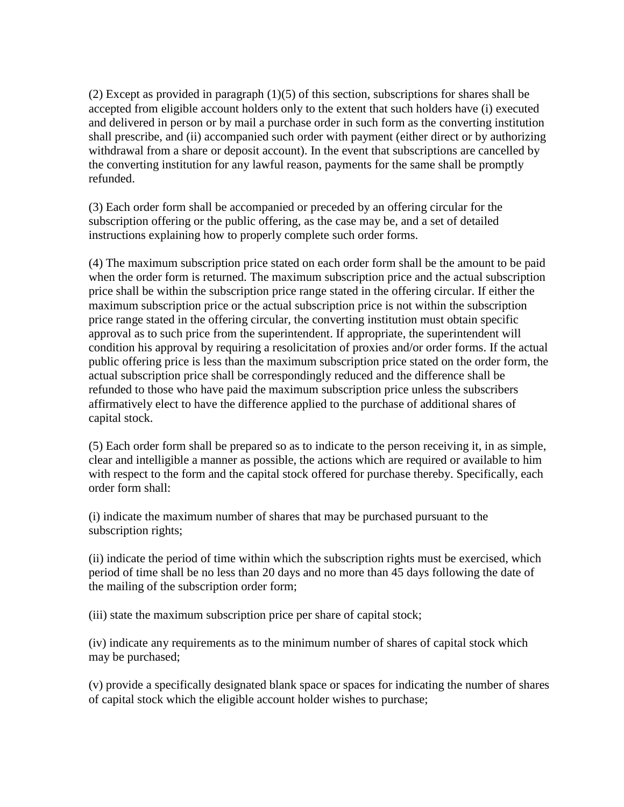(2) Except as provided in paragraph (1)(5) of this section, subscriptions for shares shall be accepted from eligible account holders only to the extent that such holders have (i) executed and delivered in person or by mail a purchase order in such form as the converting institution shall prescribe, and (ii) accompanied such order with payment (either direct or by authorizing withdrawal from a share or deposit account). In the event that subscriptions are cancelled by the converting institution for any lawful reason, payments for the same shall be promptly refunded.

(3) Each order form shall be accompanied or preceded by an offering circular for the subscription offering or the public offering, as the case may be, and a set of detailed instructions explaining how to properly complete such order forms.

(4) The maximum subscription price stated on each order form shall be the amount to be paid when the order form is returned. The maximum subscription price and the actual subscription price shall be within the subscription price range stated in the offering circular. If either the maximum subscription price or the actual subscription price is not within the subscription price range stated in the offering circular, the converting institution must obtain specific approval as to such price from the superintendent. If appropriate, the superintendent will condition his approval by requiring a resolicitation of proxies and/or order forms. If the actual public offering price is less than the maximum subscription price stated on the order form, the actual subscription price shall be correspondingly reduced and the difference shall be refunded to those who have paid the maximum subscription price unless the subscribers affirmatively elect to have the difference applied to the purchase of additional shares of capital stock.

(5) Each order form shall be prepared so as to indicate to the person receiving it, in as simple, clear and intelligible a manner as possible, the actions which are required or available to him with respect to the form and the capital stock offered for purchase thereby. Specifically, each order form shall:

(i) indicate the maximum number of shares that may be purchased pursuant to the subscription rights;

(ii) indicate the period of time within which the subscription rights must be exercised, which period of time shall be no less than 20 days and no more than 45 days following the date of the mailing of the subscription order form;

(iii) state the maximum subscription price per share of capital stock;

(iv) indicate any requirements as to the minimum number of shares of capital stock which may be purchased;

(v) provide a specifically designated blank space or spaces for indicating the number of shares of capital stock which the eligible account holder wishes to purchase;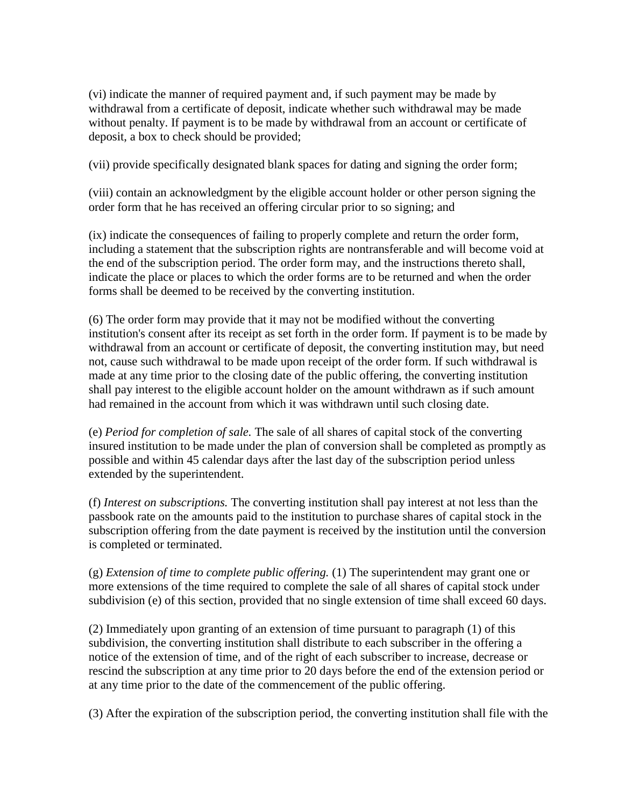(vi) indicate the manner of required payment and, if such payment may be made by withdrawal from a certificate of deposit, indicate whether such withdrawal may be made without penalty. If payment is to be made by withdrawal from an account or certificate of deposit, a box to check should be provided;

(vii) provide specifically designated blank spaces for dating and signing the order form;

(viii) contain an acknowledgment by the eligible account holder or other person signing the order form that he has received an offering circular prior to so signing; and

(ix) indicate the consequences of failing to properly complete and return the order form, including a statement that the subscription rights are nontransferable and will become void at the end of the subscription period. The order form may, and the instructions thereto shall, indicate the place or places to which the order forms are to be returned and when the order forms shall be deemed to be received by the converting institution.

(6) The order form may provide that it may not be modified without the converting institution's consent after its receipt as set forth in the order form. If payment is to be made by withdrawal from an account or certificate of deposit, the converting institution may, but need not, cause such withdrawal to be made upon receipt of the order form. If such withdrawal is made at any time prior to the closing date of the public offering, the converting institution shall pay interest to the eligible account holder on the amount withdrawn as if such amount had remained in the account from which it was withdrawn until such closing date.

(e) *Period for completion of sale.* The sale of all shares of capital stock of the converting insured institution to be made under the plan of conversion shall be completed as promptly as possible and within 45 calendar days after the last day of the subscription period unless extended by the superintendent.

(f) *Interest on subscriptions.* The converting institution shall pay interest at not less than the passbook rate on the amounts paid to the institution to purchase shares of capital stock in the subscription offering from the date payment is received by the institution until the conversion is completed or terminated.

(g) *Extension of time to complete public offering.* (1) The superintendent may grant one or more extensions of the time required to complete the sale of all shares of capital stock under subdivision (e) of this section, provided that no single extension of time shall exceed 60 days.

(2) Immediately upon granting of an extension of time pursuant to paragraph (1) of this subdivision, the converting institution shall distribute to each subscriber in the offering a notice of the extension of time, and of the right of each subscriber to increase, decrease or rescind the subscription at any time prior to 20 days before the end of the extension period or at any time prior to the date of the commencement of the public offering.

(3) After the expiration of the subscription period, the converting institution shall file with the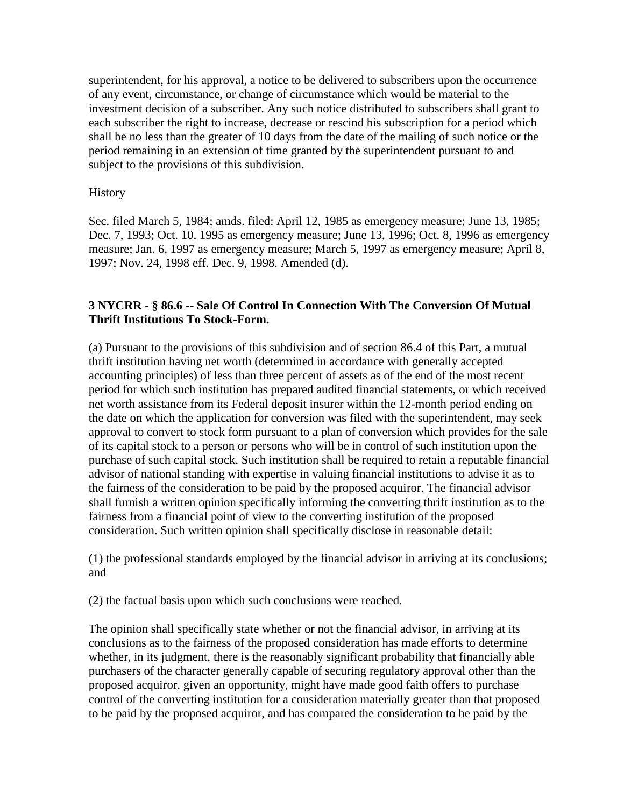superintendent, for his approval, a notice to be delivered to subscribers upon the occurrence of any event, circumstance, or change of circumstance which would be material to the investment decision of a subscriber. Any such notice distributed to subscribers shall grant to each subscriber the right to increase, decrease or rescind his subscription for a period which shall be no less than the greater of 10 days from the date of the mailing of such notice or the period remaining in an extension of time granted by the superintendent pursuant to and subject to the provisions of this subdivision.

#### **History**

Sec. filed March 5, 1984; amds. filed: April 12, 1985 as emergency measure; June 13, 1985; Dec. 7, 1993; Oct. 10, 1995 as emergency measure; June 13, 1996; Oct. 8, 1996 as emergency measure; Jan. 6, 1997 as emergency measure; March 5, 1997 as emergency measure; April 8, 1997; Nov. 24, 1998 eff. Dec. 9, 1998. Amended (d).

### **3 NYCRR - § 86.6 -- Sale Of Control In Connection With The Conversion Of Mutual Thrift Institutions To Stock-Form.**

(a) Pursuant to the provisions of this subdivision and of section 86.4 of this Part, a mutual thrift institution having net worth (determined in accordance with generally accepted accounting principles) of less than three percent of assets as of the end of the most recent period for which such institution has prepared audited financial statements, or which received net worth assistance from its Federal deposit insurer within the 12-month period ending on the date on which the application for conversion was filed with the superintendent, may seek approval to convert to stock form pursuant to a plan of conversion which provides for the sale of its capital stock to a person or persons who will be in control of such institution upon the purchase of such capital stock. Such institution shall be required to retain a reputable financial advisor of national standing with expertise in valuing financial institutions to advise it as to the fairness of the consideration to be paid by the proposed acquiror. The financial advisor shall furnish a written opinion specifically informing the converting thrift institution as to the fairness from a financial point of view to the converting institution of the proposed consideration. Such written opinion shall specifically disclose in reasonable detail:

(1) the professional standards employed by the financial advisor in arriving at its conclusions; and

(2) the factual basis upon which such conclusions were reached.

The opinion shall specifically state whether or not the financial advisor, in arriving at its conclusions as to the fairness of the proposed consideration has made efforts to determine whether, in its judgment, there is the reasonably significant probability that financially able purchasers of the character generally capable of securing regulatory approval other than the proposed acquiror, given an opportunity, might have made good faith offers to purchase control of the converting institution for a consideration materially greater than that proposed to be paid by the proposed acquiror, and has compared the consideration to be paid by the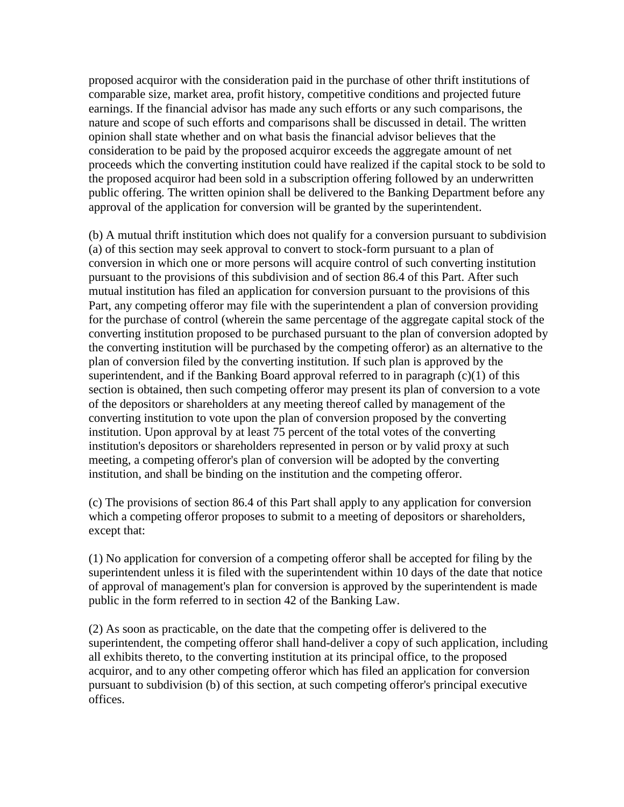proposed acquiror with the consideration paid in the purchase of other thrift institutions of comparable size, market area, profit history, competitive conditions and projected future earnings. If the financial advisor has made any such efforts or any such comparisons, the nature and scope of such efforts and comparisons shall be discussed in detail. The written opinion shall state whether and on what basis the financial advisor believes that the consideration to be paid by the proposed acquiror exceeds the aggregate amount of net proceeds which the converting institution could have realized if the capital stock to be sold to the proposed acquiror had been sold in a subscription offering followed by an underwritten public offering. The written opinion shall be delivered to the Banking Department before any approval of the application for conversion will be granted by the superintendent.

(b) A mutual thrift institution which does not qualify for a conversion pursuant to subdivision (a) of this section may seek approval to convert to stock-form pursuant to a plan of conversion in which one or more persons will acquire control of such converting institution pursuant to the provisions of this subdivision and of section 86.4 of this Part. After such mutual institution has filed an application for conversion pursuant to the provisions of this Part, any competing offeror may file with the superintendent a plan of conversion providing for the purchase of control (wherein the same percentage of the aggregate capital stock of the converting institution proposed to be purchased pursuant to the plan of conversion adopted by the converting institution will be purchased by the competing offeror) as an alternative to the plan of conversion filed by the converting institution. If such plan is approved by the superintendent, and if the Banking Board approval referred to in paragraph  $(c)(1)$  of this section is obtained, then such competing offeror may present its plan of conversion to a vote of the depositors or shareholders at any meeting thereof called by management of the converting institution to vote upon the plan of conversion proposed by the converting institution. Upon approval by at least 75 percent of the total votes of the converting institution's depositors or shareholders represented in person or by valid proxy at such meeting, a competing offeror's plan of conversion will be adopted by the converting institution, and shall be binding on the institution and the competing offeror.

(c) The provisions of section 86.4 of this Part shall apply to any application for conversion which a competing offeror proposes to submit to a meeting of depositors or shareholders, except that:

(1) No application for conversion of a competing offeror shall be accepted for filing by the superintendent unless it is filed with the superintendent within 10 days of the date that notice of approval of management's plan for conversion is approved by the superintendent is made public in the form referred to in section 42 of the Banking Law.

(2) As soon as practicable, on the date that the competing offer is delivered to the superintendent, the competing offeror shall hand-deliver a copy of such application, including all exhibits thereto, to the converting institution at its principal office, to the proposed acquiror, and to any other competing offeror which has filed an application for conversion pursuant to subdivision (b) of this section, at such competing offeror's principal executive offices.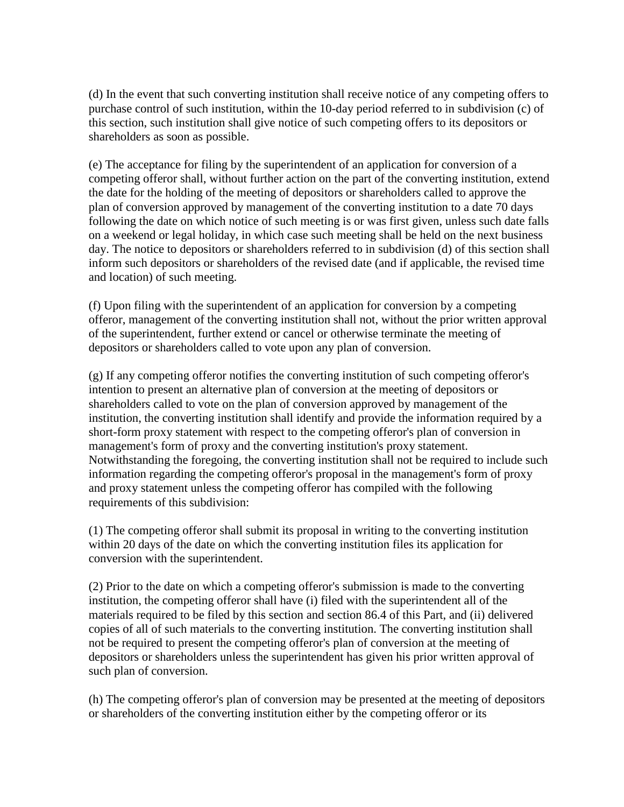(d) In the event that such converting institution shall receive notice of any competing offers to purchase control of such institution, within the 10-day period referred to in subdivision (c) of this section, such institution shall give notice of such competing offers to its depositors or shareholders as soon as possible.

(e) The acceptance for filing by the superintendent of an application for conversion of a competing offeror shall, without further action on the part of the converting institution, extend the date for the holding of the meeting of depositors or shareholders called to approve the plan of conversion approved by management of the converting institution to a date 70 days following the date on which notice of such meeting is or was first given, unless such date falls on a weekend or legal holiday, in which case such meeting shall be held on the next business day. The notice to depositors or shareholders referred to in subdivision (d) of this section shall inform such depositors or shareholders of the revised date (and if applicable, the revised time and location) of such meeting.

(f) Upon filing with the superintendent of an application for conversion by a competing offeror, management of the converting institution shall not, without the prior written approval of the superintendent, further extend or cancel or otherwise terminate the meeting of depositors or shareholders called to vote upon any plan of conversion.

(g) If any competing offeror notifies the converting institution of such competing offeror's intention to present an alternative plan of conversion at the meeting of depositors or shareholders called to vote on the plan of conversion approved by management of the institution, the converting institution shall identify and provide the information required by a short-form proxy statement with respect to the competing offeror's plan of conversion in management's form of proxy and the converting institution's proxy statement. Notwithstanding the foregoing, the converting institution shall not be required to include such information regarding the competing offeror's proposal in the management's form of proxy and proxy statement unless the competing offeror has compiled with the following requirements of this subdivision:

(1) The competing offeror shall submit its proposal in writing to the converting institution within 20 days of the date on which the converting institution files its application for conversion with the superintendent.

(2) Prior to the date on which a competing offeror's submission is made to the converting institution, the competing offeror shall have (i) filed with the superintendent all of the materials required to be filed by this section and section 86.4 of this Part, and (ii) delivered copies of all of such materials to the converting institution. The converting institution shall not be required to present the competing offeror's plan of conversion at the meeting of depositors or shareholders unless the superintendent has given his prior written approval of such plan of conversion.

(h) The competing offeror's plan of conversion may be presented at the meeting of depositors or shareholders of the converting institution either by the competing offeror or its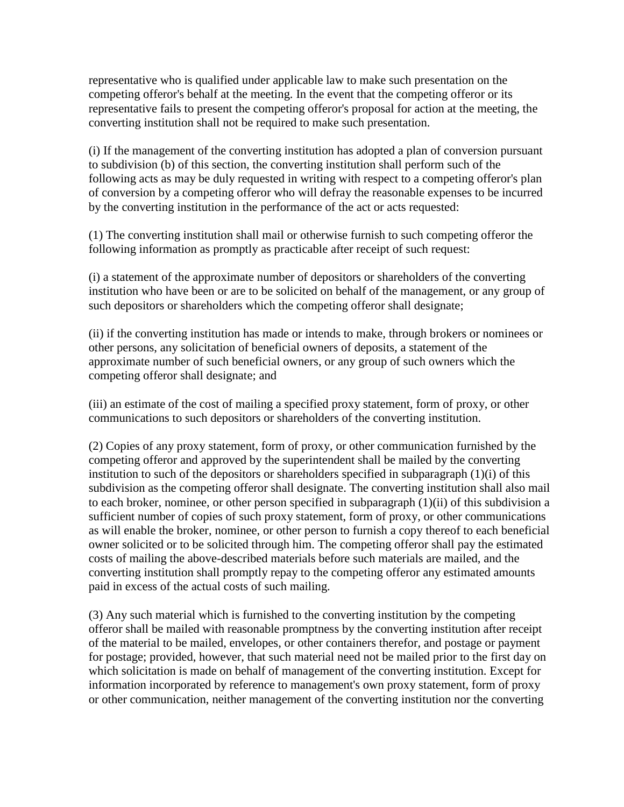representative who is qualified under applicable law to make such presentation on the competing offeror's behalf at the meeting. In the event that the competing offeror or its representative fails to present the competing offeror's proposal for action at the meeting, the converting institution shall not be required to make such presentation.

(i) If the management of the converting institution has adopted a plan of conversion pursuant to subdivision (b) of this section, the converting institution shall perform such of the following acts as may be duly requested in writing with respect to a competing offeror's plan of conversion by a competing offeror who will defray the reasonable expenses to be incurred by the converting institution in the performance of the act or acts requested:

(1) The converting institution shall mail or otherwise furnish to such competing offeror the following information as promptly as practicable after receipt of such request:

(i) a statement of the approximate number of depositors or shareholders of the converting institution who have been or are to be solicited on behalf of the management, or any group of such depositors or shareholders which the competing offeror shall designate;

(ii) if the converting institution has made or intends to make, through brokers or nominees or other persons, any solicitation of beneficial owners of deposits, a statement of the approximate number of such beneficial owners, or any group of such owners which the competing offeror shall designate; and

(iii) an estimate of the cost of mailing a specified proxy statement, form of proxy, or other communications to such depositors or shareholders of the converting institution.

(2) Copies of any proxy statement, form of proxy, or other communication furnished by the competing offeror and approved by the superintendent shall be mailed by the converting institution to such of the depositors or shareholders specified in subparagraph (1)(i) of this subdivision as the competing offeror shall designate. The converting institution shall also mail to each broker, nominee, or other person specified in subparagraph (1)(ii) of this subdivision a sufficient number of copies of such proxy statement, form of proxy, or other communications as will enable the broker, nominee, or other person to furnish a copy thereof to each beneficial owner solicited or to be solicited through him. The competing offeror shall pay the estimated costs of mailing the above-described materials before such materials are mailed, and the converting institution shall promptly repay to the competing offeror any estimated amounts paid in excess of the actual costs of such mailing.

(3) Any such material which is furnished to the converting institution by the competing offeror shall be mailed with reasonable promptness by the converting institution after receipt of the material to be mailed, envelopes, or other containers therefor, and postage or payment for postage; provided, however, that such material need not be mailed prior to the first day on which solicitation is made on behalf of management of the converting institution. Except for information incorporated by reference to management's own proxy statement, form of proxy or other communication, neither management of the converting institution nor the converting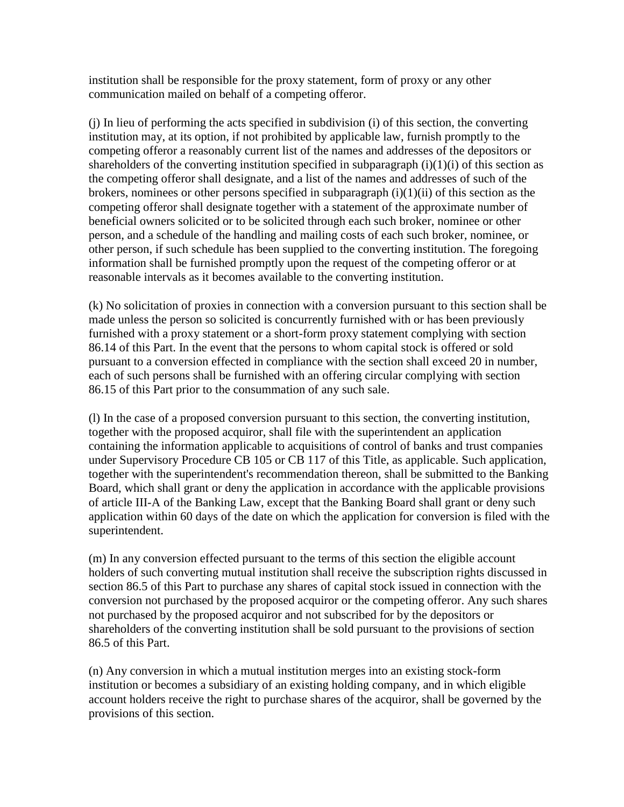institution shall be responsible for the proxy statement, form of proxy or any other communication mailed on behalf of a competing offeror.

(j) In lieu of performing the acts specified in subdivision (i) of this section, the converting institution may, at its option, if not prohibited by applicable law, furnish promptly to the competing offeror a reasonably current list of the names and addresses of the depositors or shareholders of the converting institution specified in subparagraph  $(i)(1)(i)$  of this section as the competing offeror shall designate, and a list of the names and addresses of such of the brokers, nominees or other persons specified in subparagraph  $(i)(1)(ii)$  of this section as the competing offeror shall designate together with a statement of the approximate number of beneficial owners solicited or to be solicited through each such broker, nominee or other person, and a schedule of the handling and mailing costs of each such broker, nominee, or other person, if such schedule has been supplied to the converting institution. The foregoing information shall be furnished promptly upon the request of the competing offeror or at reasonable intervals as it becomes available to the converting institution.

(k) No solicitation of proxies in connection with a conversion pursuant to this section shall be made unless the person so solicited is concurrently furnished with or has been previously furnished with a proxy statement or a short-form proxy statement complying with section 86.14 of this Part. In the event that the persons to whom capital stock is offered or sold pursuant to a conversion effected in compliance with the section shall exceed 20 in number, each of such persons shall be furnished with an offering circular complying with section 86.15 of this Part prior to the consummation of any such sale.

(l) In the case of a proposed conversion pursuant to this section, the converting institution, together with the proposed acquiror, shall file with the superintendent an application containing the information applicable to acquisitions of control of banks and trust companies under Supervisory Procedure CB 105 or CB 117 of this Title, as applicable. Such application, together with the superintendent's recommendation thereon, shall be submitted to the Banking Board, which shall grant or deny the application in accordance with the applicable provisions of article III-A of the Banking Law, except that the Banking Board shall grant or deny such application within 60 days of the date on which the application for conversion is filed with the superintendent.

(m) In any conversion effected pursuant to the terms of this section the eligible account holders of such converting mutual institution shall receive the subscription rights discussed in section 86.5 of this Part to purchase any shares of capital stock issued in connection with the conversion not purchased by the proposed acquiror or the competing offeror. Any such shares not purchased by the proposed acquiror and not subscribed for by the depositors or shareholders of the converting institution shall be sold pursuant to the provisions of section 86.5 of this Part.

(n) Any conversion in which a mutual institution merges into an existing stock-form institution or becomes a subsidiary of an existing holding company, and in which eligible account holders receive the right to purchase shares of the acquiror, shall be governed by the provisions of this section.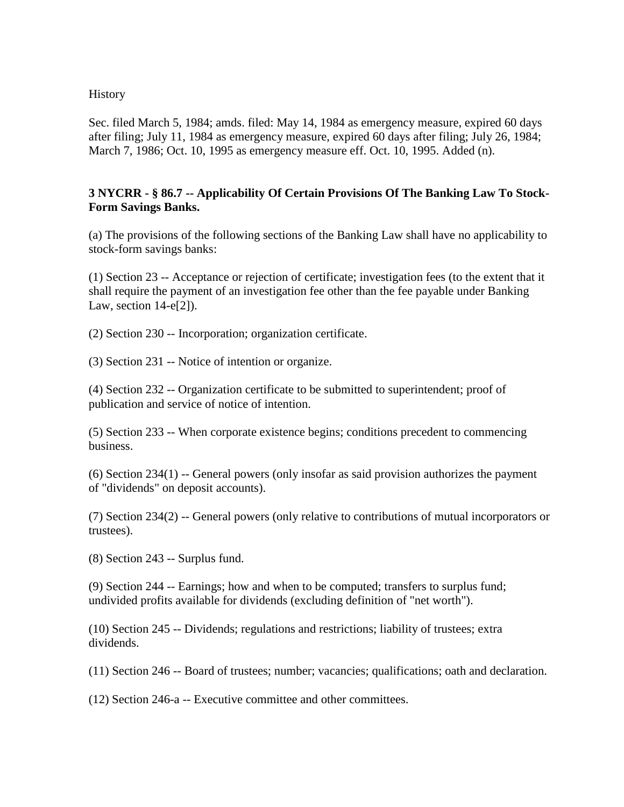#### History

Sec. filed March 5, 1984; amds. filed: May 14, 1984 as emergency measure, expired 60 days after filing; July 11, 1984 as emergency measure, expired 60 days after filing; July 26, 1984; March 7, 1986; Oct. 10, 1995 as emergency measure eff. Oct. 10, 1995. Added (n).

### **3 NYCRR - § 86.7 -- Applicability Of Certain Provisions Of The Banking Law To Stock-Form Savings Banks.**

(a) The provisions of the following sections of the Banking Law shall have no applicability to stock-form savings banks:

(1) Section 23 -- Acceptance or rejection of certificate; investigation fees (to the extent that it shall require the payment of an investigation fee other than the fee payable under Banking Law, section 14-e[2]).

(2) Section 230 -- Incorporation; organization certificate.

(3) Section 231 -- Notice of intention or organize.

(4) Section 232 -- Organization certificate to be submitted to superintendent; proof of publication and service of notice of intention.

(5) Section 233 -- When corporate existence begins; conditions precedent to commencing business.

(6) Section 234(1) -- General powers (only insofar as said provision authorizes the payment of "dividends" on deposit accounts).

(7) Section 234(2) -- General powers (only relative to contributions of mutual incorporators or trustees).

(8) Section 243 -- Surplus fund.

(9) Section 244 -- Earnings; how and when to be computed; transfers to surplus fund; undivided profits available for dividends (excluding definition of "net worth").

(10) Section 245 -- Dividends; regulations and restrictions; liability of trustees; extra dividends.

(11) Section 246 -- Board of trustees; number; vacancies; qualifications; oath and declaration.

(12) Section 246-a -- Executive committee and other committees.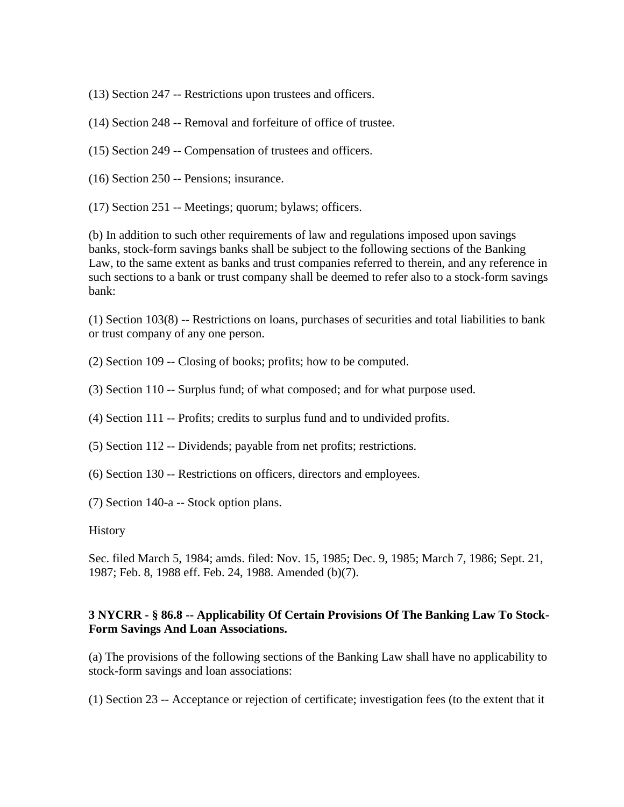(13) Section 247 -- Restrictions upon trustees and officers.

- (14) Section 248 -- Removal and forfeiture of office of trustee.
- (15) Section 249 -- Compensation of trustees and officers.
- (16) Section 250 -- Pensions; insurance.
- (17) Section 251 -- Meetings; quorum; bylaws; officers.

(b) In addition to such other requirements of law and regulations imposed upon savings banks, stock-form savings banks shall be subject to the following sections of the Banking Law, to the same extent as banks and trust companies referred to therein, and any reference in such sections to a bank or trust company shall be deemed to refer also to a stock-form savings bank:

(1) Section 103(8) -- Restrictions on loans, purchases of securities and total liabilities to bank or trust company of any one person.

- (2) Section 109 -- Closing of books; profits; how to be computed.
- (3) Section 110 -- Surplus fund; of what composed; and for what purpose used.
- (4) Section 111 -- Profits; credits to surplus fund and to undivided profits.
- (5) Section 112 -- Dividends; payable from net profits; restrictions.
- (6) Section 130 -- Restrictions on officers, directors and employees.
- (7) Section 140-a -- Stock option plans.

#### History

Sec. filed March 5, 1984; amds. filed: Nov. 15, 1985; Dec. 9, 1985; March 7, 1986; Sept. 21, 1987; Feb. 8, 1988 eff. Feb. 24, 1988. Amended (b)(7).

#### **3 NYCRR - § 86.8 -- Applicability Of Certain Provisions Of The Banking Law To Stock-Form Savings And Loan Associations.**

(a) The provisions of the following sections of the Banking Law shall have no applicability to stock-form savings and loan associations:

(1) Section 23 -- Acceptance or rejection of certificate; investigation fees (to the extent that it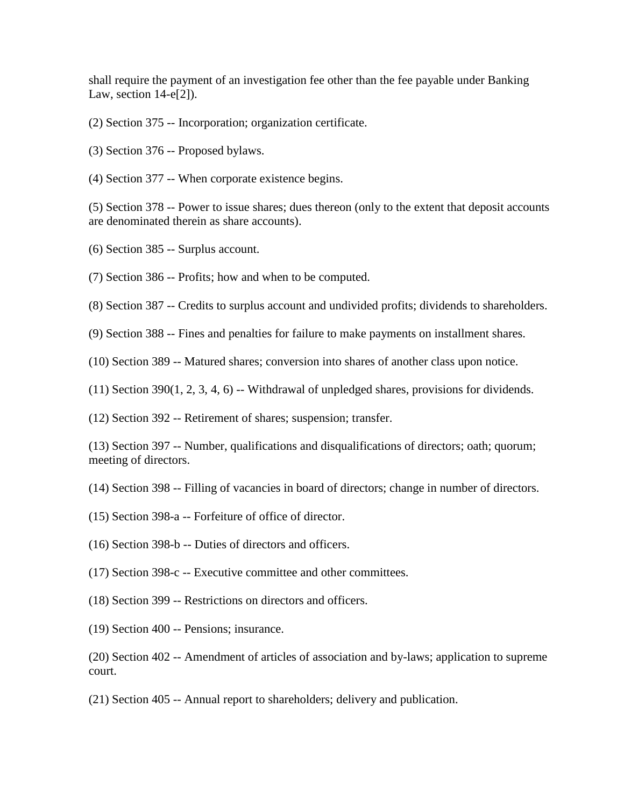shall require the payment of an investigation fee other than the fee payable under Banking Law, section 14-e[2]).

- (2) Section 375 -- Incorporation; organization certificate.
- (3) Section 376 -- Proposed bylaws.
- (4) Section 377 -- When corporate existence begins.

(5) Section 378 -- Power to issue shares; dues thereon (only to the extent that deposit accounts are denominated therein as share accounts).

- (6) Section 385 -- Surplus account.
- (7) Section 386 -- Profits; how and when to be computed.

(8) Section 387 -- Credits to surplus account and undivided profits; dividends to shareholders.

(9) Section 388 -- Fines and penalties for failure to make payments on installment shares.

(10) Section 389 -- Matured shares; conversion into shares of another class upon notice.

 $(11)$  Section 390 $(1, 2, 3, 4, 6)$  -- Withdrawal of unpledged shares, provisions for dividends.

(12) Section 392 -- Retirement of shares; suspension; transfer.

(13) Section 397 -- Number, qualifications and disqualifications of directors; oath; quorum; meeting of directors.

(14) Section 398 -- Filling of vacancies in board of directors; change in number of directors.

- (15) Section 398-a -- Forfeiture of office of director.
- (16) Section 398-b -- Duties of directors and officers.
- (17) Section 398-c -- Executive committee and other committees.
- (18) Section 399 -- Restrictions on directors and officers.
- (19) Section 400 -- Pensions; insurance.

(20) Section 402 -- Amendment of articles of association and by-laws; application to supreme court.

(21) Section 405 -- Annual report to shareholders; delivery and publication.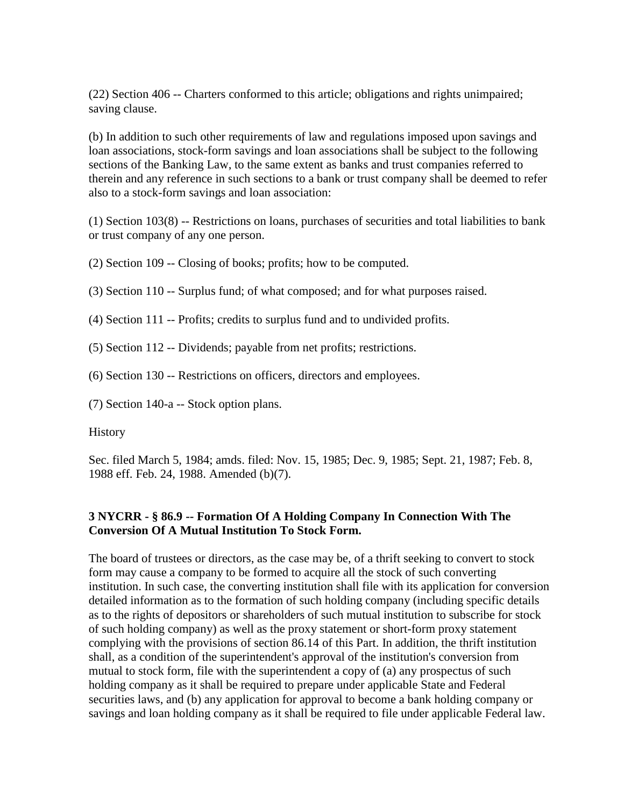(22) Section 406 -- Charters conformed to this article; obligations and rights unimpaired; saving clause.

(b) In addition to such other requirements of law and regulations imposed upon savings and loan associations, stock-form savings and loan associations shall be subject to the following sections of the Banking Law, to the same extent as banks and trust companies referred to therein and any reference in such sections to a bank or trust company shall be deemed to refer also to a stock-form savings and loan association:

(1) Section 103(8) -- Restrictions on loans, purchases of securities and total liabilities to bank or trust company of any one person.

(2) Section 109 -- Closing of books; profits; how to be computed.

(3) Section 110 -- Surplus fund; of what composed; and for what purposes raised.

(4) Section 111 -- Profits; credits to surplus fund and to undivided profits.

(5) Section 112 -- Dividends; payable from net profits; restrictions.

(6) Section 130 -- Restrictions on officers, directors and employees.

(7) Section 140-a -- Stock option plans.

History

Sec. filed March 5, 1984; amds. filed: Nov. 15, 1985; Dec. 9, 1985; Sept. 21, 1987; Feb. 8, 1988 eff. Feb. 24, 1988. Amended (b)(7).

## **3 NYCRR - § 86.9 -- Formation Of A Holding Company In Connection With The Conversion Of A Mutual Institution To Stock Form.**

The board of trustees or directors, as the case may be, of a thrift seeking to convert to stock form may cause a company to be formed to acquire all the stock of such converting institution. In such case, the converting institution shall file with its application for conversion detailed information as to the formation of such holding company (including specific details as to the rights of depositors or shareholders of such mutual institution to subscribe for stock of such holding company) as well as the proxy statement or short-form proxy statement complying with the provisions of section 86.14 of this Part. In addition, the thrift institution shall, as a condition of the superintendent's approval of the institution's conversion from mutual to stock form, file with the superintendent a copy of (a) any prospectus of such holding company as it shall be required to prepare under applicable State and Federal securities laws, and (b) any application for approval to become a bank holding company or savings and loan holding company as it shall be required to file under applicable Federal law.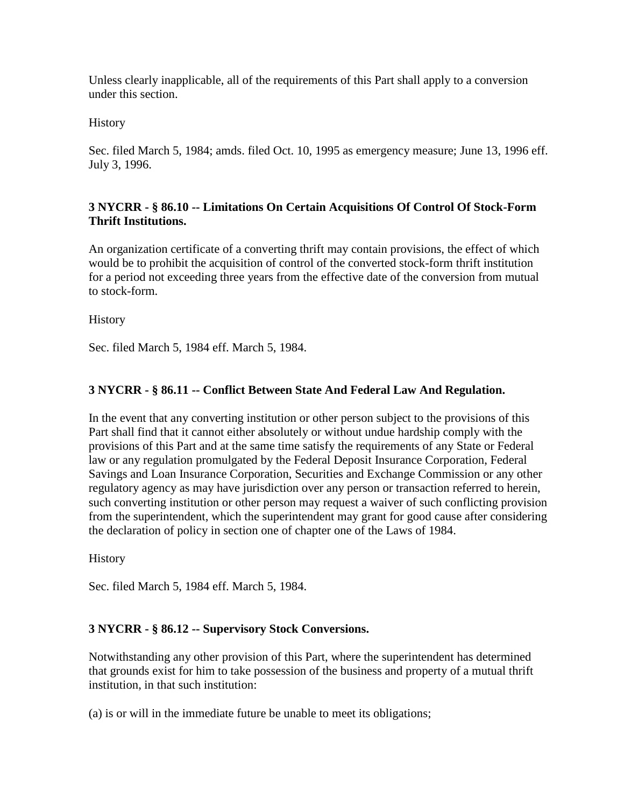Unless clearly inapplicable, all of the requirements of this Part shall apply to a conversion under this section.

**History** 

Sec. filed March 5, 1984; amds. filed Oct. 10, 1995 as emergency measure; June 13, 1996 eff. July 3, 1996.

## **3 NYCRR - § 86.10 -- Limitations On Certain Acquisitions Of Control Of Stock-Form Thrift Institutions.**

An organization certificate of a converting thrift may contain provisions, the effect of which would be to prohibit the acquisition of control of the converted stock-form thrift institution for a period not exceeding three years from the effective date of the conversion from mutual to stock-form.

History

Sec. filed March 5, 1984 eff. March 5, 1984.

## **3 NYCRR - § 86.11 -- Conflict Between State And Federal Law And Regulation.**

In the event that any converting institution or other person subject to the provisions of this Part shall find that it cannot either absolutely or without undue hardship comply with the provisions of this Part and at the same time satisfy the requirements of any State or Federal law or any regulation promulgated by the Federal Deposit Insurance Corporation, Federal Savings and Loan Insurance Corporation, Securities and Exchange Commission or any other regulatory agency as may have jurisdiction over any person or transaction referred to herein, such converting institution or other person may request a waiver of such conflicting provision from the superintendent, which the superintendent may grant for good cause after considering the declaration of policy in section one of chapter one of the Laws of 1984.

**History** 

Sec. filed March 5, 1984 eff. March 5, 1984.

## **3 NYCRR - § 86.12 -- Supervisory Stock Conversions.**

Notwithstanding any other provision of this Part, where the superintendent has determined that grounds exist for him to take possession of the business and property of a mutual thrift institution, in that such institution:

(a) is or will in the immediate future be unable to meet its obligations;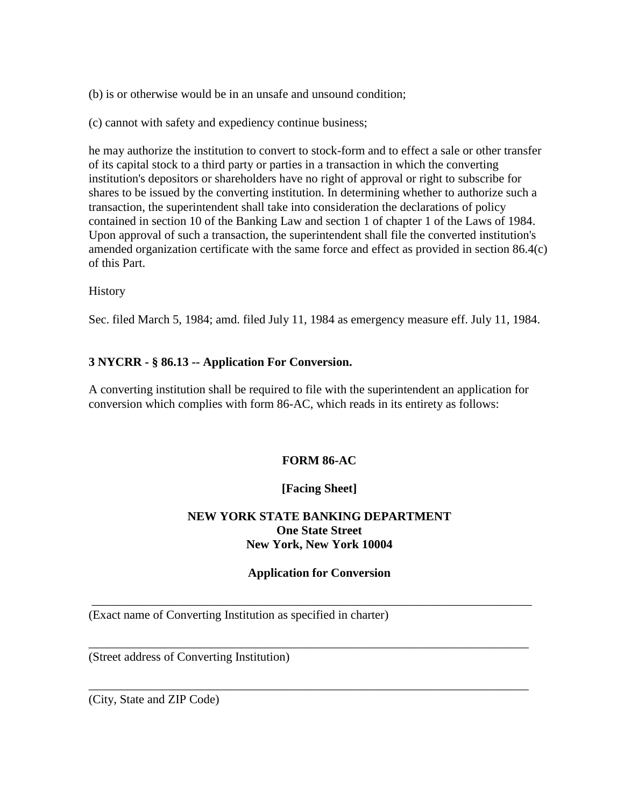(b) is or otherwise would be in an unsafe and unsound condition;

(c) cannot with safety and expediency continue business;

he may authorize the institution to convert to stock-form and to effect a sale or other transfer of its capital stock to a third party or parties in a transaction in which the converting institution's depositors or shareholders have no right of approval or right to subscribe for shares to be issued by the converting institution. In determining whether to authorize such a transaction, the superintendent shall take into consideration the declarations of policy contained in section 10 of the Banking Law and section 1 of chapter 1 of the Laws of 1984. Upon approval of such a transaction, the superintendent shall file the converted institution's amended organization certificate with the same force and effect as provided in section 86.4(c) of this Part.

History

Sec. filed March 5, 1984; amd. filed July 11, 1984 as emergency measure eff. July 11, 1984.

### **3 NYCRR - § 86.13 -- Application For Conversion.**

A converting institution shall be required to file with the superintendent an application for conversion which complies with form 86-AC, which reads in its entirety as follows:

### **FORM 86-AC**

### **[Facing Sheet]**

### **NEW YORK STATE BANKING DEPARTMENT One State Street New York, New York 10004**

#### **Application for Conversion**

\_\_\_\_\_\_\_\_\_\_\_\_\_\_\_\_\_\_\_\_\_\_\_\_\_\_\_\_\_\_\_\_\_\_\_\_\_\_\_\_\_\_\_\_\_\_\_\_\_\_\_\_\_\_\_\_\_\_\_\_\_\_\_\_\_\_\_\_\_\_\_\_

\_\_\_\_\_\_\_\_\_\_\_\_\_\_\_\_\_\_\_\_\_\_\_\_\_\_\_\_\_\_\_\_\_\_\_\_\_\_\_\_\_\_\_\_\_\_\_\_\_\_\_\_\_\_\_\_\_\_\_\_\_\_\_\_\_\_\_\_\_\_\_\_

\_\_\_\_\_\_\_\_\_\_\_\_\_\_\_\_\_\_\_\_\_\_\_\_\_\_\_\_\_\_\_\_\_\_\_\_\_\_\_\_\_\_\_\_\_\_\_\_\_\_\_\_\_\_\_\_\_\_\_\_\_\_\_\_\_\_\_\_\_\_\_\_

(Exact name of Converting Institution as specified in charter)

(Street address of Converting Institution)

(City, State and ZIP Code)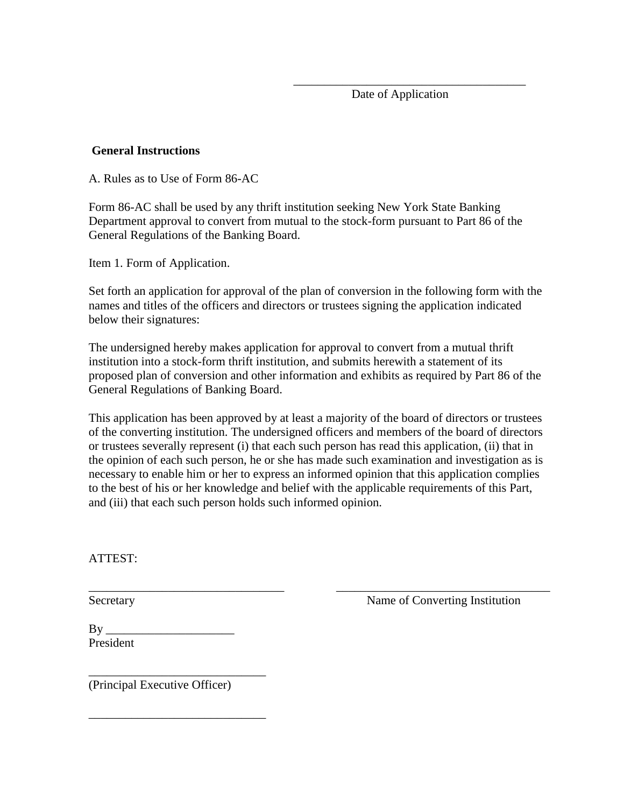Date of Application

#### **General Instructions**

A. Rules as to Use of Form 86-AC

Form 86-AC shall be used by any thrift institution seeking New York State Banking Department approval to convert from mutual to the stock-form pursuant to Part 86 of the General Regulations of the Banking Board.

 $\overline{\phantom{a}}$  ,  $\overline{\phantom{a}}$  ,  $\overline{\phantom{a}}$  ,  $\overline{\phantom{a}}$  ,  $\overline{\phantom{a}}$  ,  $\overline{\phantom{a}}$  ,  $\overline{\phantom{a}}$  ,  $\overline{\phantom{a}}$  ,  $\overline{\phantom{a}}$  ,  $\overline{\phantom{a}}$  ,  $\overline{\phantom{a}}$  ,  $\overline{\phantom{a}}$  ,  $\overline{\phantom{a}}$  ,  $\overline{\phantom{a}}$  ,  $\overline{\phantom{a}}$  ,  $\overline{\phantom{a}}$ 

Item 1. Form of Application.

Set forth an application for approval of the plan of conversion in the following form with the names and titles of the officers and directors or trustees signing the application indicated below their signatures:

The undersigned hereby makes application for approval to convert from a mutual thrift institution into a stock-form thrift institution, and submits herewith a statement of its proposed plan of conversion and other information and exhibits as required by Part 86 of the General Regulations of Banking Board.

This application has been approved by at least a majority of the board of directors or trustees of the converting institution. The undersigned officers and members of the board of directors or trustees severally represent (i) that each such person has read this application, (ii) that in the opinion of each such person, he or she has made such examination and investigation as is necessary to enable him or her to express an informed opinion that this application complies to the best of his or her knowledge and belief with the applicable requirements of this Part, and (iii) that each such person holds such informed opinion.

\_\_\_\_\_\_\_\_\_\_\_\_\_\_\_\_\_\_\_\_\_\_\_\_\_\_\_\_\_\_\_\_ \_\_\_\_\_\_\_\_\_\_\_\_\_\_\_\_\_\_\_\_\_\_\_\_\_\_\_\_\_\_\_\_\_\_\_

ATTEST:

Secretary **Name of Converting Institution** 

By \_\_\_\_\_\_\_\_\_\_\_\_\_\_\_\_\_\_\_\_\_ President

(Principal Executive Officer)

\_\_\_\_\_\_\_\_\_\_\_\_\_\_\_\_\_\_\_\_\_\_\_\_\_\_\_\_\_

\_\_\_\_\_\_\_\_\_\_\_\_\_\_\_\_\_\_\_\_\_\_\_\_\_\_\_\_\_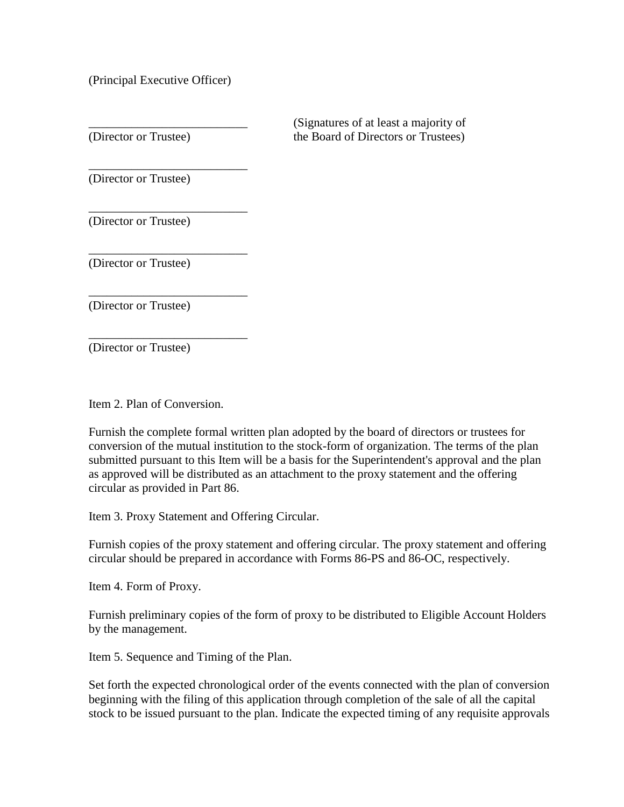(Principal Executive Officer)

\_\_\_\_\_\_\_\_\_\_\_\_\_\_\_\_\_\_\_\_\_\_\_\_\_\_ (Signatures of at least a majority of (Director or Trustee) the Board of Directors or Trustees)

\_\_\_\_\_\_\_\_\_\_\_\_\_\_\_\_\_\_\_\_\_\_\_\_\_\_ (Director or Trustee)

(Director or Trustee)

\_\_\_\_\_\_\_\_\_\_\_\_\_\_\_\_\_\_\_\_\_\_\_\_\_\_

\_\_\_\_\_\_\_\_\_\_\_\_\_\_\_\_\_\_\_\_\_\_\_\_\_\_

\_\_\_\_\_\_\_\_\_\_\_\_\_\_\_\_\_\_\_\_\_\_\_\_\_\_

\_\_\_\_\_\_\_\_\_\_\_\_\_\_\_\_\_\_\_\_\_\_\_\_\_\_

(Director or Trustee)

(Director or Trustee)

(Director or Trustee)

Item 2. Plan of Conversion.

Furnish the complete formal written plan adopted by the board of directors or trustees for conversion of the mutual institution to the stock-form of organization. The terms of the plan submitted pursuant to this Item will be a basis for the Superintendent's approval and the plan as approved will be distributed as an attachment to the proxy statement and the offering circular as provided in Part 86.

Item 3. Proxy Statement and Offering Circular.

Furnish copies of the proxy statement and offering circular. The proxy statement and offering circular should be prepared in accordance with Forms 86-PS and 86-OC, respectively.

Item 4. Form of Proxy.

Furnish preliminary copies of the form of proxy to be distributed to Eligible Account Holders by the management.

Item 5. Sequence and Timing of the Plan.

Set forth the expected chronological order of the events connected with the plan of conversion beginning with the filing of this application through completion of the sale of all the capital stock to be issued pursuant to the plan. Indicate the expected timing of any requisite approvals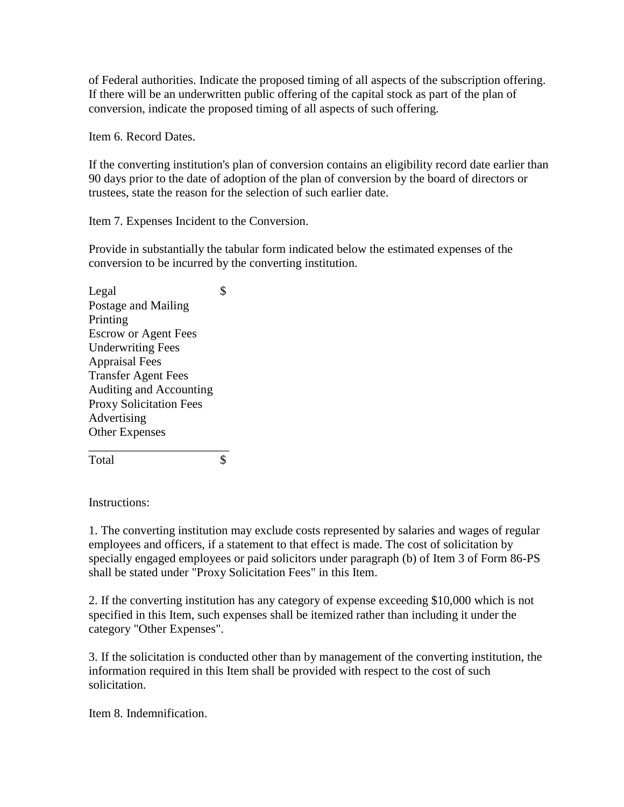of Federal authorities. Indicate the proposed timing of all aspects of the subscription offering. If there will be an underwritten public offering of the capital stock as part of the plan of conversion, indicate the proposed timing of all aspects of such offering.

Item 6. Record Dates.

If the converting institution's plan of conversion contains an eligibility record date earlier than 90 days prior to the date of adoption of the plan of conversion by the board of directors or trustees, state the reason for the selection of such earlier date.

Item 7. Expenses Incident to the Conversion.

Provide in substantially the tabular form indicated below the estimated expenses of the conversion to be incurred by the converting institution.

Legal  $\qquad$  \$ Postage and Mailing Printing Escrow or Agent Fees Underwriting Fees Appraisal Fees Transfer Agent Fees Auditing and Accounting Proxy Solicitation Fees Advertising Other Expenses \_\_\_\_\_\_\_\_\_\_\_\_\_\_\_\_\_\_\_\_\_\_\_

Total \$

Instructions:

1. The converting institution may exclude costs represented by salaries and wages of regular employees and officers, if a statement to that effect is made. The cost of solicitation by specially engaged employees or paid solicitors under paragraph (b) of Item 3 of Form 86-PS shall be stated under "Proxy Solicitation Fees" in this Item.

2. If the converting institution has any category of expense exceeding \$10,000 which is not specified in this Item, such expenses shall be itemized rather than including it under the category "Other Expenses".

3. If the solicitation is conducted other than by management of the converting institution, the information required in this Item shall be provided with respect to the cost of such solicitation.

Item 8. Indemnification.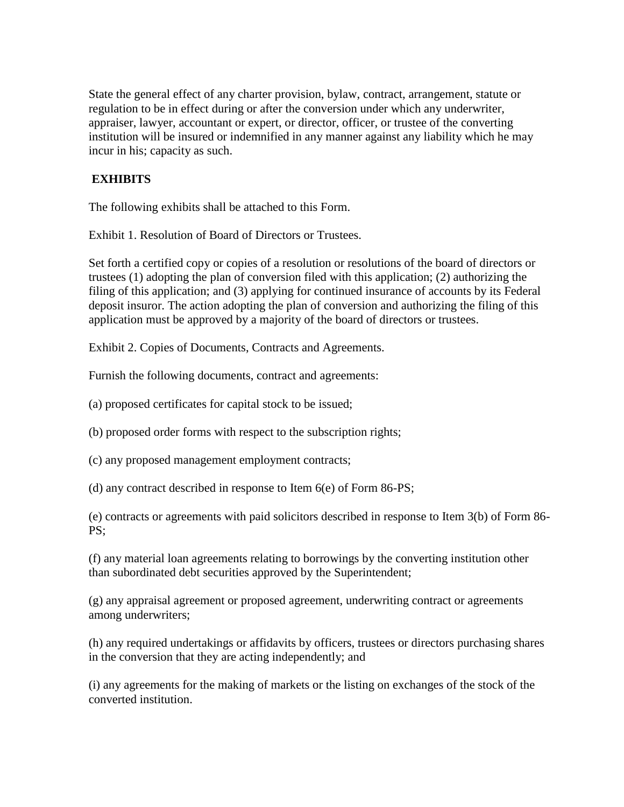State the general effect of any charter provision, bylaw, contract, arrangement, statute or regulation to be in effect during or after the conversion under which any underwriter, appraiser, lawyer, accountant or expert, or director, officer, or trustee of the converting institution will be insured or indemnified in any manner against any liability which he may incur in his; capacity as such.

### **EXHIBITS**

The following exhibits shall be attached to this Form.

Exhibit 1. Resolution of Board of Directors or Trustees.

Set forth a certified copy or copies of a resolution or resolutions of the board of directors or trustees (1) adopting the plan of conversion filed with this application; (2) authorizing the filing of this application; and (3) applying for continued insurance of accounts by its Federal deposit insuror. The action adopting the plan of conversion and authorizing the filing of this application must be approved by a majority of the board of directors or trustees.

Exhibit 2. Copies of Documents, Contracts and Agreements.

Furnish the following documents, contract and agreements:

(a) proposed certificates for capital stock to be issued;

(b) proposed order forms with respect to the subscription rights;

(c) any proposed management employment contracts;

(d) any contract described in response to Item 6(e) of Form 86-PS;

(e) contracts or agreements with paid solicitors described in response to Item 3(b) of Form 86- PS;

(f) any material loan agreements relating to borrowings by the converting institution other than subordinated debt securities approved by the Superintendent;

(g) any appraisal agreement or proposed agreement, underwriting contract or agreements among underwriters;

(h) any required undertakings or affidavits by officers, trustees or directors purchasing shares in the conversion that they are acting independently; and

(i) any agreements for the making of markets or the listing on exchanges of the stock of the converted institution.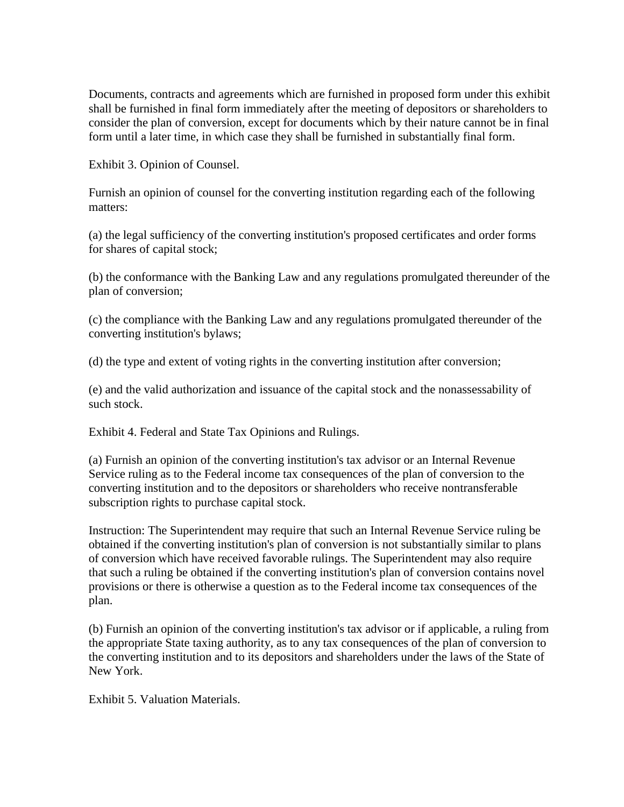Documents, contracts and agreements which are furnished in proposed form under this exhibit shall be furnished in final form immediately after the meeting of depositors or shareholders to consider the plan of conversion, except for documents which by their nature cannot be in final form until a later time, in which case they shall be furnished in substantially final form.

Exhibit 3. Opinion of Counsel.

Furnish an opinion of counsel for the converting institution regarding each of the following matters:

(a) the legal sufficiency of the converting institution's proposed certificates and order forms for shares of capital stock;

(b) the conformance with the Banking Law and any regulations promulgated thereunder of the plan of conversion;

(c) the compliance with the Banking Law and any regulations promulgated thereunder of the converting institution's bylaws;

(d) the type and extent of voting rights in the converting institution after conversion;

(e) and the valid authorization and issuance of the capital stock and the nonassessability of such stock.

Exhibit 4. Federal and State Tax Opinions and Rulings.

(a) Furnish an opinion of the converting institution's tax advisor or an Internal Revenue Service ruling as to the Federal income tax consequences of the plan of conversion to the converting institution and to the depositors or shareholders who receive nontransferable subscription rights to purchase capital stock.

Instruction: The Superintendent may require that such an Internal Revenue Service ruling be obtained if the converting institution's plan of conversion is not substantially similar to plans of conversion which have received favorable rulings. The Superintendent may also require that such a ruling be obtained if the converting institution's plan of conversion contains novel provisions or there is otherwise a question as to the Federal income tax consequences of the plan.

(b) Furnish an opinion of the converting institution's tax advisor or if applicable, a ruling from the appropriate State taxing authority, as to any tax consequences of the plan of conversion to the converting institution and to its depositors and shareholders under the laws of the State of New York.

Exhibit 5. Valuation Materials.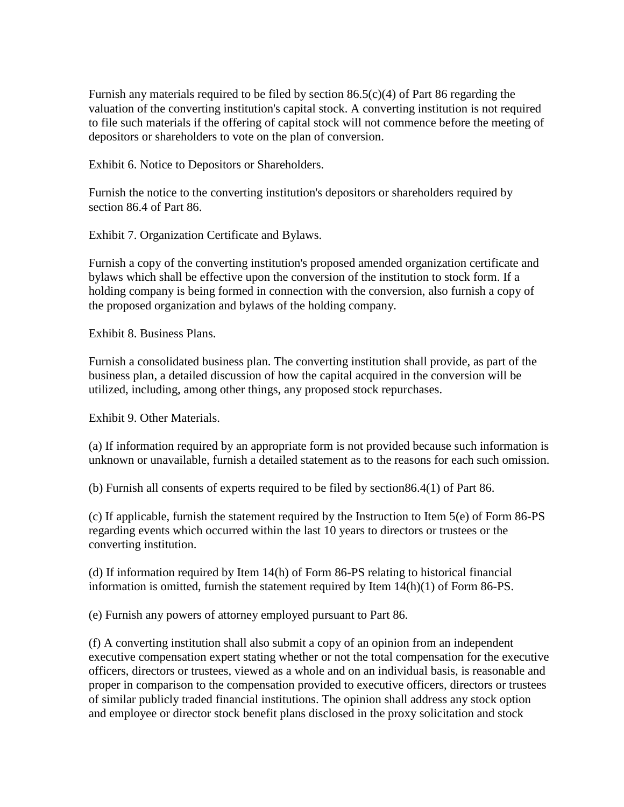Furnish any materials required to be filed by section 86.5(c)(4) of Part 86 regarding the valuation of the converting institution's capital stock. A converting institution is not required to file such materials if the offering of capital stock will not commence before the meeting of depositors or shareholders to vote on the plan of conversion.

Exhibit 6. Notice to Depositors or Shareholders.

Furnish the notice to the converting institution's depositors or shareholders required by section 86.4 of Part 86.

Exhibit 7. Organization Certificate and Bylaws.

Furnish a copy of the converting institution's proposed amended organization certificate and bylaws which shall be effective upon the conversion of the institution to stock form. If a holding company is being formed in connection with the conversion, also furnish a copy of the proposed organization and bylaws of the holding company.

Exhibit 8. Business Plans.

Furnish a consolidated business plan. The converting institution shall provide, as part of the business plan, a detailed discussion of how the capital acquired in the conversion will be utilized, including, among other things, any proposed stock repurchases.

Exhibit 9. Other Materials.

(a) If information required by an appropriate form is not provided because such information is unknown or unavailable, furnish a detailed statement as to the reasons for each such omission.

(b) Furnish all consents of experts required to be filed by section86.4(1) of Part 86.

(c) If applicable, furnish the statement required by the Instruction to Item 5(e) of Form 86-PS regarding events which occurred within the last 10 years to directors or trustees or the converting institution.

(d) If information required by Item 14(h) of Form 86-PS relating to historical financial information is omitted, furnish the statement required by Item 14(h)(1) of Form 86-PS.

(e) Furnish any powers of attorney employed pursuant to Part 86.

(f) A converting institution shall also submit a copy of an opinion from an independent executive compensation expert stating whether or not the total compensation for the executive officers, directors or trustees, viewed as a whole and on an individual basis, is reasonable and proper in comparison to the compensation provided to executive officers, directors or trustees of similar publicly traded financial institutions. The opinion shall address any stock option and employee or director stock benefit plans disclosed in the proxy solicitation and stock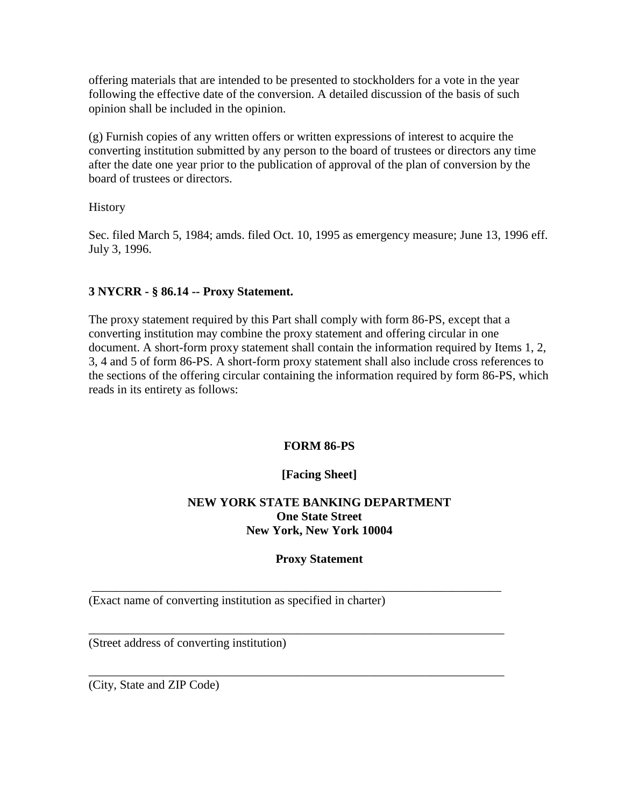offering materials that are intended to be presented to stockholders for a vote in the year following the effective date of the conversion. A detailed discussion of the basis of such opinion shall be included in the opinion.

(g) Furnish copies of any written offers or written expressions of interest to acquire the converting institution submitted by any person to the board of trustees or directors any time after the date one year prior to the publication of approval of the plan of conversion by the board of trustees or directors.

**History** 

Sec. filed March 5, 1984; amds. filed Oct. 10, 1995 as emergency measure; June 13, 1996 eff. July 3, 1996.

## **3 NYCRR - § 86.14 -- Proxy Statement.**

The proxy statement required by this Part shall comply with form 86-PS, except that a converting institution may combine the proxy statement and offering circular in one document. A short-form proxy statement shall contain the information required by Items 1, 2, 3, 4 and 5 of form 86-PS. A short-form proxy statement shall also include cross references to the sections of the offering circular containing the information required by form 86-PS, which reads in its entirety as follows:

### **FORM 86-PS**

## **[Facing Sheet]**

### **NEW YORK STATE BANKING DEPARTMENT One State Street New York, New York 10004**

## **Proxy Statement**

\_\_\_\_\_\_\_\_\_\_\_\_\_\_\_\_\_\_\_\_\_\_\_\_\_\_\_\_\_\_\_\_\_\_\_\_\_\_\_\_\_\_\_\_\_\_\_\_\_\_\_\_\_\_\_\_\_\_\_\_\_\_\_\_\_\_\_

\_\_\_\_\_\_\_\_\_\_\_\_\_\_\_\_\_\_\_\_\_\_\_\_\_\_\_\_\_\_\_\_\_\_\_\_\_\_\_\_\_\_\_\_\_\_\_\_\_\_\_\_\_\_\_\_\_\_\_\_\_\_\_\_\_\_\_\_

\_\_\_\_\_\_\_\_\_\_\_\_\_\_\_\_\_\_\_\_\_\_\_\_\_\_\_\_\_\_\_\_\_\_\_\_\_\_\_\_\_\_\_\_\_\_\_\_\_\_\_\_\_\_\_\_\_\_\_\_\_\_\_\_\_\_\_\_

(Exact name of converting institution as specified in charter)

(Street address of converting institution)

(City, State and ZIP Code)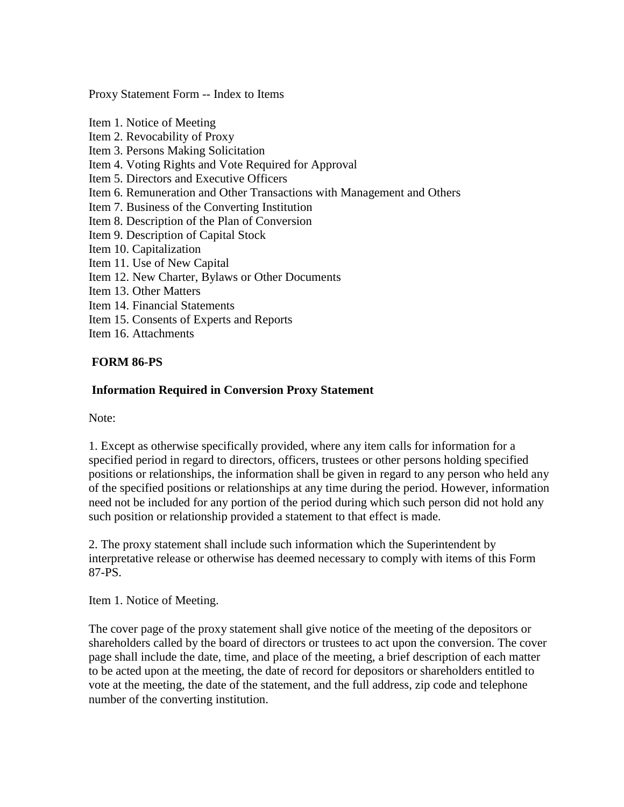Proxy Statement Form -- Index to Items

Item 1. Notice of Meeting Item 2. Revocability of Proxy Item 3. Persons Making Solicitation Item 4. Voting Rights and Vote Required for Approval Item 5. Directors and Executive Officers Item 6. Remuneration and Other Transactions with Management and Others Item 7. Business of the Converting Institution Item 8. Description of the Plan of Conversion Item 9. Description of Capital Stock Item 10. Capitalization Item 11. Use of New Capital Item 12. New Charter, Bylaws or Other Documents Item 13. Other Matters Item 14. Financial Statements Item 15. Consents of Experts and Reports Item 16. Attachments

### **FORM 86-PS**

#### **Information Required in Conversion Proxy Statement**

Note:

1. Except as otherwise specifically provided, where any item calls for information for a specified period in regard to directors, officers, trustees or other persons holding specified positions or relationships, the information shall be given in regard to any person who held any of the specified positions or relationships at any time during the period. However, information need not be included for any portion of the period during which such person did not hold any such position or relationship provided a statement to that effect is made.

2. The proxy statement shall include such information which the Superintendent by interpretative release or otherwise has deemed necessary to comply with items of this Form 87-PS.

Item 1. Notice of Meeting.

The cover page of the proxy statement shall give notice of the meeting of the depositors or shareholders called by the board of directors or trustees to act upon the conversion. The cover page shall include the date, time, and place of the meeting, a brief description of each matter to be acted upon at the meeting, the date of record for depositors or shareholders entitled to vote at the meeting, the date of the statement, and the full address, zip code and telephone number of the converting institution.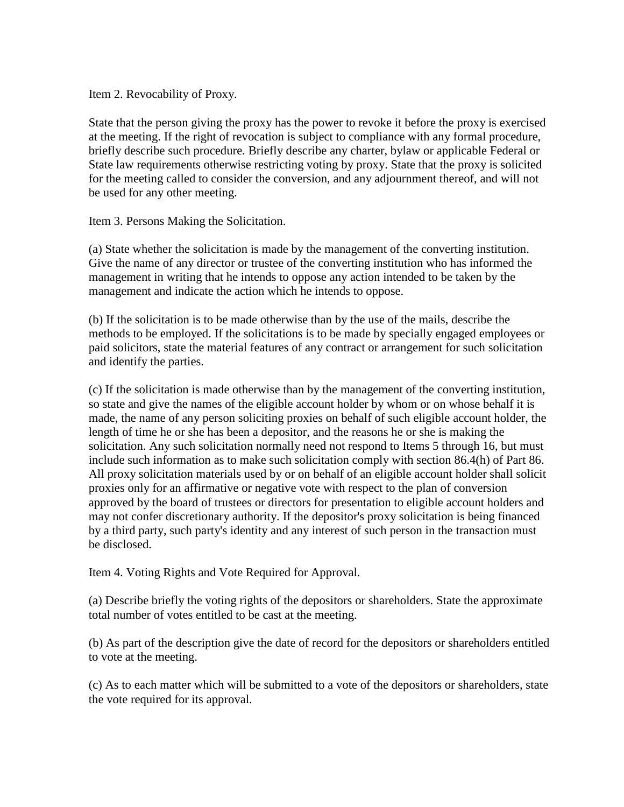Item 2. Revocability of Proxy.

State that the person giving the proxy has the power to revoke it before the proxy is exercised at the meeting. If the right of revocation is subject to compliance with any formal procedure, briefly describe such procedure. Briefly describe any charter, bylaw or applicable Federal or State law requirements otherwise restricting voting by proxy. State that the proxy is solicited for the meeting called to consider the conversion, and any adjournment thereof, and will not be used for any other meeting.

Item 3. Persons Making the Solicitation.

(a) State whether the solicitation is made by the management of the converting institution. Give the name of any director or trustee of the converting institution who has informed the management in writing that he intends to oppose any action intended to be taken by the management and indicate the action which he intends to oppose.

(b) If the solicitation is to be made otherwise than by the use of the mails, describe the methods to be employed. If the solicitations is to be made by specially engaged employees or paid solicitors, state the material features of any contract or arrangement for such solicitation and identify the parties.

(c) If the solicitation is made otherwise than by the management of the converting institution, so state and give the names of the eligible account holder by whom or on whose behalf it is made, the name of any person soliciting proxies on behalf of such eligible account holder, the length of time he or she has been a depositor, and the reasons he or she is making the solicitation. Any such solicitation normally need not respond to Items 5 through 16, but must include such information as to make such solicitation comply with section 86.4(h) of Part 86. All proxy solicitation materials used by or on behalf of an eligible account holder shall solicit proxies only for an affirmative or negative vote with respect to the plan of conversion approved by the board of trustees or directors for presentation to eligible account holders and may not confer discretionary authority. If the depositor's proxy solicitation is being financed by a third party, such party's identity and any interest of such person in the transaction must be disclosed.

Item 4. Voting Rights and Vote Required for Approval.

(a) Describe briefly the voting rights of the depositors or shareholders. State the approximate total number of votes entitled to be cast at the meeting.

(b) As part of the description give the date of record for the depositors or shareholders entitled to vote at the meeting.

(c) As to each matter which will be submitted to a vote of the depositors or shareholders, state the vote required for its approval.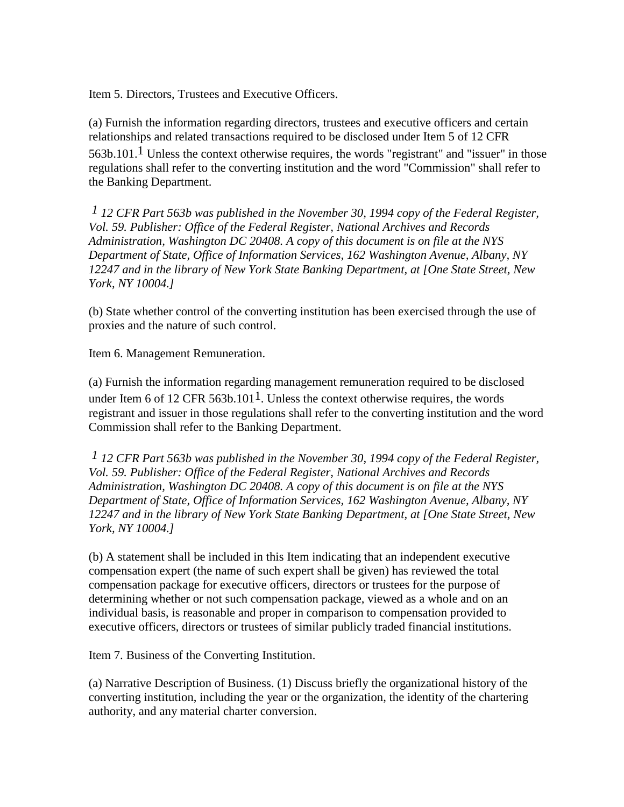Item 5. Directors, Trustees and Executive Officers.

(a) Furnish the information regarding directors, trustees and executive officers and certain relationships and related transactions required to be disclosed under Item 5 of 12 CFR 563b.101.<sup>1</sup> Unless the context otherwise requires, the words "registrant" and "issuer" in those regulations shall refer to the converting institution and the word "Commission" shall refer to the Banking Department.

*1 12 CFR Part 563b was published in the November 30, 1994 copy of the Federal Register, Vol. 59. Publisher: Office of the Federal Register, National Archives and Records Administration, Washington DC 20408. A copy of this document is on file at the NYS Department of State, Office of Information Services, 162 Washington Avenue, Albany, NY 12247 and in the library of New York State Banking Department, at [One State Street, New York, NY 10004.]*

(b) State whether control of the converting institution has been exercised through the use of proxies and the nature of such control.

Item 6. Management Remuneration.

(a) Furnish the information regarding management remuneration required to be disclosed under Item 6 of 12 CFR 563b.101<sup>1</sup>. Unless the context otherwise requires, the words registrant and issuer in those regulations shall refer to the converting institution and the word Commission shall refer to the Banking Department.

*1 12 CFR Part 563b was published in the November 30, 1994 copy of the Federal Register, Vol. 59. Publisher: Office of the Federal Register, National Archives and Records Administration, Washington DC 20408. A copy of this document is on file at the NYS Department of State, Office of Information Services, 162 Washington Avenue, Albany, NY 12247 and in the library of New York State Banking Department, at [One State Street, New York, NY 10004.]*

(b) A statement shall be included in this Item indicating that an independent executive compensation expert (the name of such expert shall be given) has reviewed the total compensation package for executive officers, directors or trustees for the purpose of determining whether or not such compensation package, viewed as a whole and on an individual basis, is reasonable and proper in comparison to compensation provided to executive officers, directors or trustees of similar publicly traded financial institutions.

Item 7. Business of the Converting Institution.

(a) Narrative Description of Business. (1) Discuss briefly the organizational history of the converting institution, including the year or the organization, the identity of the chartering authority, and any material charter conversion.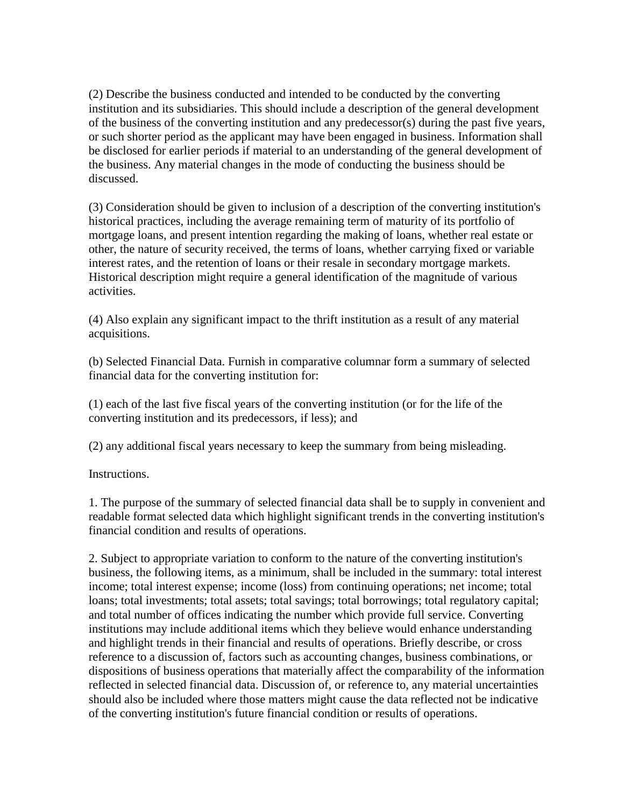(2) Describe the business conducted and intended to be conducted by the converting institution and its subsidiaries. This should include a description of the general development of the business of the converting institution and any predecessor(s) during the past five years, or such shorter period as the applicant may have been engaged in business. Information shall be disclosed for earlier periods if material to an understanding of the general development of the business. Any material changes in the mode of conducting the business should be discussed.

(3) Consideration should be given to inclusion of a description of the converting institution's historical practices, including the average remaining term of maturity of its portfolio of mortgage loans, and present intention regarding the making of loans, whether real estate or other, the nature of security received, the terms of loans, whether carrying fixed or variable interest rates, and the retention of loans or their resale in secondary mortgage markets. Historical description might require a general identification of the magnitude of various activities.

(4) Also explain any significant impact to the thrift institution as a result of any material acquisitions.

(b) Selected Financial Data. Furnish in comparative columnar form a summary of selected financial data for the converting institution for:

(1) each of the last five fiscal years of the converting institution (or for the life of the converting institution and its predecessors, if less); and

(2) any additional fiscal years necessary to keep the summary from being misleading.

Instructions.

1. The purpose of the summary of selected financial data shall be to supply in convenient and readable format selected data which highlight significant trends in the converting institution's financial condition and results of operations.

2. Subject to appropriate variation to conform to the nature of the converting institution's business, the following items, as a minimum, shall be included in the summary: total interest income; total interest expense; income (loss) from continuing operations; net income; total loans; total investments; total assets; total savings; total borrowings; total regulatory capital; and total number of offices indicating the number which provide full service. Converting institutions may include additional items which they believe would enhance understanding and highlight trends in their financial and results of operations. Briefly describe, or cross reference to a discussion of, factors such as accounting changes, business combinations, or dispositions of business operations that materially affect the comparability of the information reflected in selected financial data. Discussion of, or reference to, any material uncertainties should also be included where those matters might cause the data reflected not be indicative of the converting institution's future financial condition or results of operations.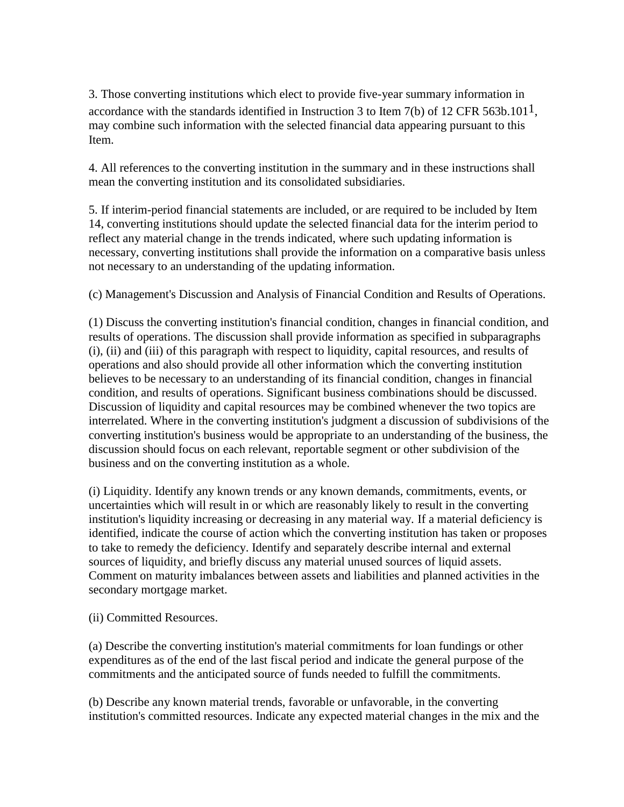3. Those converting institutions which elect to provide five-year summary information in accordance with the standards identified in Instruction 3 to Item 7(b) of 12 CFR 563b.101<sup>1</sup>, may combine such information with the selected financial data appearing pursuant to this Item.

4. All references to the converting institution in the summary and in these instructions shall mean the converting institution and its consolidated subsidiaries.

5. If interim-period financial statements are included, or are required to be included by Item 14, converting institutions should update the selected financial data for the interim period to reflect any material change in the trends indicated, where such updating information is necessary, converting institutions shall provide the information on a comparative basis unless not necessary to an understanding of the updating information.

(c) Management's Discussion and Analysis of Financial Condition and Results of Operations.

(1) Discuss the converting institution's financial condition, changes in financial condition, and results of operations. The discussion shall provide information as specified in subparagraphs (i), (ii) and (iii) of this paragraph with respect to liquidity, capital resources, and results of operations and also should provide all other information which the converting institution believes to be necessary to an understanding of its financial condition, changes in financial condition, and results of operations. Significant business combinations should be discussed. Discussion of liquidity and capital resources may be combined whenever the two topics are interrelated. Where in the converting institution's judgment a discussion of subdivisions of the converting institution's business would be appropriate to an understanding of the business, the discussion should focus on each relevant, reportable segment or other subdivision of the business and on the converting institution as a whole.

(i) Liquidity. Identify any known trends or any known demands, commitments, events, or uncertainties which will result in or which are reasonably likely to result in the converting institution's liquidity increasing or decreasing in any material way. If a material deficiency is identified, indicate the course of action which the converting institution has taken or proposes to take to remedy the deficiency. Identify and separately describe internal and external sources of liquidity, and briefly discuss any material unused sources of liquid assets. Comment on maturity imbalances between assets and liabilities and planned activities in the secondary mortgage market.

(ii) Committed Resources.

(a) Describe the converting institution's material commitments for loan fundings or other expenditures as of the end of the last fiscal period and indicate the general purpose of the commitments and the anticipated source of funds needed to fulfill the commitments.

(b) Describe any known material trends, favorable or unfavorable, in the converting institution's committed resources. Indicate any expected material changes in the mix and the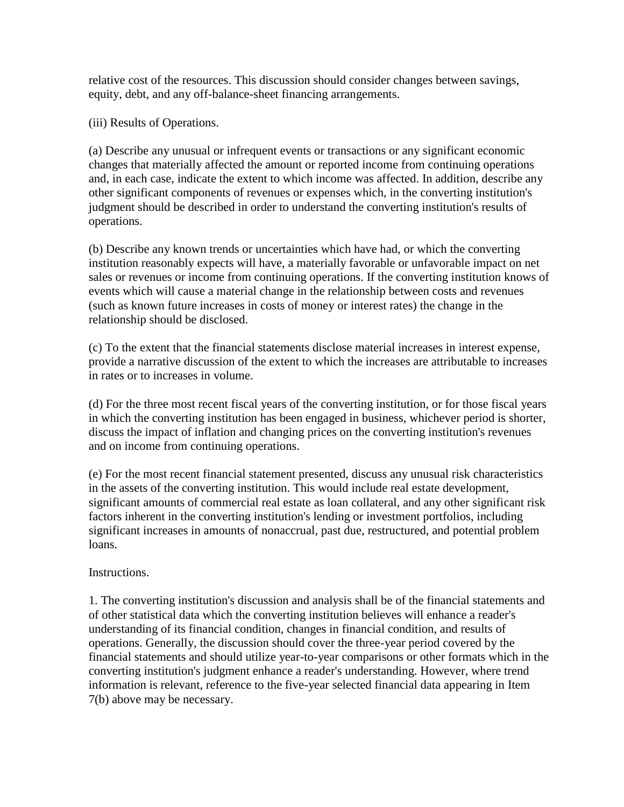relative cost of the resources. This discussion should consider changes between savings, equity, debt, and any off-balance-sheet financing arrangements.

(iii) Results of Operations.

(a) Describe any unusual or infrequent events or transactions or any significant economic changes that materially affected the amount or reported income from continuing operations and, in each case, indicate the extent to which income was affected. In addition, describe any other significant components of revenues or expenses which, in the converting institution's judgment should be described in order to understand the converting institution's results of operations.

(b) Describe any known trends or uncertainties which have had, or which the converting institution reasonably expects will have, a materially favorable or unfavorable impact on net sales or revenues or income from continuing operations. If the converting institution knows of events which will cause a material change in the relationship between costs and revenues (such as known future increases in costs of money or interest rates) the change in the relationship should be disclosed.

(c) To the extent that the financial statements disclose material increases in interest expense, provide a narrative discussion of the extent to which the increases are attributable to increases in rates or to increases in volume.

(d) For the three most recent fiscal years of the converting institution, or for those fiscal years in which the converting institution has been engaged in business, whichever period is shorter, discuss the impact of inflation and changing prices on the converting institution's revenues and on income from continuing operations.

(e) For the most recent financial statement presented, discuss any unusual risk characteristics in the assets of the converting institution. This would include real estate development, significant amounts of commercial real estate as loan collateral, and any other significant risk factors inherent in the converting institution's lending or investment portfolios, including significant increases in amounts of nonaccrual, past due, restructured, and potential problem loans.

Instructions.

1. The converting institution's discussion and analysis shall be of the financial statements and of other statistical data which the converting institution believes will enhance a reader's understanding of its financial condition, changes in financial condition, and results of operations. Generally, the discussion should cover the three-year period covered by the financial statements and should utilize year-to-year comparisons or other formats which in the converting institution's judgment enhance a reader's understanding. However, where trend information is relevant, reference to the five-year selected financial data appearing in Item 7(b) above may be necessary.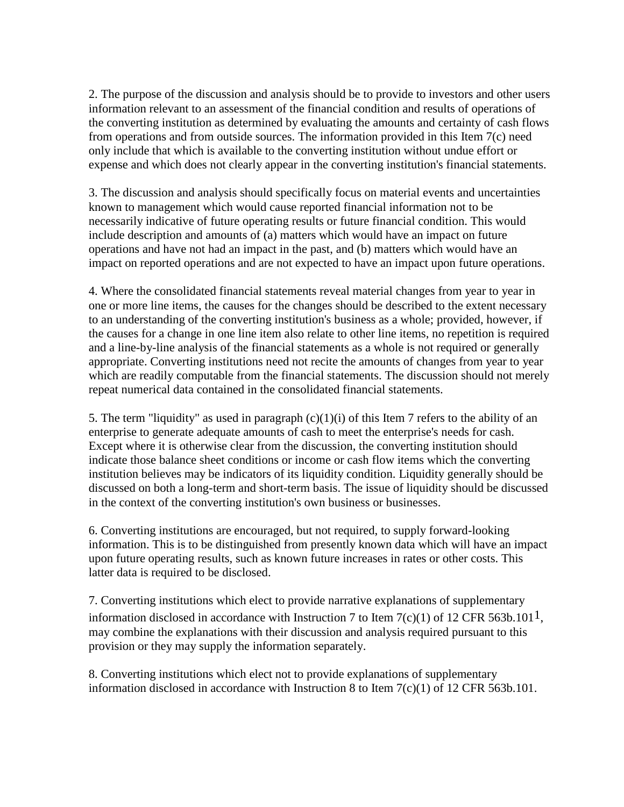2. The purpose of the discussion and analysis should be to provide to investors and other users information relevant to an assessment of the financial condition and results of operations of the converting institution as determined by evaluating the amounts and certainty of cash flows from operations and from outside sources. The information provided in this Item 7(c) need only include that which is available to the converting institution without undue effort or expense and which does not clearly appear in the converting institution's financial statements.

3. The discussion and analysis should specifically focus on material events and uncertainties known to management which would cause reported financial information not to be necessarily indicative of future operating results or future financial condition. This would include description and amounts of (a) matters which would have an impact on future operations and have not had an impact in the past, and (b) matters which would have an impact on reported operations and are not expected to have an impact upon future operations.

4. Where the consolidated financial statements reveal material changes from year to year in one or more line items, the causes for the changes should be described to the extent necessary to an understanding of the converting institution's business as a whole; provided, however, if the causes for a change in one line item also relate to other line items, no repetition is required and a line-by-line analysis of the financial statements as a whole is not required or generally appropriate. Converting institutions need not recite the amounts of changes from year to year which are readily computable from the financial statements. The discussion should not merely repeat numerical data contained in the consolidated financial statements.

5. The term "liquidity" as used in paragraph  $(c)(1)(i)$  of this Item 7 refers to the ability of an enterprise to generate adequate amounts of cash to meet the enterprise's needs for cash. Except where it is otherwise clear from the discussion, the converting institution should indicate those balance sheet conditions or income or cash flow items which the converting institution believes may be indicators of its liquidity condition. Liquidity generally should be discussed on both a long-term and short-term basis. The issue of liquidity should be discussed in the context of the converting institution's own business or businesses.

6. Converting institutions are encouraged, but not required, to supply forward-looking information. This is to be distinguished from presently known data which will have an impact upon future operating results, such as known future increases in rates or other costs. This latter data is required to be disclosed.

7. Converting institutions which elect to provide narrative explanations of supplementary information disclosed in accordance with Instruction 7 to Item 7(c)(1) of 12 CFR 563b.101<sup>1</sup>, may combine the explanations with their discussion and analysis required pursuant to this provision or they may supply the information separately.

8. Converting institutions which elect not to provide explanations of supplementary information disclosed in accordance with Instruction 8 to Item 7(c)(1) of 12 CFR 563b.101.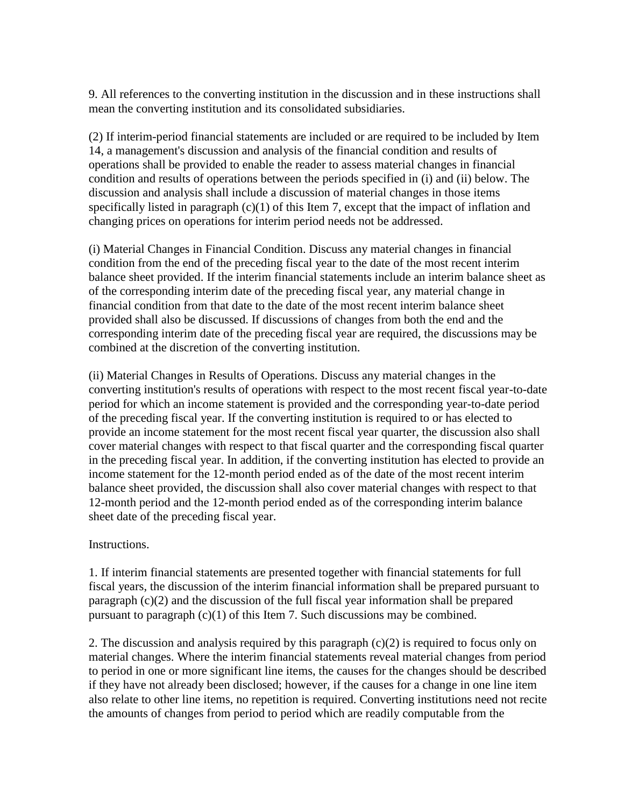9. All references to the converting institution in the discussion and in these instructions shall mean the converting institution and its consolidated subsidiaries.

(2) If interim-period financial statements are included or are required to be included by Item 14, a management's discussion and analysis of the financial condition and results of operations shall be provided to enable the reader to assess material changes in financial condition and results of operations between the periods specified in (i) and (ii) below. The discussion and analysis shall include a discussion of material changes in those items specifically listed in paragraph (c)(1) of this Item 7, except that the impact of inflation and changing prices on operations for interim period needs not be addressed.

(i) Material Changes in Financial Condition. Discuss any material changes in financial condition from the end of the preceding fiscal year to the date of the most recent interim balance sheet provided. If the interim financial statements include an interim balance sheet as of the corresponding interim date of the preceding fiscal year, any material change in financial condition from that date to the date of the most recent interim balance sheet provided shall also be discussed. If discussions of changes from both the end and the corresponding interim date of the preceding fiscal year are required, the discussions may be combined at the discretion of the converting institution.

(ii) Material Changes in Results of Operations. Discuss any material changes in the converting institution's results of operations with respect to the most recent fiscal year-to-date period for which an income statement is provided and the corresponding year-to-date period of the preceding fiscal year. If the converting institution is required to or has elected to provide an income statement for the most recent fiscal year quarter, the discussion also shall cover material changes with respect to that fiscal quarter and the corresponding fiscal quarter in the preceding fiscal year. In addition, if the converting institution has elected to provide an income statement for the 12-month period ended as of the date of the most recent interim balance sheet provided, the discussion shall also cover material changes with respect to that 12-month period and the 12-month period ended as of the corresponding interim balance sheet date of the preceding fiscal year.

Instructions.

1. If interim financial statements are presented together with financial statements for full fiscal years, the discussion of the interim financial information shall be prepared pursuant to paragraph (c)(2) and the discussion of the full fiscal year information shall be prepared pursuant to paragraph  $(c)(1)$  of this Item 7. Such discussions may be combined.

2. The discussion and analysis required by this paragraph (c)(2) is required to focus only on material changes. Where the interim financial statements reveal material changes from period to period in one or more significant line items, the causes for the changes should be described if they have not already been disclosed; however, if the causes for a change in one line item also relate to other line items, no repetition is required. Converting institutions need not recite the amounts of changes from period to period which are readily computable from the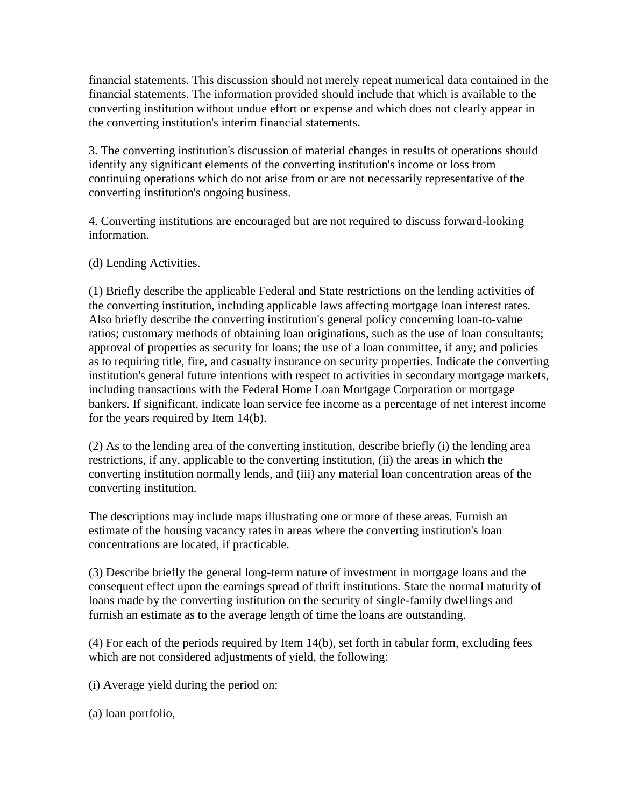financial statements. This discussion should not merely repeat numerical data contained in the financial statements. The information provided should include that which is available to the converting institution without undue effort or expense and which does not clearly appear in the converting institution's interim financial statements.

3. The converting institution's discussion of material changes in results of operations should identify any significant elements of the converting institution's income or loss from continuing operations which do not arise from or are not necessarily representative of the converting institution's ongoing business.

4. Converting institutions are encouraged but are not required to discuss forward-looking information.

(d) Lending Activities.

(1) Briefly describe the applicable Federal and State restrictions on the lending activities of the converting institution, including applicable laws affecting mortgage loan interest rates. Also briefly describe the converting institution's general policy concerning loan-to-value ratios; customary methods of obtaining loan originations, such as the use of loan consultants; approval of properties as security for loans; the use of a loan committee, if any; and policies as to requiring title, fire, and casualty insurance on security properties. Indicate the converting institution's general future intentions with respect to activities in secondary mortgage markets, including transactions with the Federal Home Loan Mortgage Corporation or mortgage bankers. If significant, indicate loan service fee income as a percentage of net interest income for the years required by Item 14(b).

(2) As to the lending area of the converting institution, describe briefly (i) the lending area restrictions, if any, applicable to the converting institution, (ii) the areas in which the converting institution normally lends, and (iii) any material loan concentration areas of the converting institution.

The descriptions may include maps illustrating one or more of these areas. Furnish an estimate of the housing vacancy rates in areas where the converting institution's loan concentrations are located, if practicable.

(3) Describe briefly the general long-term nature of investment in mortgage loans and the consequent effect upon the earnings spread of thrift institutions. State the normal maturity of loans made by the converting institution on the security of single-family dwellings and furnish an estimate as to the average length of time the loans are outstanding.

(4) For each of the periods required by Item 14(b), set forth in tabular form, excluding fees which are not considered adjustments of yield, the following:

(i) Average yield during the period on:

(a) loan portfolio,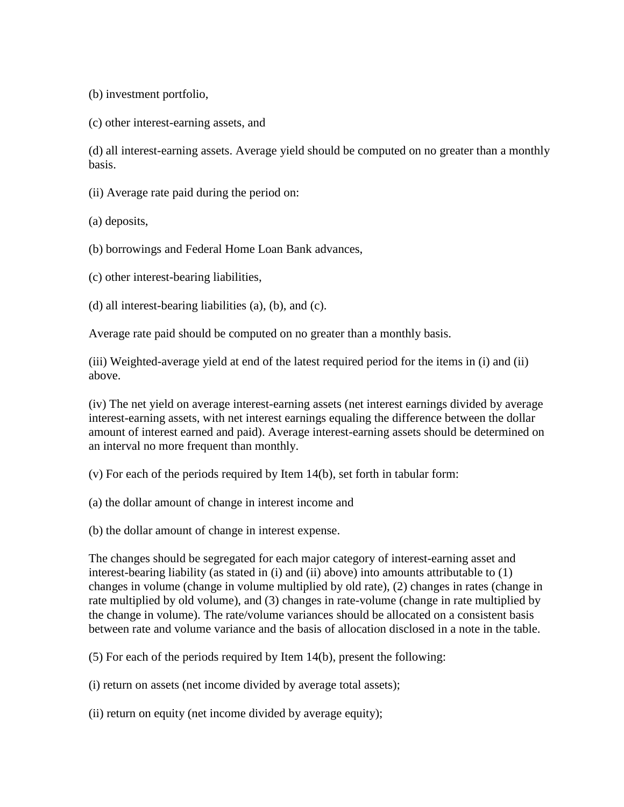(b) investment portfolio,

(c) other interest-earning assets, and

(d) all interest-earning assets. Average yield should be computed on no greater than a monthly basis.

(ii) Average rate paid during the period on:

(a) deposits,

(b) borrowings and Federal Home Loan Bank advances,

(c) other interest-bearing liabilities,

(d) all interest-bearing liabilities (a), (b), and (c).

Average rate paid should be computed on no greater than a monthly basis.

(iii) Weighted-average yield at end of the latest required period for the items in (i) and (ii) above.

(iv) The net yield on average interest-earning assets (net interest earnings divided by average interest-earning assets, with net interest earnings equaling the difference between the dollar amount of interest earned and paid). Average interest-earning assets should be determined on an interval no more frequent than monthly.

(v) For each of the periods required by Item 14(b), set forth in tabular form:

(a) the dollar amount of change in interest income and

(b) the dollar amount of change in interest expense.

The changes should be segregated for each major category of interest-earning asset and interest-bearing liability (as stated in (i) and (ii) above) into amounts attributable to (1) changes in volume (change in volume multiplied by old rate), (2) changes in rates (change in rate multiplied by old volume), and (3) changes in rate-volume (change in rate multiplied by the change in volume). The rate/volume variances should be allocated on a consistent basis between rate and volume variance and the basis of allocation disclosed in a note in the table.

(5) For each of the periods required by Item 14(b), present the following:

(i) return on assets (net income divided by average total assets);

(ii) return on equity (net income divided by average equity);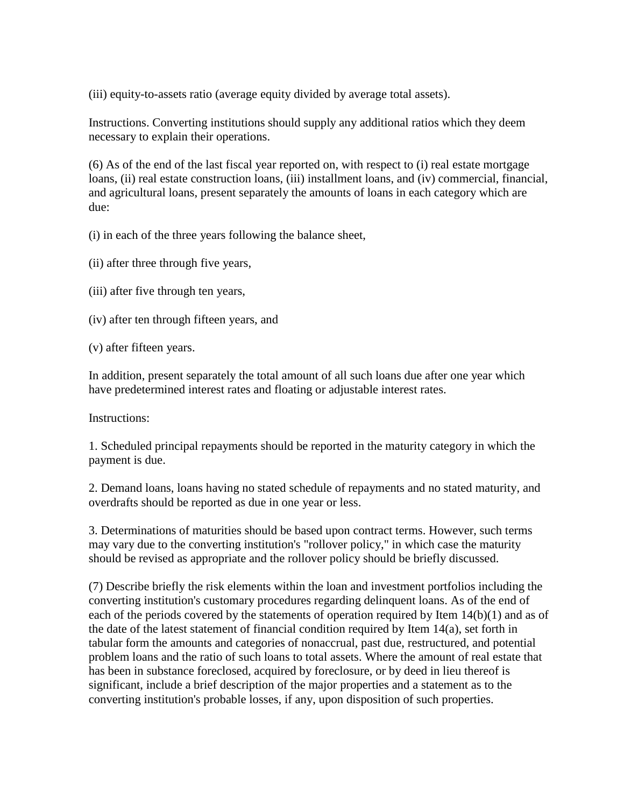(iii) equity-to-assets ratio (average equity divided by average total assets).

Instructions. Converting institutions should supply any additional ratios which they deem necessary to explain their operations.

(6) As of the end of the last fiscal year reported on, with respect to (i) real estate mortgage loans, (ii) real estate construction loans, (iii) installment loans, and (iv) commercial, financial, and agricultural loans, present separately the amounts of loans in each category which are due:

(i) in each of the three years following the balance sheet,

(ii) after three through five years,

(iii) after five through ten years,

(iv) after ten through fifteen years, and

(v) after fifteen years.

In addition, present separately the total amount of all such loans due after one year which have predetermined interest rates and floating or adjustable interest rates.

Instructions:

1. Scheduled principal repayments should be reported in the maturity category in which the payment is due.

2. Demand loans, loans having no stated schedule of repayments and no stated maturity, and overdrafts should be reported as due in one year or less.

3. Determinations of maturities should be based upon contract terms. However, such terms may vary due to the converting institution's "rollover policy," in which case the maturity should be revised as appropriate and the rollover policy should be briefly discussed.

(7) Describe briefly the risk elements within the loan and investment portfolios including the converting institution's customary procedures regarding delinquent loans. As of the end of each of the periods covered by the statements of operation required by Item 14(b)(1) and as of the date of the latest statement of financial condition required by Item 14(a), set forth in tabular form the amounts and categories of nonaccrual, past due, restructured, and potential problem loans and the ratio of such loans to total assets. Where the amount of real estate that has been in substance foreclosed, acquired by foreclosure, or by deed in lieu thereof is significant, include a brief description of the major properties and a statement as to the converting institution's probable losses, if any, upon disposition of such properties.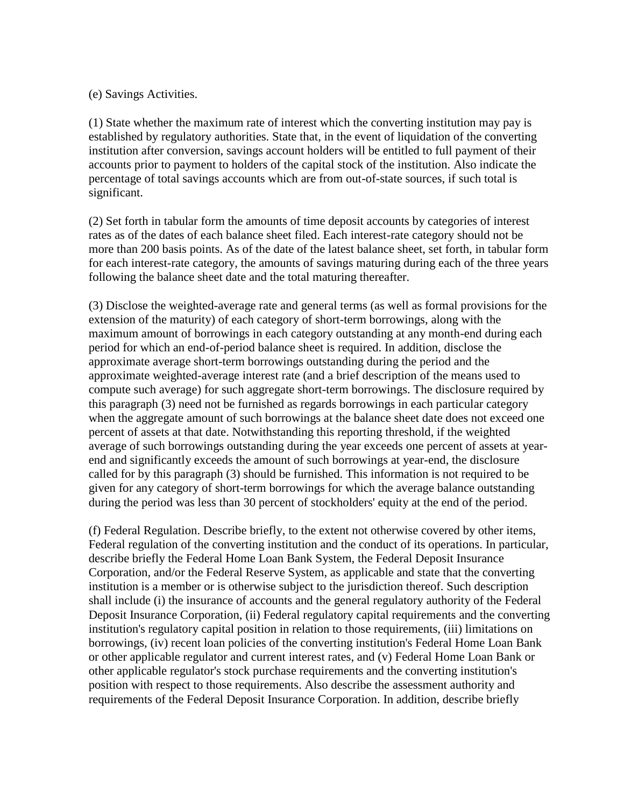(e) Savings Activities.

(1) State whether the maximum rate of interest which the converting institution may pay is established by regulatory authorities. State that, in the event of liquidation of the converting institution after conversion, savings account holders will be entitled to full payment of their accounts prior to payment to holders of the capital stock of the institution. Also indicate the percentage of total savings accounts which are from out-of-state sources, if such total is significant.

(2) Set forth in tabular form the amounts of time deposit accounts by categories of interest rates as of the dates of each balance sheet filed. Each interest-rate category should not be more than 200 basis points. As of the date of the latest balance sheet, set forth, in tabular form for each interest-rate category, the amounts of savings maturing during each of the three years following the balance sheet date and the total maturing thereafter.

(3) Disclose the weighted-average rate and general terms (as well as formal provisions for the extension of the maturity) of each category of short-term borrowings, along with the maximum amount of borrowings in each category outstanding at any month-end during each period for which an end-of-period balance sheet is required. In addition, disclose the approximate average short-term borrowings outstanding during the period and the approximate weighted-average interest rate (and a brief description of the means used to compute such average) for such aggregate short-term borrowings. The disclosure required by this paragraph (3) need not be furnished as regards borrowings in each particular category when the aggregate amount of such borrowings at the balance sheet date does not exceed one percent of assets at that date. Notwithstanding this reporting threshold, if the weighted average of such borrowings outstanding during the year exceeds one percent of assets at yearend and significantly exceeds the amount of such borrowings at year-end, the disclosure called for by this paragraph (3) should be furnished. This information is not required to be given for any category of short-term borrowings for which the average balance outstanding during the period was less than 30 percent of stockholders' equity at the end of the period.

(f) Federal Regulation. Describe briefly, to the extent not otherwise covered by other items, Federal regulation of the converting institution and the conduct of its operations. In particular, describe briefly the Federal Home Loan Bank System, the Federal Deposit Insurance Corporation, and/or the Federal Reserve System, as applicable and state that the converting institution is a member or is otherwise subject to the jurisdiction thereof. Such description shall include (i) the insurance of accounts and the general regulatory authority of the Federal Deposit Insurance Corporation, (ii) Federal regulatory capital requirements and the converting institution's regulatory capital position in relation to those requirements, (iii) limitations on borrowings, (iv) recent loan policies of the converting institution's Federal Home Loan Bank or other applicable regulator and current interest rates, and (v) Federal Home Loan Bank or other applicable regulator's stock purchase requirements and the converting institution's position with respect to those requirements. Also describe the assessment authority and requirements of the Federal Deposit Insurance Corporation. In addition, describe briefly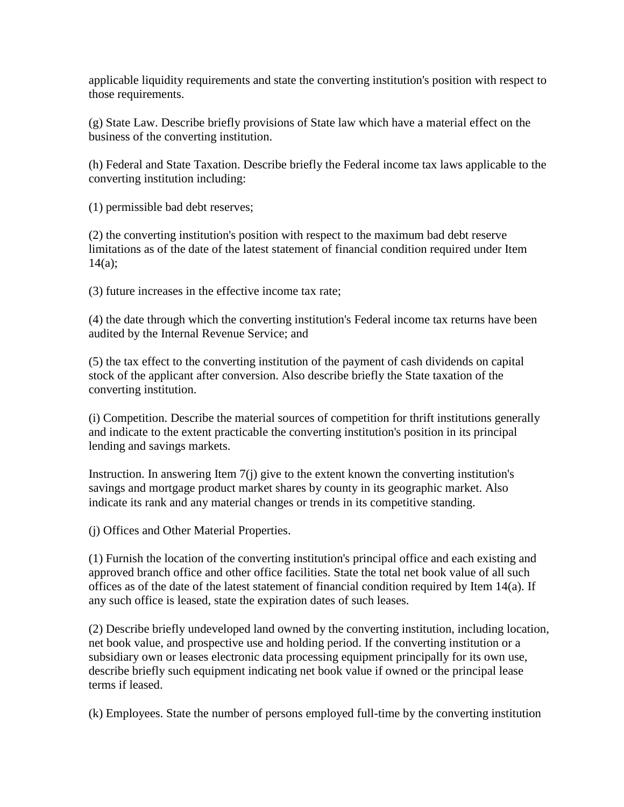applicable liquidity requirements and state the converting institution's position with respect to those requirements.

(g) State Law. Describe briefly provisions of State law which have a material effect on the business of the converting institution.

(h) Federal and State Taxation. Describe briefly the Federal income tax laws applicable to the converting institution including:

(1) permissible bad debt reserves;

(2) the converting institution's position with respect to the maximum bad debt reserve limitations as of the date of the latest statement of financial condition required under Item  $14(a);$ 

(3) future increases in the effective income tax rate;

(4) the date through which the converting institution's Federal income tax returns have been audited by the Internal Revenue Service; and

(5) the tax effect to the converting institution of the payment of cash dividends on capital stock of the applicant after conversion. Also describe briefly the State taxation of the converting institution.

(i) Competition. Describe the material sources of competition for thrift institutions generally and indicate to the extent practicable the converting institution's position in its principal lending and savings markets.

Instruction. In answering Item 7(j) give to the extent known the converting institution's savings and mortgage product market shares by county in its geographic market. Also indicate its rank and any material changes or trends in its competitive standing.

(j) Offices and Other Material Properties.

(1) Furnish the location of the converting institution's principal office and each existing and approved branch office and other office facilities. State the total net book value of all such offices as of the date of the latest statement of financial condition required by Item 14(a). If any such office is leased, state the expiration dates of such leases.

(2) Describe briefly undeveloped land owned by the converting institution, including location, net book value, and prospective use and holding period. If the converting institution or a subsidiary own or leases electronic data processing equipment principally for its own use, describe briefly such equipment indicating net book value if owned or the principal lease terms if leased.

(k) Employees. State the number of persons employed full-time by the converting institution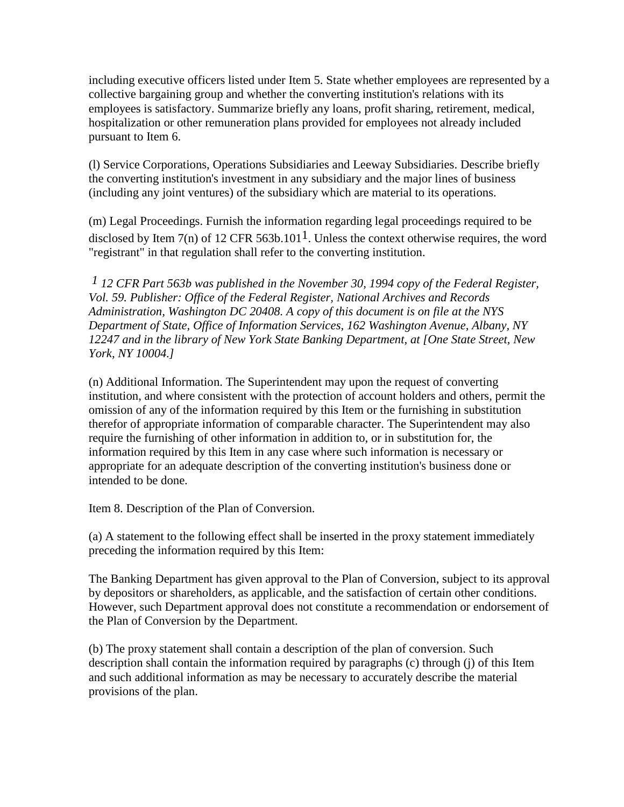including executive officers listed under Item 5. State whether employees are represented by a collective bargaining group and whether the converting institution's relations with its employees is satisfactory. Summarize briefly any loans, profit sharing, retirement, medical, hospitalization or other remuneration plans provided for employees not already included pursuant to Item 6.

(l) Service Corporations, Operations Subsidiaries and Leeway Subsidiaries. Describe briefly the converting institution's investment in any subsidiary and the major lines of business (including any joint ventures) of the subsidiary which are material to its operations.

(m) Legal Proceedings. Furnish the information regarding legal proceedings required to be disclosed by Item 7(n) of 12 CFR 563b.101<sup>1</sup>. Unless the context otherwise requires, the word "registrant" in that regulation shall refer to the converting institution.

*1 12 CFR Part 563b was published in the November 30, 1994 copy of the Federal Register, Vol. 59. Publisher: Office of the Federal Register, National Archives and Records Administration, Washington DC 20408. A copy of this document is on file at the NYS Department of State, Office of Information Services, 162 Washington Avenue, Albany, NY 12247 and in the library of New York State Banking Department, at [One State Street, New York, NY 10004.]*

(n) Additional Information. The Superintendent may upon the request of converting institution, and where consistent with the protection of account holders and others, permit the omission of any of the information required by this Item or the furnishing in substitution therefor of appropriate information of comparable character. The Superintendent may also require the furnishing of other information in addition to, or in substitution for, the information required by this Item in any case where such information is necessary or appropriate for an adequate description of the converting institution's business done or intended to be done.

Item 8. Description of the Plan of Conversion.

(a) A statement to the following effect shall be inserted in the proxy statement immediately preceding the information required by this Item:

The Banking Department has given approval to the Plan of Conversion, subject to its approval by depositors or shareholders, as applicable, and the satisfaction of certain other conditions. However, such Department approval does not constitute a recommendation or endorsement of the Plan of Conversion by the Department.

(b) The proxy statement shall contain a description of the plan of conversion. Such description shall contain the information required by paragraphs (c) through (j) of this Item and such additional information as may be necessary to accurately describe the material provisions of the plan.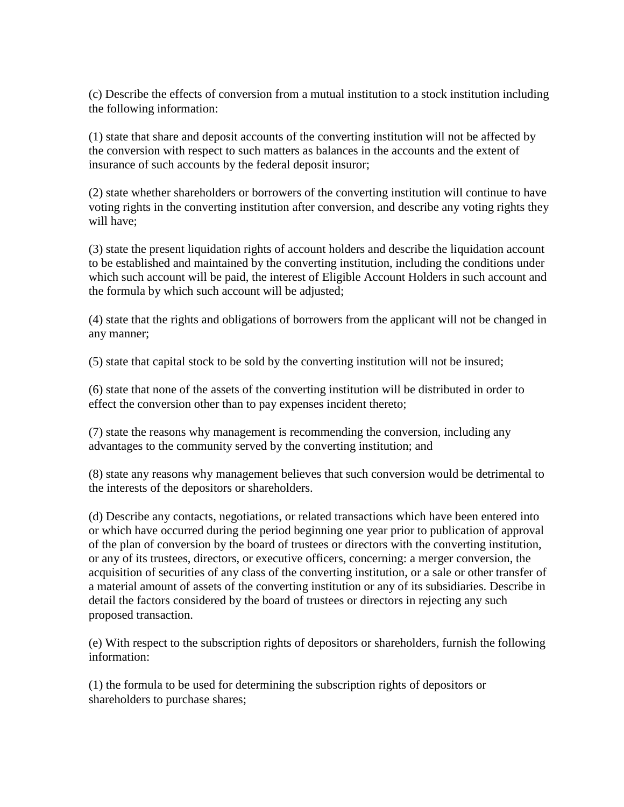(c) Describe the effects of conversion from a mutual institution to a stock institution including the following information:

(1) state that share and deposit accounts of the converting institution will not be affected by the conversion with respect to such matters as balances in the accounts and the extent of insurance of such accounts by the federal deposit insuror;

(2) state whether shareholders or borrowers of the converting institution will continue to have voting rights in the converting institution after conversion, and describe any voting rights they will have;

(3) state the present liquidation rights of account holders and describe the liquidation account to be established and maintained by the converting institution, including the conditions under which such account will be paid, the interest of Eligible Account Holders in such account and the formula by which such account will be adjusted;

(4) state that the rights and obligations of borrowers from the applicant will not be changed in any manner;

(5) state that capital stock to be sold by the converting institution will not be insured;

(6) state that none of the assets of the converting institution will be distributed in order to effect the conversion other than to pay expenses incident thereto;

(7) state the reasons why management is recommending the conversion, including any advantages to the community served by the converting institution; and

(8) state any reasons why management believes that such conversion would be detrimental to the interests of the depositors or shareholders.

(d) Describe any contacts, negotiations, or related transactions which have been entered into or which have occurred during the period beginning one year prior to publication of approval of the plan of conversion by the board of trustees or directors with the converting institution, or any of its trustees, directors, or executive officers, concerning: a merger conversion, the acquisition of securities of any class of the converting institution, or a sale or other transfer of a material amount of assets of the converting institution or any of its subsidiaries. Describe in detail the factors considered by the board of trustees or directors in rejecting any such proposed transaction.

(e) With respect to the subscription rights of depositors or shareholders, furnish the following information:

(1) the formula to be used for determining the subscription rights of depositors or shareholders to purchase shares;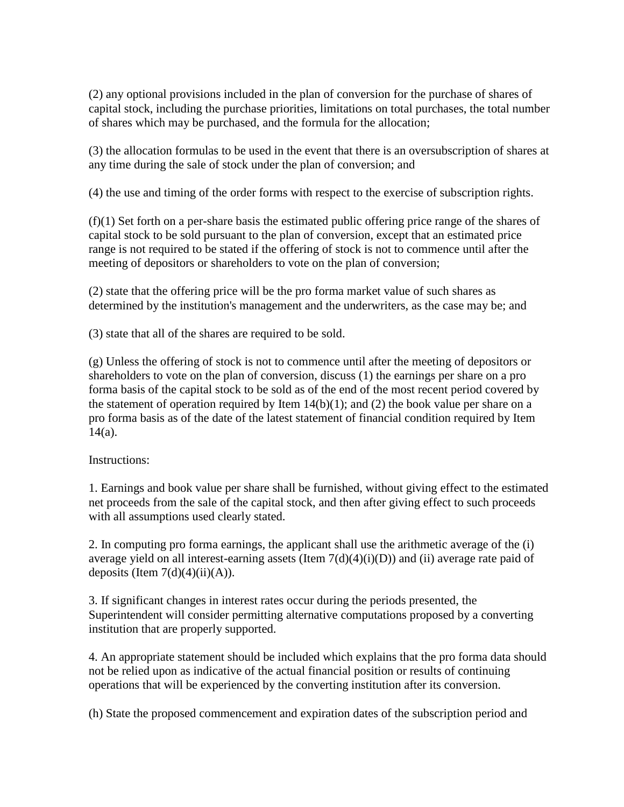(2) any optional provisions included in the plan of conversion for the purchase of shares of capital stock, including the purchase priorities, limitations on total purchases, the total number of shares which may be purchased, and the formula for the allocation;

(3) the allocation formulas to be used in the event that there is an oversubscription of shares at any time during the sale of stock under the plan of conversion; and

(4) the use and timing of the order forms with respect to the exercise of subscription rights.

(f)(1) Set forth on a per-share basis the estimated public offering price range of the shares of capital stock to be sold pursuant to the plan of conversion, except that an estimated price range is not required to be stated if the offering of stock is not to commence until after the meeting of depositors or shareholders to vote on the plan of conversion;

(2) state that the offering price will be the pro forma market value of such shares as determined by the institution's management and the underwriters, as the case may be; and

(3) state that all of the shares are required to be sold.

(g) Unless the offering of stock is not to commence until after the meeting of depositors or shareholders to vote on the plan of conversion, discuss (1) the earnings per share on a pro forma basis of the capital stock to be sold as of the end of the most recent period covered by the statement of operation required by Item  $14(b)(1)$ ; and (2) the book value per share on a pro forma basis as of the date of the latest statement of financial condition required by Item  $14(a)$ .

Instructions:

1. Earnings and book value per share shall be furnished, without giving effect to the estimated net proceeds from the sale of the capital stock, and then after giving effect to such proceeds with all assumptions used clearly stated.

2. In computing pro forma earnings, the applicant shall use the arithmetic average of the (i) average yield on all interest-earning assets (Item  $7(d)(4)(i)(D)$ ) and (ii) average rate paid of deposits (Item  $7(d)(4)(ii)(A)$ ).

3. If significant changes in interest rates occur during the periods presented, the Superintendent will consider permitting alternative computations proposed by a converting institution that are properly supported.

4. An appropriate statement should be included which explains that the pro forma data should not be relied upon as indicative of the actual financial position or results of continuing operations that will be experienced by the converting institution after its conversion.

(h) State the proposed commencement and expiration dates of the subscription period and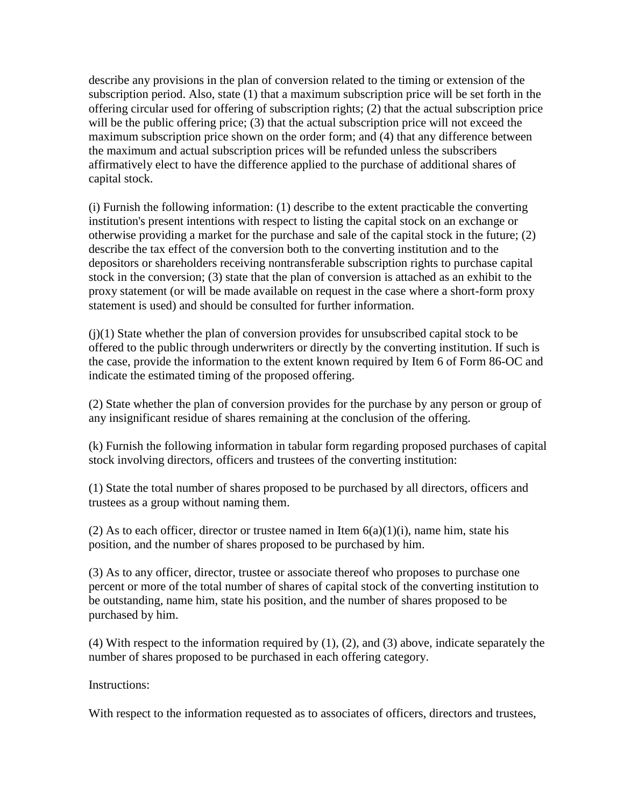describe any provisions in the plan of conversion related to the timing or extension of the subscription period. Also, state (1) that a maximum subscription price will be set forth in the offering circular used for offering of subscription rights; (2) that the actual subscription price will be the public offering price; (3) that the actual subscription price will not exceed the maximum subscription price shown on the order form; and (4) that any difference between the maximum and actual subscription prices will be refunded unless the subscribers affirmatively elect to have the difference applied to the purchase of additional shares of capital stock.

(i) Furnish the following information: (1) describe to the extent practicable the converting institution's present intentions with respect to listing the capital stock on an exchange or otherwise providing a market for the purchase and sale of the capital stock in the future; (2) describe the tax effect of the conversion both to the converting institution and to the depositors or shareholders receiving nontransferable subscription rights to purchase capital stock in the conversion; (3) state that the plan of conversion is attached as an exhibit to the proxy statement (or will be made available on request in the case where a short-form proxy statement is used) and should be consulted for further information.

(j)(1) State whether the plan of conversion provides for unsubscribed capital stock to be offered to the public through underwriters or directly by the converting institution. If such is the case, provide the information to the extent known required by Item 6 of Form 86-OC and indicate the estimated timing of the proposed offering.

(2) State whether the plan of conversion provides for the purchase by any person or group of any insignificant residue of shares remaining at the conclusion of the offering.

(k) Furnish the following information in tabular form regarding proposed purchases of capital stock involving directors, officers and trustees of the converting institution:

(1) State the total number of shares proposed to be purchased by all directors, officers and trustees as a group without naming them.

(2) As to each officer, director or trustee named in Item  $6(a)(1)(i)$ , name him, state his position, and the number of shares proposed to be purchased by him.

(3) As to any officer, director, trustee or associate thereof who proposes to purchase one percent or more of the total number of shares of capital stock of the converting institution to be outstanding, name him, state his position, and the number of shares proposed to be purchased by him.

(4) With respect to the information required by (1), (2), and (3) above, indicate separately the number of shares proposed to be purchased in each offering category.

Instructions:

With respect to the information requested as to associates of officers, directors and trustees,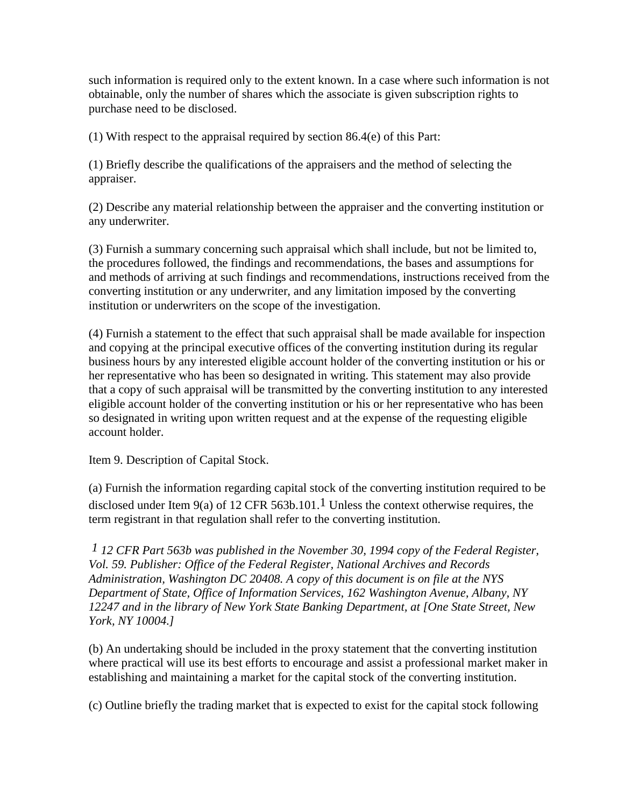such information is required only to the extent known. In a case where such information is not obtainable, only the number of shares which the associate is given subscription rights to purchase need to be disclosed.

(1) With respect to the appraisal required by section 86.4(e) of this Part:

(1) Briefly describe the qualifications of the appraisers and the method of selecting the appraiser.

(2) Describe any material relationship between the appraiser and the converting institution or any underwriter.

(3) Furnish a summary concerning such appraisal which shall include, but not be limited to, the procedures followed, the findings and recommendations, the bases and assumptions for and methods of arriving at such findings and recommendations, instructions received from the converting institution or any underwriter, and any limitation imposed by the converting institution or underwriters on the scope of the investigation.

(4) Furnish a statement to the effect that such appraisal shall be made available for inspection and copying at the principal executive offices of the converting institution during its regular business hours by any interested eligible account holder of the converting institution or his or her representative who has been so designated in writing. This statement may also provide that a copy of such appraisal will be transmitted by the converting institution to any interested eligible account holder of the converting institution or his or her representative who has been so designated in writing upon written request and at the expense of the requesting eligible account holder.

Item 9. Description of Capital Stock.

(a) Furnish the information regarding capital stock of the converting institution required to be disclosed under Item 9(a) of 12 CFR 563b.101.<sup>1</sup> Unless the context otherwise requires, the term registrant in that regulation shall refer to the converting institution.

*1 12 CFR Part 563b was published in the November 30, 1994 copy of the Federal Register, Vol. 59. Publisher: Office of the Federal Register, National Archives and Records Administration, Washington DC 20408. A copy of this document is on file at the NYS Department of State, Office of Information Services, 162 Washington Avenue, Albany, NY 12247 and in the library of New York State Banking Department, at [One State Street, New York, NY 10004.]*

(b) An undertaking should be included in the proxy statement that the converting institution where practical will use its best efforts to encourage and assist a professional market maker in establishing and maintaining a market for the capital stock of the converting institution.

(c) Outline briefly the trading market that is expected to exist for the capital stock following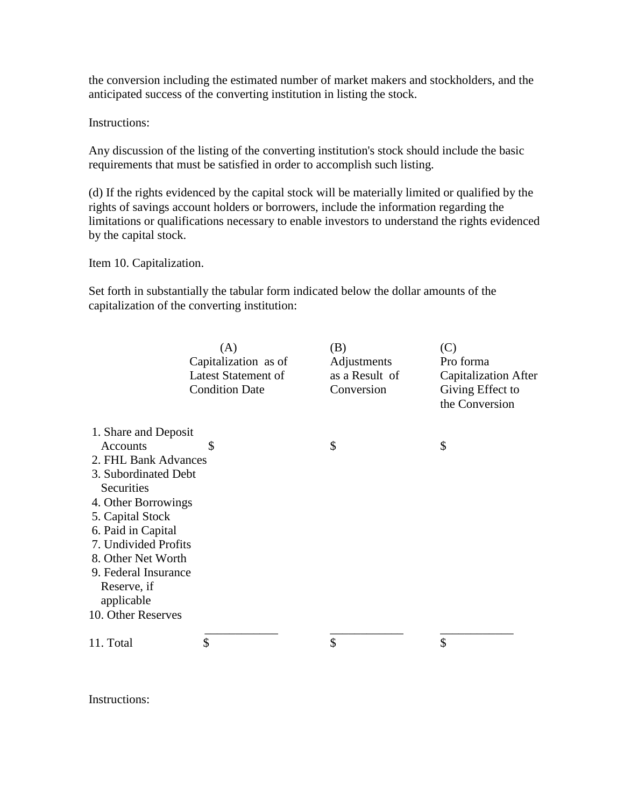the conversion including the estimated number of market makers and stockholders, and the anticipated success of the converting institution in listing the stock.

Instructions:

Any discussion of the listing of the converting institution's stock should include the basic requirements that must be satisfied in order to accomplish such listing.

(d) If the rights evidenced by the capital stock will be materially limited or qualified by the rights of savings account holders or borrowers, include the information regarding the limitations or qualifications necessary to enable investors to understand the rights evidenced by the capital stock.

Item 10. Capitalization.

Set forth in substantially the tabular form indicated below the dollar amounts of the capitalization of the converting institution:

|                      | (A)<br>Capitalization as of<br><b>Latest Statement of</b><br><b>Condition Date</b> | (B)<br>Adjustments<br>as a Result of<br>Conversion | (C)<br>Pro forma<br><b>Capitalization After</b><br>Giving Effect to<br>the Conversion |
|----------------------|------------------------------------------------------------------------------------|----------------------------------------------------|---------------------------------------------------------------------------------------|
| 1. Share and Deposit |                                                                                    |                                                    |                                                                                       |
| Accounts             | \$                                                                                 | \$                                                 | \$                                                                                    |
| 2. FHL Bank Advances |                                                                                    |                                                    |                                                                                       |
| 3. Subordinated Debt |                                                                                    |                                                    |                                                                                       |
| Securities           |                                                                                    |                                                    |                                                                                       |
| 4. Other Borrowings  |                                                                                    |                                                    |                                                                                       |
| 5. Capital Stock     |                                                                                    |                                                    |                                                                                       |
| 6. Paid in Capital   |                                                                                    |                                                    |                                                                                       |
| 7. Undivided Profits |                                                                                    |                                                    |                                                                                       |
| 8. Other Net Worth   |                                                                                    |                                                    |                                                                                       |
| 9. Federal Insurance |                                                                                    |                                                    |                                                                                       |
| Reserve, if          |                                                                                    |                                                    |                                                                                       |
| applicable           |                                                                                    |                                                    |                                                                                       |
| 10. Other Reserves   |                                                                                    |                                                    |                                                                                       |
| 11. Total            | \$                                                                                 | \$                                                 | \$                                                                                    |
|                      |                                                                                    |                                                    |                                                                                       |

Instructions: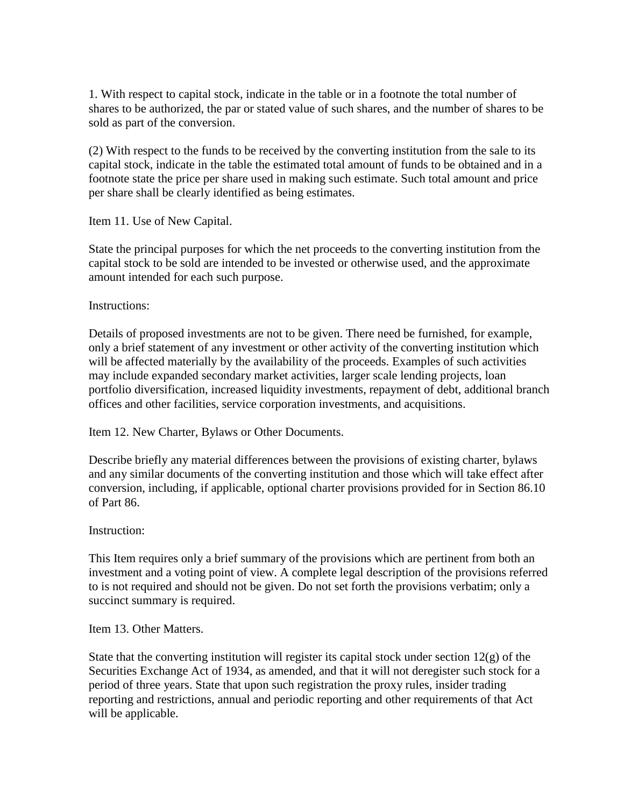1. With respect to capital stock, indicate in the table or in a footnote the total number of shares to be authorized, the par or stated value of such shares, and the number of shares to be sold as part of the conversion.

(2) With respect to the funds to be received by the converting institution from the sale to its capital stock, indicate in the table the estimated total amount of funds to be obtained and in a footnote state the price per share used in making such estimate. Such total amount and price per share shall be clearly identified as being estimates.

Item 11. Use of New Capital.

State the principal purposes for which the net proceeds to the converting institution from the capital stock to be sold are intended to be invested or otherwise used, and the approximate amount intended for each such purpose.

Instructions:

Details of proposed investments are not to be given. There need be furnished, for example, only a brief statement of any investment or other activity of the converting institution which will be affected materially by the availability of the proceeds. Examples of such activities may include expanded secondary market activities, larger scale lending projects, loan portfolio diversification, increased liquidity investments, repayment of debt, additional branch offices and other facilities, service corporation investments, and acquisitions.

Item 12. New Charter, Bylaws or Other Documents.

Describe briefly any material differences between the provisions of existing charter, bylaws and any similar documents of the converting institution and those which will take effect after conversion, including, if applicable, optional charter provisions provided for in Section 86.10 of Part 86.

Instruction:

This Item requires only a brief summary of the provisions which are pertinent from both an investment and a voting point of view. A complete legal description of the provisions referred to is not required and should not be given. Do not set forth the provisions verbatim; only a succinct summary is required.

Item 13. Other Matters.

State that the converting institution will register its capital stock under section  $12(g)$  of the Securities Exchange Act of 1934, as amended, and that it will not deregister such stock for a period of three years. State that upon such registration the proxy rules, insider trading reporting and restrictions, annual and periodic reporting and other requirements of that Act will be applicable.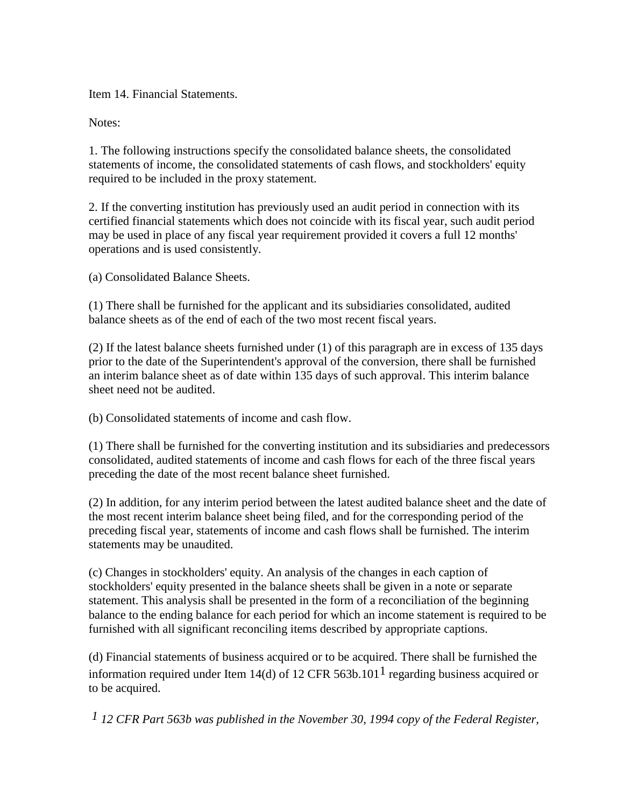Item 14. Financial Statements.

Notes:

1. The following instructions specify the consolidated balance sheets, the consolidated statements of income, the consolidated statements of cash flows, and stockholders' equity required to be included in the proxy statement.

2. If the converting institution has previously used an audit period in connection with its certified financial statements which does not coincide with its fiscal year, such audit period may be used in place of any fiscal year requirement provided it covers a full 12 months' operations and is used consistently.

(a) Consolidated Balance Sheets.

(1) There shall be furnished for the applicant and its subsidiaries consolidated, audited balance sheets as of the end of each of the two most recent fiscal years.

(2) If the latest balance sheets furnished under (1) of this paragraph are in excess of 135 days prior to the date of the Superintendent's approval of the conversion, there shall be furnished an interim balance sheet as of date within 135 days of such approval. This interim balance sheet need not be audited.

(b) Consolidated statements of income and cash flow.

(1) There shall be furnished for the converting institution and its subsidiaries and predecessors consolidated, audited statements of income and cash flows for each of the three fiscal years preceding the date of the most recent balance sheet furnished.

(2) In addition, for any interim period between the latest audited balance sheet and the date of the most recent interim balance sheet being filed, and for the corresponding period of the preceding fiscal year, statements of income and cash flows shall be furnished. The interim statements may be unaudited.

(c) Changes in stockholders' equity. An analysis of the changes in each caption of stockholders' equity presented in the balance sheets shall be given in a note or separate statement. This analysis shall be presented in the form of a reconciliation of the beginning balance to the ending balance for each period for which an income statement is required to be furnished with all significant reconciling items described by appropriate captions.

(d) Financial statements of business acquired or to be acquired. There shall be furnished the information required under Item 14(d) of 12 CFR 563b.101<sup>1</sup> regarding business acquired or to be acquired.

*1 12 CFR Part 563b was published in the November 30, 1994 copy of the Federal Register,*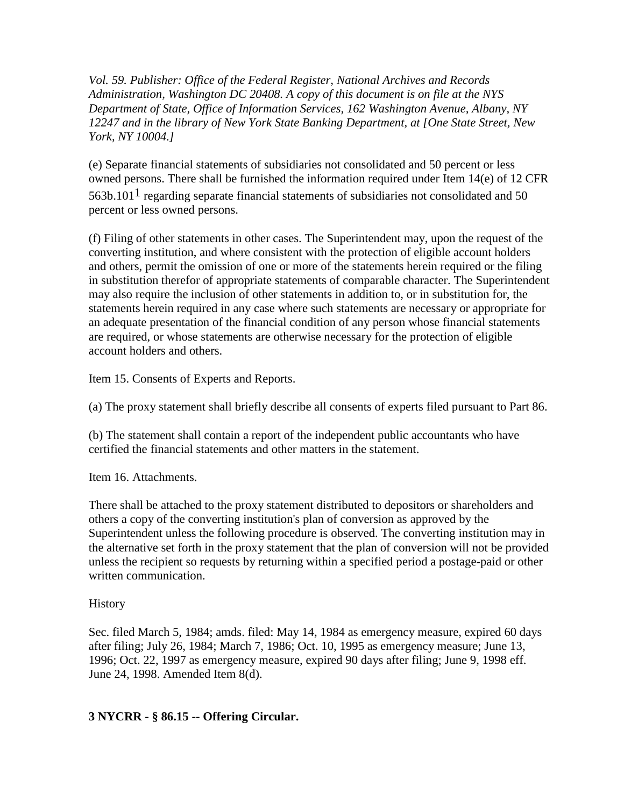*Vol. 59. Publisher: Office of the Federal Register, National Archives and Records Administration, Washington DC 20408. A copy of this document is on file at the NYS Department of State, Office of Information Services, 162 Washington Avenue, Albany, NY 12247 and in the library of New York State Banking Department, at [One State Street, New York, NY 10004.]*

(e) Separate financial statements of subsidiaries not consolidated and 50 percent or less owned persons. There shall be furnished the information required under Item 14(e) of 12 CFR 563b.101<sup>1</sup> regarding separate financial statements of subsidiaries not consolidated and 50 percent or less owned persons.

(f) Filing of other statements in other cases. The Superintendent may, upon the request of the converting institution, and where consistent with the protection of eligible account holders and others, permit the omission of one or more of the statements herein required or the filing in substitution therefor of appropriate statements of comparable character. The Superintendent may also require the inclusion of other statements in addition to, or in substitution for, the statements herein required in any case where such statements are necessary or appropriate for an adequate presentation of the financial condition of any person whose financial statements are required, or whose statements are otherwise necessary for the protection of eligible account holders and others.

Item 15. Consents of Experts and Reports.

(a) The proxy statement shall briefly describe all consents of experts filed pursuant to Part 86.

(b) The statement shall contain a report of the independent public accountants who have certified the financial statements and other matters in the statement.

Item 16. Attachments.

There shall be attached to the proxy statement distributed to depositors or shareholders and others a copy of the converting institution's plan of conversion as approved by the Superintendent unless the following procedure is observed. The converting institution may in the alternative set forth in the proxy statement that the plan of conversion will not be provided unless the recipient so requests by returning within a specified period a postage-paid or other written communication.

## History

Sec. filed March 5, 1984; amds. filed: May 14, 1984 as emergency measure, expired 60 days after filing; July 26, 1984; March 7, 1986; Oct. 10, 1995 as emergency measure; June 13, 1996; Oct. 22, 1997 as emergency measure, expired 90 days after filing; June 9, 1998 eff. June 24, 1998. Amended Item 8(d).

## **3 NYCRR - § 86.15 -- Offering Circular.**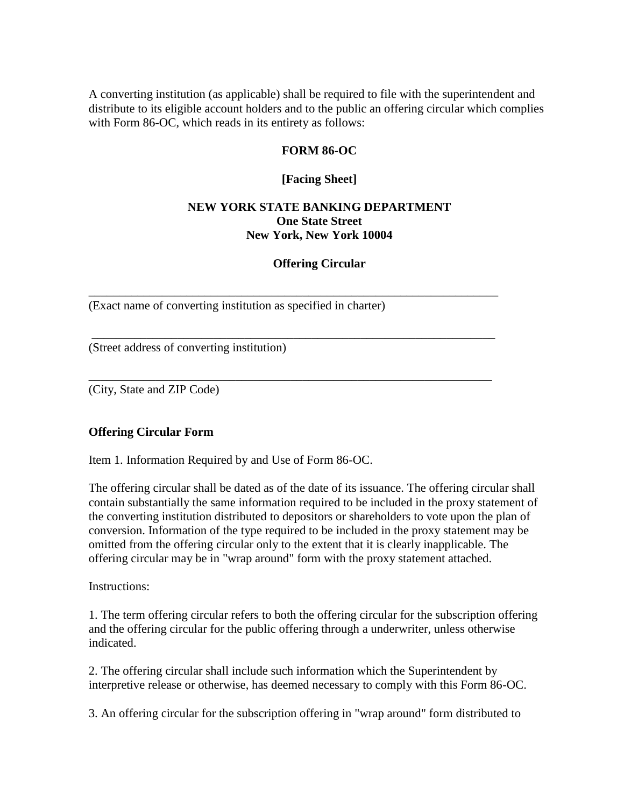A converting institution (as applicable) shall be required to file with the superintendent and distribute to its eligible account holders and to the public an offering circular which complies with Form 86-OC, which reads in its entirety as follows:

#### **FORM 86-OC**

#### **[Facing Sheet]**

#### **NEW YORK STATE BANKING DEPARTMENT One State Street New York, New York 10004**

#### **Offering Circular**

\_\_\_\_\_\_\_\_\_\_\_\_\_\_\_\_\_\_\_\_\_\_\_\_\_\_\_\_\_\_\_\_\_\_\_\_\_\_\_\_\_\_\_\_\_\_\_\_\_\_\_\_\_\_\_\_\_\_\_\_\_\_\_\_\_\_\_

\_\_\_\_\_\_\_\_\_\_\_\_\_\_\_\_\_\_\_\_\_\_\_\_\_\_\_\_\_\_\_\_\_\_\_\_\_\_\_\_\_\_\_\_\_\_\_\_\_\_\_\_\_\_\_\_\_\_\_\_\_\_\_\_\_\_

\_\_\_\_\_\_\_\_\_\_\_\_\_\_\_\_\_\_\_\_\_\_\_\_\_\_\_\_\_\_\_\_\_\_\_\_\_\_\_\_\_\_\_\_\_\_\_\_\_\_\_\_\_\_\_\_\_\_\_\_\_\_\_\_\_\_

(Exact name of converting institution as specified in charter)

(Street address of converting institution)

(City, State and ZIP Code)

#### **Offering Circular Form**

Item 1. Information Required by and Use of Form 86-OC.

The offering circular shall be dated as of the date of its issuance. The offering circular shall contain substantially the same information required to be included in the proxy statement of the converting institution distributed to depositors or shareholders to vote upon the plan of conversion. Information of the type required to be included in the proxy statement may be omitted from the offering circular only to the extent that it is clearly inapplicable. The offering circular may be in "wrap around" form with the proxy statement attached.

Instructions:

1. The term offering circular refers to both the offering circular for the subscription offering and the offering circular for the public offering through a underwriter, unless otherwise indicated.

2. The offering circular shall include such information which the Superintendent by interpretive release or otherwise, has deemed necessary to comply with this Form 86-OC.

3. An offering circular for the subscription offering in "wrap around" form distributed to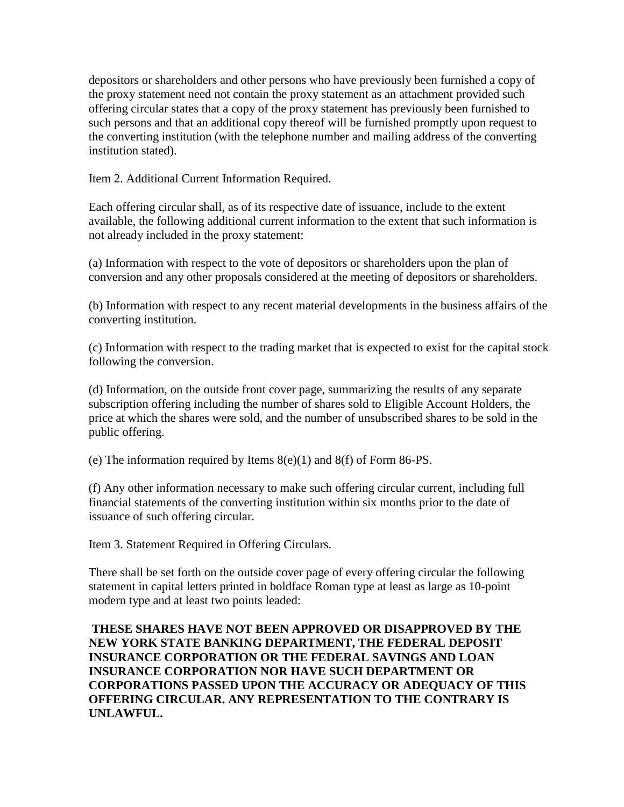depositors or shareholders and other persons who have previously been furnished a copy of the proxy statement need not contain the proxy statement as an attachment provided such offering circular states that a copy of the proxy statement has previously been furnished to such persons and that an additional copy thereof will be furnished promptly upon request to the converting institution (with the telephone number and mailing address of the converting institution stated).

Item 2. Additional Current Information Required.

Each offering circular shall, as of its respective date of issuance, include to the extent available, the following additional current information to the extent that such information is not already included in the proxy statement:

(a) Information with respect to the vote of depositors or shareholders upon the plan of conversion and any other proposals considered at the meeting of depositors or shareholders.

(b) Information with respect to any recent material developments in the business affairs of the converting institution.

(c) Information with respect to the trading market that is expected to exist for the capital stock following the conversion.

(d) Information, on the outside front cover page, summarizing the results of any separate subscription offering including the number of shares sold to Eligible Account Holders, the price at which the shares were sold, and the number of unsubscribed shares to be sold in the public offering.

(e) The information required by Items 8(e)(1) and 8(f) of Form 86-PS.

(f) Any other information necessary to make such offering circular current, including full financial statements of the converting institution within six months prior to the date of issuance of such offering circular.

Item 3. Statement Required in Offering Circulars.

There shall be set forth on the outside cover page of every offering circular the following statement in capital letters printed in boldface Roman type at least as large as 10-point modern type and at least two points leaded:

**THESE SHARES HAVE NOT BEEN APPROVED OR DISAPPROVED BY THE NEW YORK STATE BANKING DEPARTMENT, THE FEDERAL DEPOSIT INSURANCE CORPORATION OR THE FEDERAL SAVINGS AND LOAN INSURANCE CORPORATION NOR HAVE SUCH DEPARTMENT OR CORPORATIONS PASSED UPON THE ACCURACY OR ADEQUACY OF THIS OFFERING CIRCULAR. ANY REPRESENTATION TO THE CONTRARY IS UNLAWFUL.**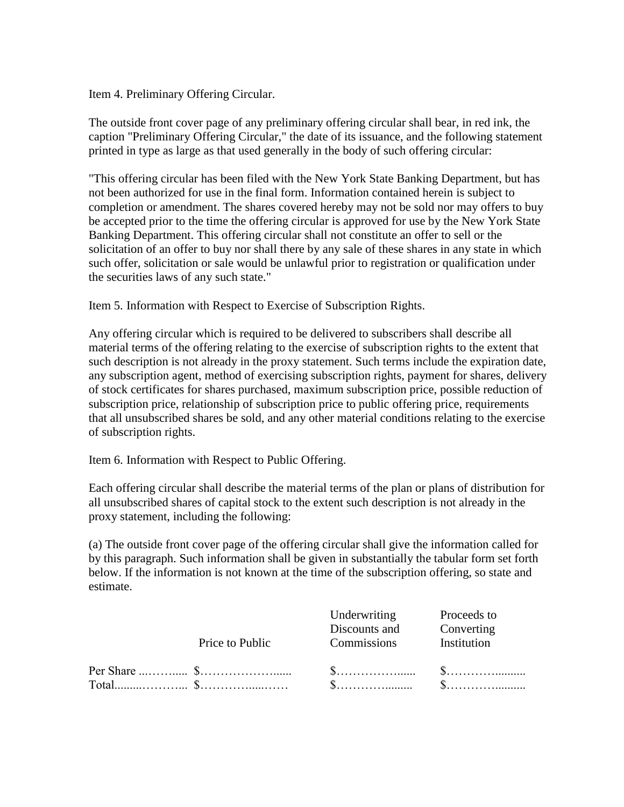Item 4. Preliminary Offering Circular.

The outside front cover page of any preliminary offering circular shall bear, in red ink, the caption "Preliminary Offering Circular," the date of its issuance, and the following statement printed in type as large as that used generally in the body of such offering circular:

"This offering circular has been filed with the New York State Banking Department, but has not been authorized for use in the final form. Information contained herein is subject to completion or amendment. The shares covered hereby may not be sold nor may offers to buy be accepted prior to the time the offering circular is approved for use by the New York State Banking Department. This offering circular shall not constitute an offer to sell or the solicitation of an offer to buy nor shall there by any sale of these shares in any state in which such offer, solicitation or sale would be unlawful prior to registration or qualification under the securities laws of any such state."

Item 5. Information with Respect to Exercise of Subscription Rights.

Any offering circular which is required to be delivered to subscribers shall describe all material terms of the offering relating to the exercise of subscription rights to the extent that such description is not already in the proxy statement. Such terms include the expiration date, any subscription agent, method of exercising subscription rights, payment for shares, delivery of stock certificates for shares purchased, maximum subscription price, possible reduction of subscription price, relationship of subscription price to public offering price, requirements that all unsubscribed shares be sold, and any other material conditions relating to the exercise of subscription rights.

Item 6. Information with Respect to Public Offering.

Each offering circular shall describe the material terms of the plan or plans of distribution for all unsubscribed shares of capital stock to the extent such description is not already in the proxy statement, including the following:

(a) The outside front cover page of the offering circular shall give the information called for by this paragraph. Such information shall be given in substantially the tabular form set forth below. If the information is not known at the time of the subscription offering, so state and estimate.

|                 | Underwriting  | Proceeds to |
|-----------------|---------------|-------------|
|                 | Discounts and | Converting  |
| Price to Public | Commissions   | Institution |
|                 |               |             |
|                 |               |             |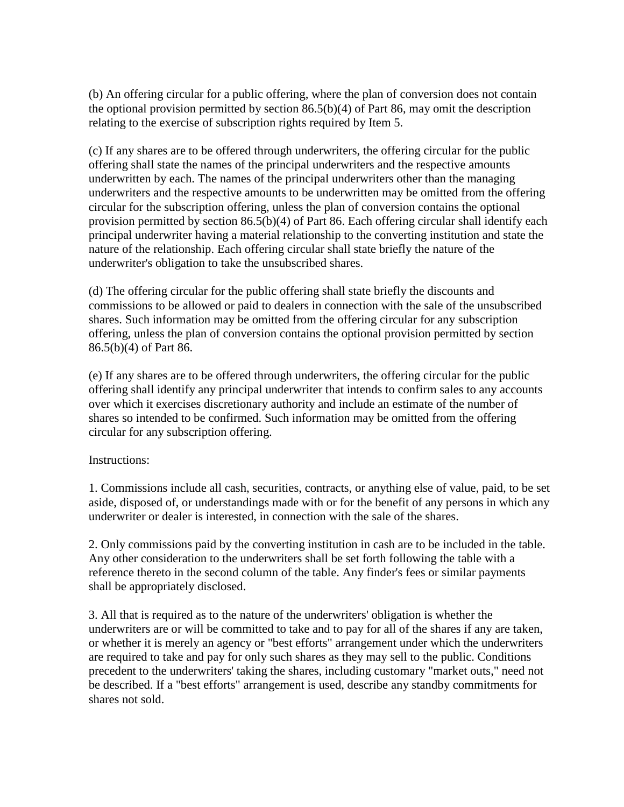(b) An offering circular for a public offering, where the plan of conversion does not contain the optional provision permitted by section 86.5(b)(4) of Part 86, may omit the description relating to the exercise of subscription rights required by Item 5.

(c) If any shares are to be offered through underwriters, the offering circular for the public offering shall state the names of the principal underwriters and the respective amounts underwritten by each. The names of the principal underwriters other than the managing underwriters and the respective amounts to be underwritten may be omitted from the offering circular for the subscription offering, unless the plan of conversion contains the optional provision permitted by section  $86.5(b)(4)$  of Part 86. Each offering circular shall identify each principal underwriter having a material relationship to the converting institution and state the nature of the relationship. Each offering circular shall state briefly the nature of the underwriter's obligation to take the unsubscribed shares.

(d) The offering circular for the public offering shall state briefly the discounts and commissions to be allowed or paid to dealers in connection with the sale of the unsubscribed shares. Such information may be omitted from the offering circular for any subscription offering, unless the plan of conversion contains the optional provision permitted by section 86.5(b)(4) of Part 86.

(e) If any shares are to be offered through underwriters, the offering circular for the public offering shall identify any principal underwriter that intends to confirm sales to any accounts over which it exercises discretionary authority and include an estimate of the number of shares so intended to be confirmed. Such information may be omitted from the offering circular for any subscription offering.

Instructions:

1. Commissions include all cash, securities, contracts, or anything else of value, paid, to be set aside, disposed of, or understandings made with or for the benefit of any persons in which any underwriter or dealer is interested, in connection with the sale of the shares.

2. Only commissions paid by the converting institution in cash are to be included in the table. Any other consideration to the underwriters shall be set forth following the table with a reference thereto in the second column of the table. Any finder's fees or similar payments shall be appropriately disclosed.

3. All that is required as to the nature of the underwriters' obligation is whether the underwriters are or will be committed to take and to pay for all of the shares if any are taken, or whether it is merely an agency or "best efforts" arrangement under which the underwriters are required to take and pay for only such shares as they may sell to the public. Conditions precedent to the underwriters' taking the shares, including customary "market outs," need not be described. If a "best efforts" arrangement is used, describe any standby commitments for shares not sold.